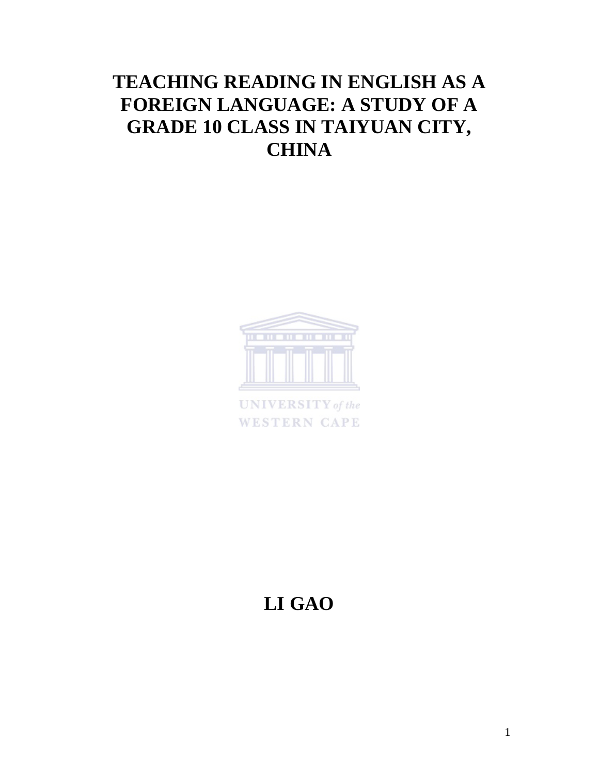# **TEACHING READING IN ENGLISH AS A FOREIGN LANGUAGE: A STUDY OF A GRADE 10 CLASS IN TAIYUAN CITY, CHINA**



**WESTERN CAPE** 

# **LI GAO**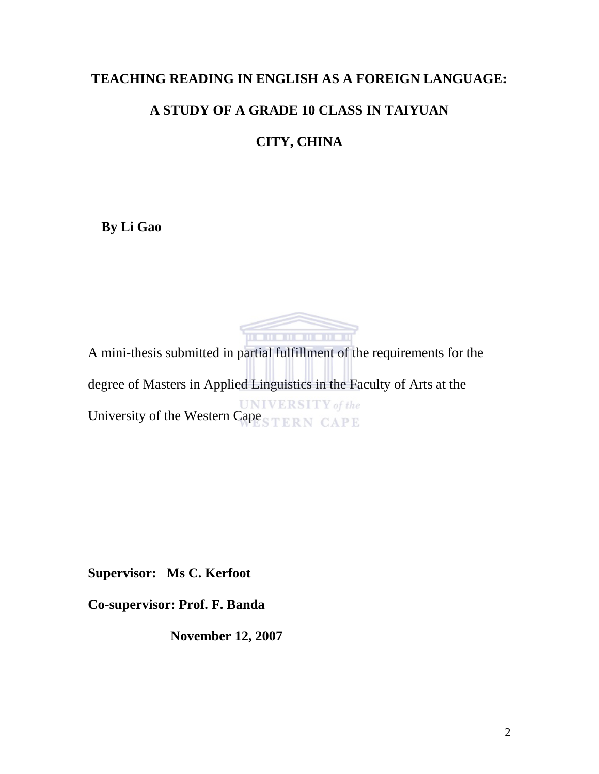### **TEACHING READING IN ENGLISH AS A FOREIGN LANGUAGE:**

## **A STUDY OF A GRADE 10 CLASS IN TAIYUAN**

# **CITY, CHINA**

**By Li Gao** 



A mini-thesis submitted in partial fulfillment of the requirements for the degree of Masters in Applied Linguistics in the Faculty of Arts at the UNIVERSITY of the Western Cape STERN CAPE

**Supervisor: Ms C. Kerfoot** 

**Co-supervisor: Prof. F. Banda** 

**November 12, 2007**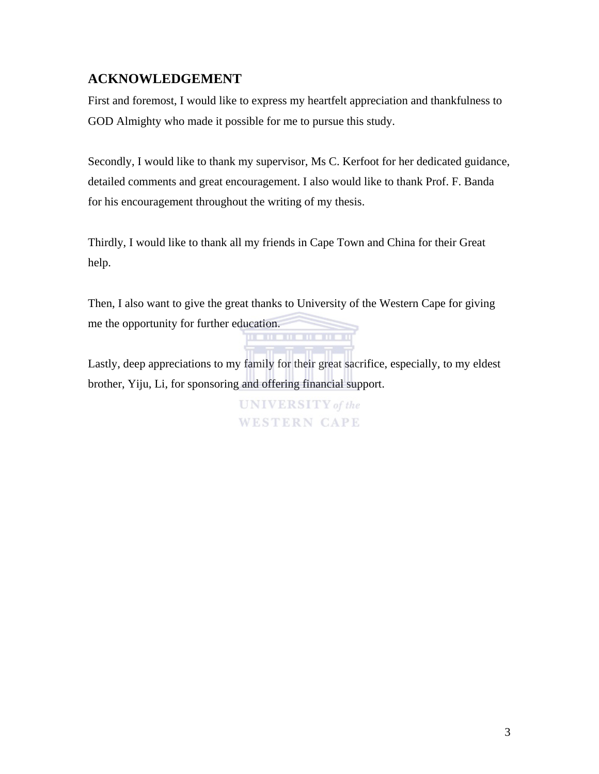### **ACKNOWLEDGEMENT**

First and foremost, I would like to express my heartfelt appreciation and thankfulness to GOD Almighty who made it possible for me to pursue this study.

Secondly, I would like to thank my supervisor, Ms C. Kerfoot for her dedicated guidance, detailed comments and great encouragement. I also would like to thank Prof. F. Banda for his encouragement throughout the writing of my thesis.

Thirdly, I would like to thank all my friends in Cape Town and China for their Great help.

Then, I also want to give the great thanks to University of the Western Cape for giving me the opportunity for further education. 11 **11 11 11 11** 

Lastly, deep appreciations to my family for their great sacrifice, especially, to my eldest brother, Yiju, Li, for sponsoring and offering financial support.

> **UNIVERSITY** of the **WESTERN CAPE**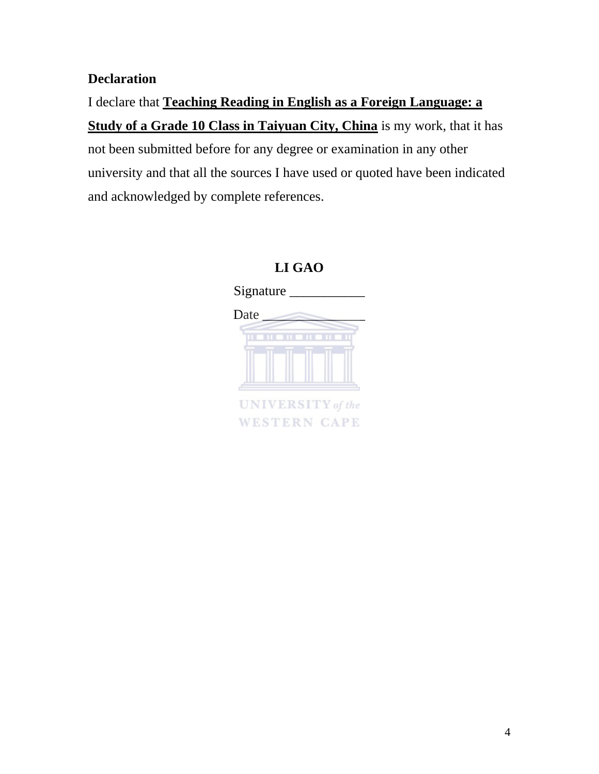## **Declaration**

I declare that **Teaching Reading in English as a Foreign Language: a Study of a Grade 10 Class in Taiyuan City, China** is my work, that it has not been submitted before for any degree or examination in any other university and that all the sources I have used or quoted have been indicated and acknowledged by complete references.

## **LI GAO**

Signature Date \_\_\_\_\_\_\_\_\_\_\_\_\_\_\_ . . . . . . . . . . . **UNIVERSITY** of the **WESTERN CAPE**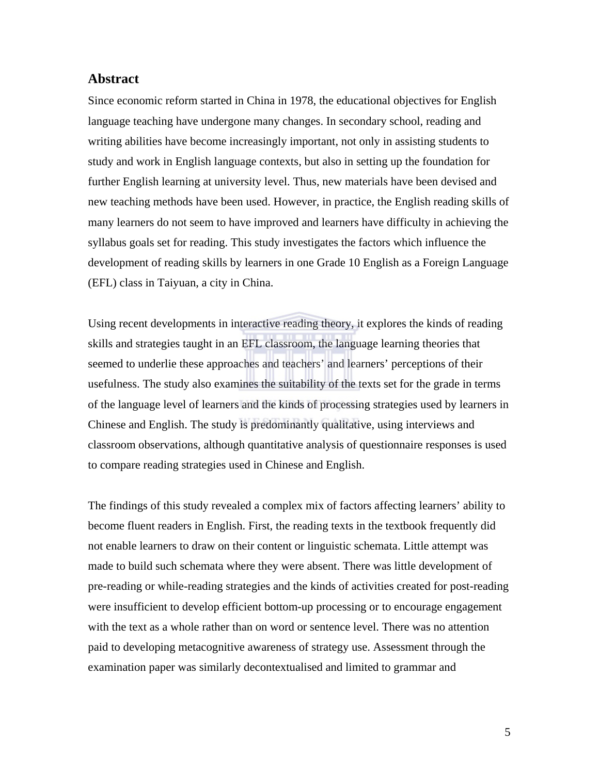### **Abstract**

Since economic reform started in China in 1978, the educational objectives for English language teaching have undergone many changes. In secondary school, reading and writing abilities have become increasingly important, not only in assisting students to study and work in English language contexts, but also in setting up the foundation for further English learning at university level. Thus, new materials have been devised and new teaching methods have been used. However, in practice, the English reading skills of many learners do not seem to have improved and learners have difficulty in achieving the syllabus goals set for reading. This study investigates the factors which influence the development of reading skills by learners in one Grade 10 English as a Foreign Language (EFL) class in Taiyuan, a city in China.

Using recent developments in interactive reading theory, it explores the kinds of reading skills and strategies taught in an EFL classroom, the language learning theories that seemed to underlie these approaches and teachers' and learners' perceptions of their usefulness. The study also examines the suitability of the texts set for the grade in terms of the language level of learners and the kinds of processing strategies used by learners in Chinese and English. The study is predominantly qualitative, using interviews and classroom observations, although quantitative analysis of questionnaire responses is used to compare reading strategies used in Chinese and English.

The findings of this study revealed a complex mix of factors affecting learners' ability to become fluent readers in English. First, the reading texts in the textbook frequently did not enable learners to draw on their content or linguistic schemata. Little attempt was made to build such schemata where they were absent. There was little development of pre-reading or while-reading strategies and the kinds of activities created for post-reading were insufficient to develop efficient bottom-up processing or to encourage engagement with the text as a whole rather than on word or sentence level. There was no attention paid to developing metacognitive awareness of strategy use. Assessment through the examination paper was similarly decontextualised and limited to grammar and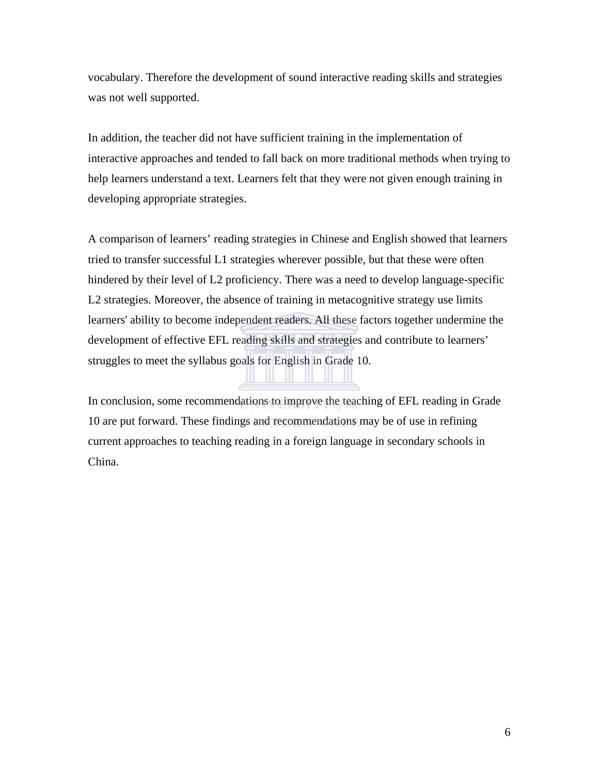vocabulary. Therefore the development of sound interactive reading skills and strategies was not well supported.

In addition, the teacher did not have sufficient training in the implementation of interactive approaches and tended to fall back on more traditional methods when trying to help learners understand a text. Learners felt that they were not given enough training in developing appropriate strategies.

A comparison of learners' reading strategies in Chinese and English showed that learners tried to transfer successful L1 strategies wherever possible, but that these were often hindered by their level of L2 proficiency. There was a need to develop language-specific L2 strategies. Moreover, the absence of training in metacognitive strategy use limits learners' ability to become independent readers. All these factors together undermine the development of effective EFL reading skills and strategies and contribute to learners' struggles to meet the syllabus goals for English in Grade 10.

In conclusion, some recommendations to improve the teaching of EFL reading in Grade 10 are put forward. These findings and recommendations may be of use in refining current approaches to teaching reading in a foreign language in secondary schools in China.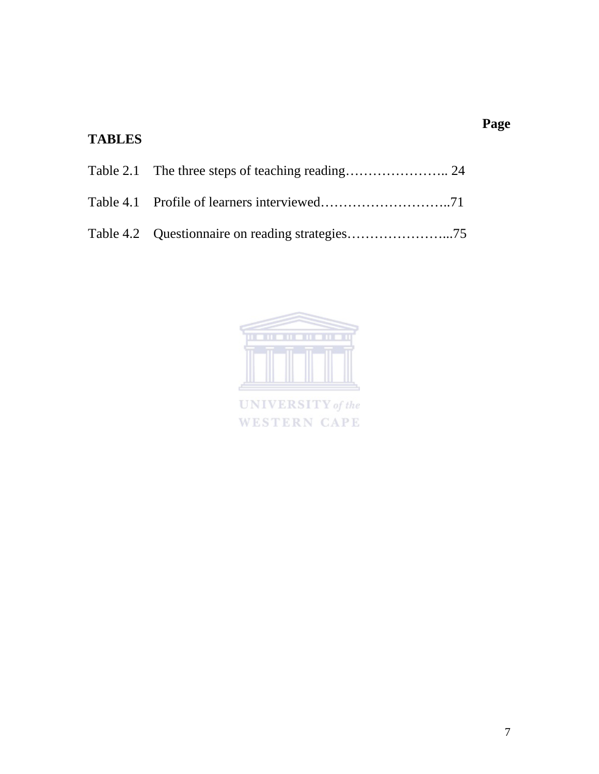# **TABLES**



UNIVERSITY of the WESTERN CAPE **Page**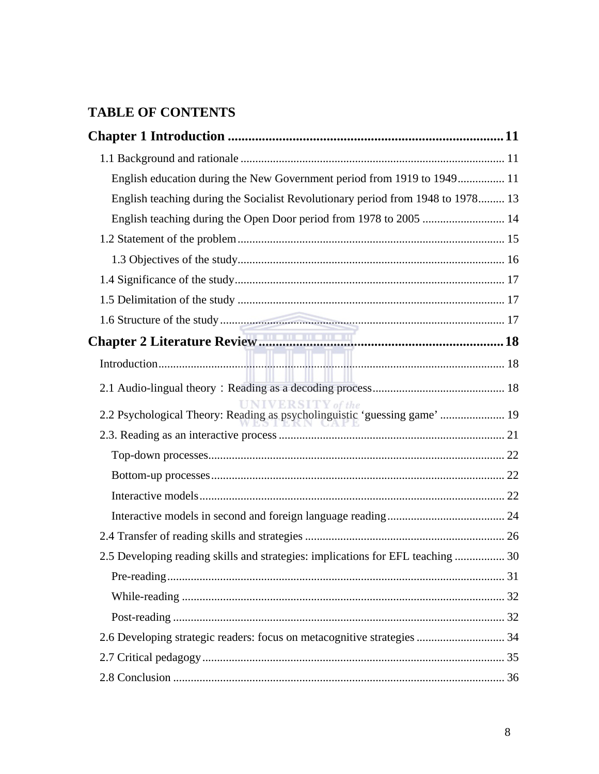# **TABLE OF CONTENTS**

| English education during the New Government period from 1919 to 1949 11         |  |
|---------------------------------------------------------------------------------|--|
| English teaching during the Socialist Revolutionary period from 1948 to 1978 13 |  |
| English teaching during the Open Door period from 1978 to 2005  14              |  |
|                                                                                 |  |
|                                                                                 |  |
|                                                                                 |  |
|                                                                                 |  |
|                                                                                 |  |
|                                                                                 |  |
|                                                                                 |  |
|                                                                                 |  |
| 2.2 Psychological Theory: Reading as psycholinguistic 'guessing game'  19       |  |
|                                                                                 |  |
|                                                                                 |  |
|                                                                                 |  |
|                                                                                 |  |
|                                                                                 |  |
|                                                                                 |  |
| 2.5 Developing reading skills and strategies: implications for EFL teaching  30 |  |
|                                                                                 |  |
|                                                                                 |  |
|                                                                                 |  |
| 2.6 Developing strategic readers: focus on metacognitive strategies  34         |  |
|                                                                                 |  |
|                                                                                 |  |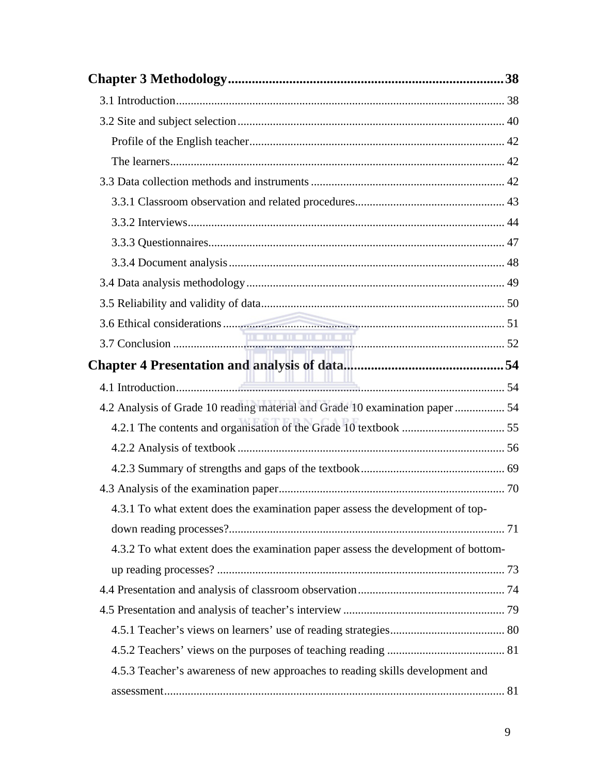| 4.2 Analysis of Grade 10 reading material and Grade 10 examination paper  54      |  |
|-----------------------------------------------------------------------------------|--|
|                                                                                   |  |
|                                                                                   |  |
|                                                                                   |  |
|                                                                                   |  |
| 4.3.1 To what extent does the examination paper assess the development of top-    |  |
|                                                                                   |  |
| 4.3.2 To what extent does the examination paper assess the development of bottom- |  |
|                                                                                   |  |
|                                                                                   |  |
|                                                                                   |  |
|                                                                                   |  |
|                                                                                   |  |
| 4.5.3 Teacher's awareness of new approaches to reading skills development and     |  |
|                                                                                   |  |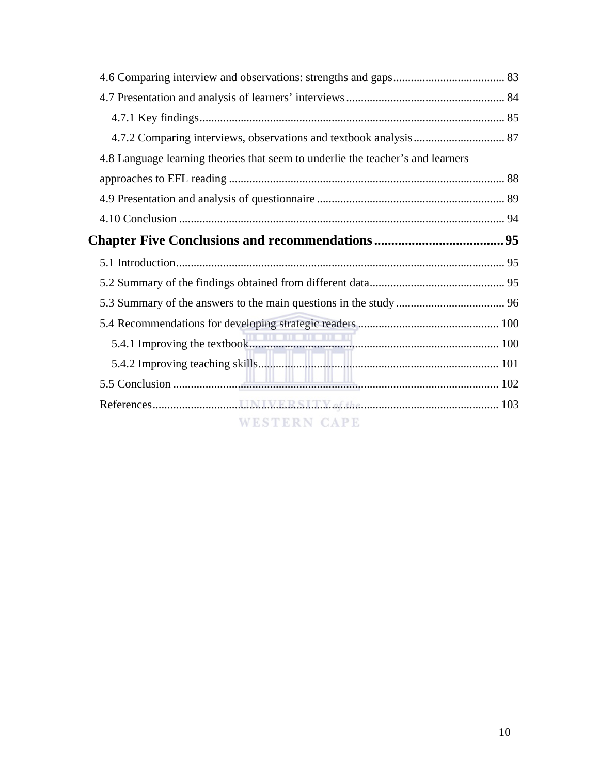| 4.7.2 Comparing interviews, observations and textbook analysis  87              |  |
|---------------------------------------------------------------------------------|--|
| 4.8 Language learning theories that seem to underlie the teacher's and learners |  |
|                                                                                 |  |
|                                                                                 |  |
|                                                                                 |  |
|                                                                                 |  |
|                                                                                 |  |
|                                                                                 |  |
|                                                                                 |  |
|                                                                                 |  |
|                                                                                 |  |
|                                                                                 |  |
|                                                                                 |  |
|                                                                                 |  |
|                                                                                 |  |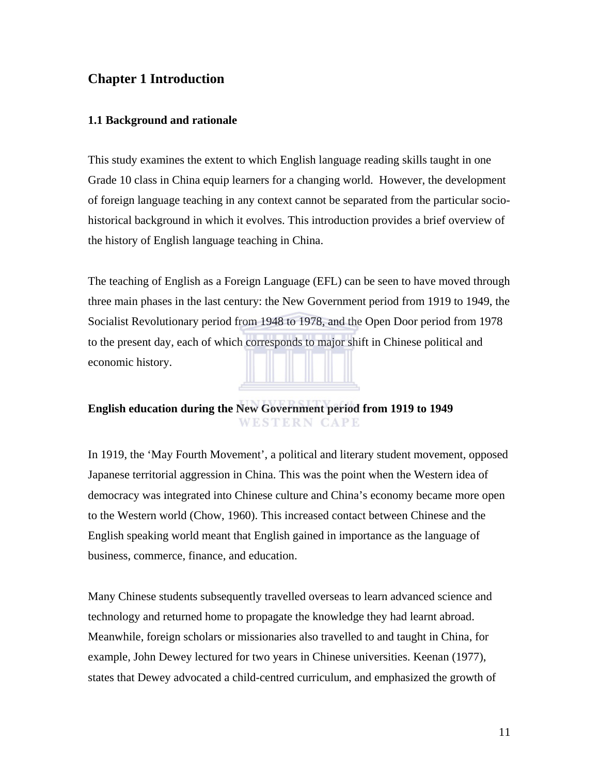### **Chapter 1 Introduction**

### **1.1 Background and rationale**

This study examines the extent to which English language reading skills taught in one Grade 10 class in China equip learners for a changing world. However, the development of foreign language teaching in any context cannot be separated from the particular sociohistorical background in which it evolves. This introduction provides a brief overview of the history of English language teaching in China.

The teaching of English as a Foreign Language (EFL) can be seen to have moved through three main phases in the last century: the New Government period from 1919 to 1949, the Socialist Revolutionary period from 1948 to 1978, and the Open Door period from 1978 to the present day, each of which corresponds to major shift in Chinese political and economic history.

### **English education during the New Government period from 1919 to 1949 WESTERN CAPE**

In 1919, the 'May Fourth Movement', a political and literary student movement, opposed Japanese territorial aggression in China. This was the point when the Western idea of democracy was integrated into Chinese culture and China's economy became more open to the Western world (Chow, 1960). This increased contact between Chinese and the English speaking world meant that English gained in importance as the language of business, commerce, finance, and education.

Many Chinese students subsequently travelled overseas to learn advanced science and technology and returned home to propagate the knowledge they had learnt abroad. Meanwhile, foreign scholars or missionaries also travelled to and taught in China, for example, John Dewey lectured for two years in Chinese universities. Keenan (1977), states that Dewey advocated a child-centred curriculum, and emphasized the growth of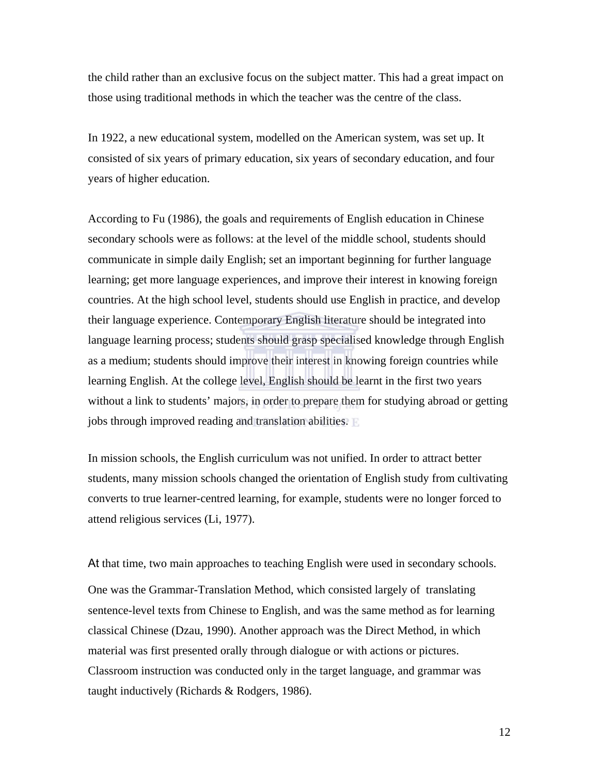the child rather than an exclusive focus on the subject matter. This had a great impact on those using traditional methods in which the teacher was the centre of the class.

In 1922, a new educational system, modelled on the American system, was set up. It consisted of six years of primary education, six years of secondary education, and four years of higher education.

According to Fu (1986), the goals and requirements of English education in Chinese secondary schools were as follows: at the level of the middle school, students should communicate in simple daily English; set an important beginning for further language learning; get more language experiences, and improve their interest in knowing foreign countries. At the high school level, students should use English in practice, and develop their language experience. Contemporary English literature should be integrated into language learning process; students should grasp specialised knowledge through English as a medium; students should improve their interest in knowing foreign countries while learning English. At the college level, English should be learnt in the first two years without a link to students' majors, in order to prepare them for studying abroad or getting jobs through improved reading and translation abilities.

In mission schools, the English curriculum was not unified. In order to attract better students, many mission schools changed the orientation of English study from cultivating converts to true learner-centred learning, for example, students were no longer forced to attend religious services (Li, 1977).

At that time, two main approaches to teaching English were used in secondary schools.

One was the Grammar-Translation Method, which consisted largely of translating sentence-level texts from Chinese to English, and was the same method as for learning classical Chinese (Dzau, 1990). Another approach was the Direct Method, in which material was first presented orally through dialogue or with actions or pictures. Classroom instruction was conducted only in the target language, and grammar was taught inductively (Richards & Rodgers, 1986).

12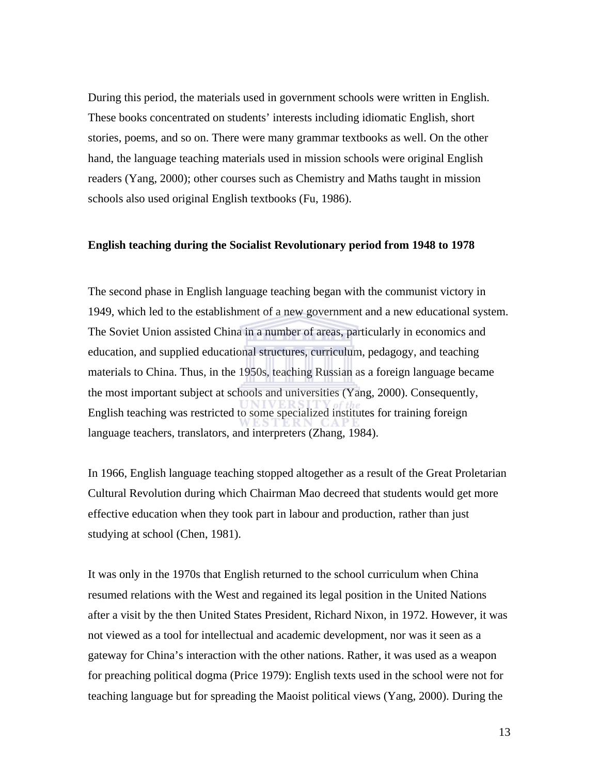During this period, the materials used in government schools were written in English. These books concentrated on students' interests including idiomatic English, short stories, poems, and so on. There were many grammar textbooks as well. On the other hand, the language teaching materials used in mission schools were original English readers (Yang, 2000); other courses such as Chemistry and Maths taught in mission schools also used original English textbooks (Fu, 1986).

#### **English teaching during the Socialist Revolutionary period from 1948 to 1978**

The second phase in English language teaching began with the communist victory in 1949, which led to the establishment of a new government and a new educational system. The Soviet Union assisted China in a number of areas, particularly in economics and education, and supplied educational structures, curriculum, pedagogy, and teaching materials to China. Thus, in the 1950s, teaching Russian as a foreign language became the most important subject at schools and universities (Yang, 2000). Consequently, English teaching was restricted to some specialized institutes for training foreign language teachers, translators, and interpreters (Zhang, 1984).

In 1966, English language teaching stopped altogether as a result of the Great Proletarian Cultural Revolution during which Chairman Mao decreed that students would get more effective education when they took part in labour and production, rather than just studying at school (Chen, 1981).

It was only in the 1970s that English returned to the school curriculum when China resumed relations with the West and regained its legal position in the United Nations after a visit by the then United States President, Richard Nixon, in 1972. However, it was not viewed as a tool for intellectual and academic development, nor was it seen as a gateway for China's interaction with the other nations. Rather, it was used as a weapon for preaching political dogma (Price 1979): English texts used in the school were not for teaching language but for spreading the Maoist political views (Yang, 2000). During the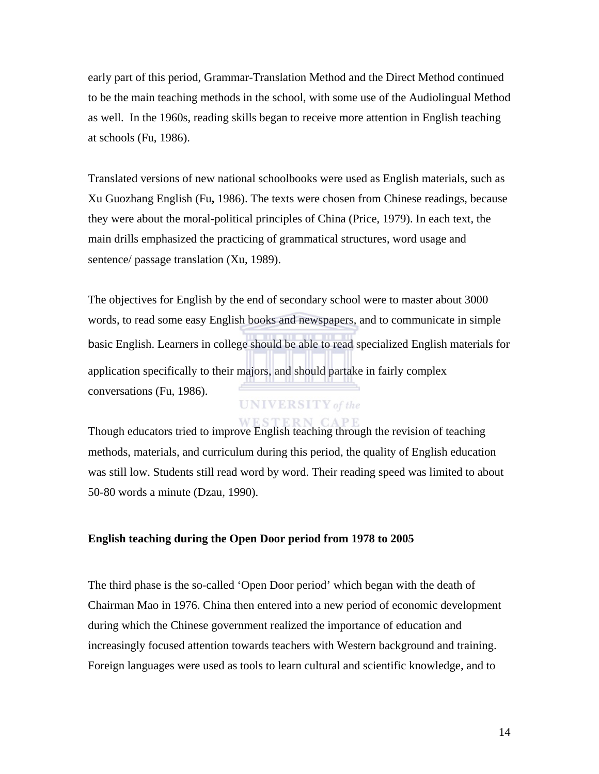early part of this period, Grammar-Translation Method and the Direct Method continued to be the main teaching methods in the school, with some use of the Audiolingual Method as well. In the 1960s, reading skills began to receive more attention in English teaching at schools (Fu, 1986).

Translated versions of new national schoolbooks were used as English materials, such as Xu Guozhang English (Fu**,** 1986). The texts were chosen from Chinese readings, because they were about the moral-political principles of China (Price, 1979). In each text, the main drills emphasized the practicing of grammatical structures, word usage and sentence/ passage translation (Xu, 1989).

The objectives for English by the end of secondary school were to master about 3000 words, to read some easy English books and newspapers, and to communicate in simple basic English. Learners in college should be able to read specialized English materials for application specifically to their majors, and should partake in fairly complex conversations (Fu, 1986).

### **UNIVERSITY** of the

## **ERN CAPE** Though educators tried to improve English teaching through the revision of teaching methods, materials, and curriculum during this period, the quality of English education was still low. Students still read word by word. Their reading speed was limited to about 50-80 words a minute (Dzau, 1990).

### **English teaching during the Open Door period from 1978 to 2005**

The third phase is the so-called 'Open Door period' which began with the death of Chairman Mao in 1976. China then entered into a new period of economic development during which the Chinese government realized the importance of education and increasingly focused attention towards teachers with Western background and training. Foreign languages were used as tools to learn cultural and scientific knowledge, and to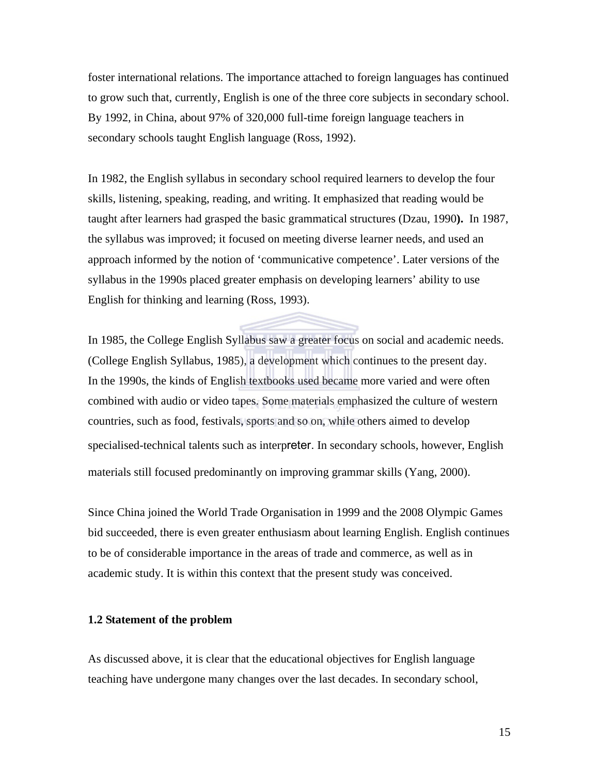foster international relations. The importance attached to foreign languages has continued to grow such that, currently, English is one of the three core subjects in secondary school. By 1992, in China, about 97% of 320,000 full-time foreign language teachers in secondary schools taught English language (Ross, 1992).

In 1982, the English syllabus in secondary school required learners to develop the four skills, listening, speaking, reading, and writing. It emphasized that reading would be taught after learners had grasped the basic grammatical structures (Dzau, 1990**).** In 1987, the syllabus was improved; it focused on meeting diverse learner needs, and used an approach informed by the notion of 'communicative competence'. Later versions of the syllabus in the 1990s placed greater emphasis on developing learners' ability to use English for thinking and learning (Ross, 1993).

In 1985, the College English Syllabus saw a greater focus on social and academic needs. (College English Syllabus, 1985), a development which continues to the present day. In the 1990s, the kinds of English textbooks used became more varied and were often combined with audio or video tapes. Some materials emphasized the culture of western countries, such as food, festivals, sports and so on, while others aimed to develop specialised-technical talents such as interpreter. In secondary schools, however, English materials still focused predominantly on improving grammar skills (Yang, 2000).

Since China joined the World Trade Organisation in 1999 and the 2008 Olympic Games bid succeeded, there is even greater enthusiasm about learning English. English continues to be of considerable importance in the areas of trade and commerce, as well as in academic study. It is within this context that the present study was conceived.

### **1.2 Statement of the problem**

As discussed above, it is clear that the educational objectives for English language teaching have undergone many changes over the last decades. In secondary school,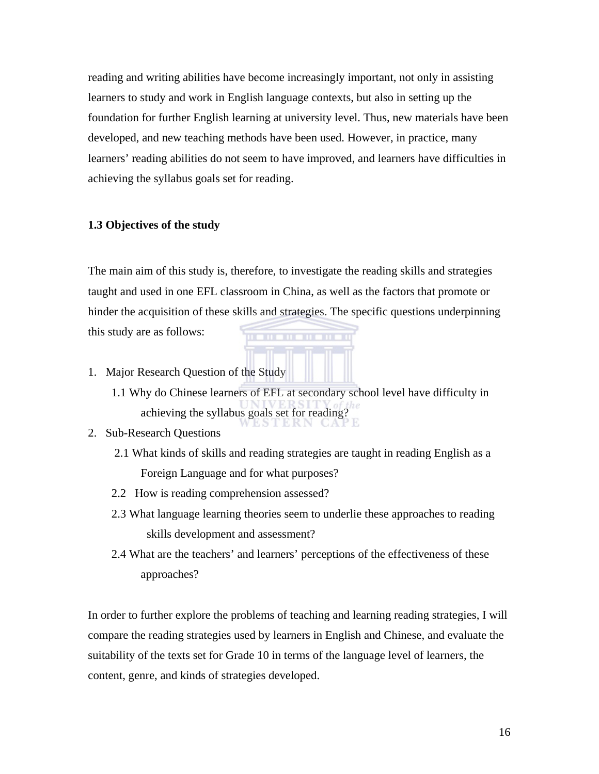reading and writing abilities have become increasingly important, not only in assisting learners to study and work in English language contexts, but also in setting up the foundation for further English learning at university level. Thus, new materials have been developed, and new teaching methods have been used. However, in practice, many learners' reading abilities do not seem to have improved, and learners have difficulties in achieving the syllabus goals set for reading.

### **1.3 Objectives of the study**

The main aim of this study is, therefore, to investigate the reading skills and strategies taught and used in one EFL classroom in China, as well as the factors that promote or hinder the acquisition of these skills and strategies. The specific questions underpinning

. . . . . . . . . .

this study are as follows:

- 1. Major Research Question of the Study
	- 1.1 Why do Chinese learners of EFL at secondary school level have difficulty in achieving the syllabus goals set for reading?

### 2. Sub-Research Questions

- 2.1 What kinds of skills and reading strategies are taught in reading English as a Foreign Language and for what purposes?
- 2.2 How is reading comprehension assessed?
- 2.3 What language learning theories seem to underlie these approaches to reading skills development and assessment?
- 2.4 What are the teachers' and learners' perceptions of the effectiveness of these approaches?

In order to further explore the problems of teaching and learning reading strategies, I will compare the reading strategies used by learners in English and Chinese, and evaluate the suitability of the texts set for Grade 10 in terms of the language level of learners, the content, genre, and kinds of strategies developed.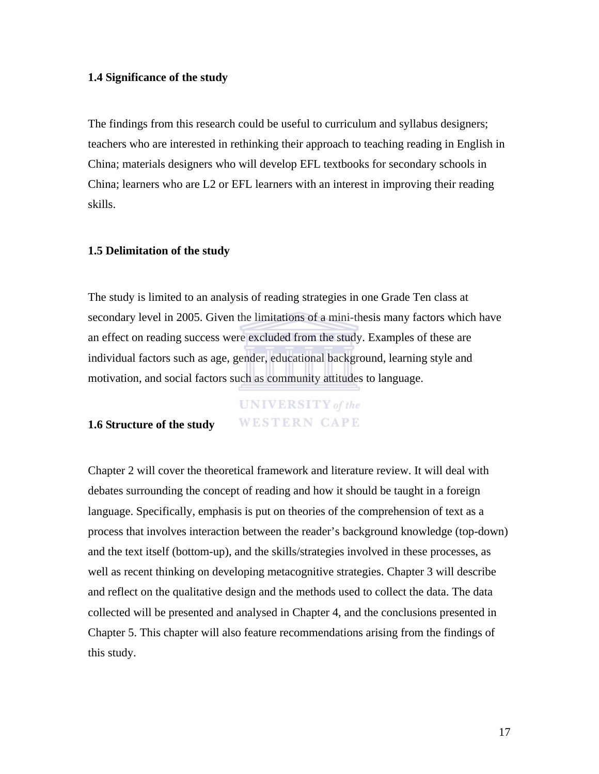### **1.4 Significance of the study**

The findings from this research could be useful to curriculum and syllabus designers; teachers who are interested in rethinking their approach to teaching reading in English in China; materials designers who will develop EFL textbooks for secondary schools in China; learners who are L2 or EFL learners with an interest in improving their reading skills.

### **1.5 Delimitation of the study**

The study is limited to an analysis of reading strategies in one Grade Ten class at secondary level in 2005. Given the limitations of a mini-thesis many factors which have an effect on reading success were excluded from the study. Examples of these are individual factors such as age, gender, educational background, learning style and motivation, and social factors such as community attitudes to language.

# **UNIVERSITY** of the **WESTERN CAPE**

### **1.6 Structure of the study**

Chapter 2 will cover the theoretical framework and literature review. It will deal with debates surrounding the concept of reading and how it should be taught in a foreign language. Specifically, emphasis is put on theories of the comprehension of text as a process that involves interaction between the reader's background knowledge (top-down) and the text itself (bottom-up), and the skills/strategies involved in these processes, as well as recent thinking on developing metacognitive strategies. Chapter 3 will describe and reflect on the qualitative design and the methods used to collect the data. The data collected will be presented and analysed in Chapter 4, and the conclusions presented in Chapter 5. This chapter will also feature recommendations arising from the findings of this study.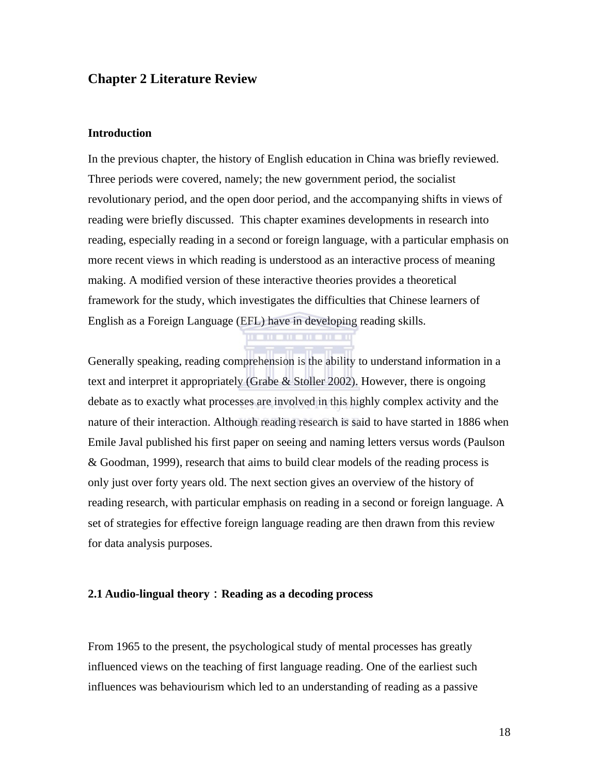### **Chapter 2 Literature Review**

#### **Introduction**

In the previous chapter, the history of English education in China was briefly reviewed. Three periods were covered, namely; the new government period, the socialist revolutionary period, and the open door period, and the accompanying shifts in views of reading were briefly discussed. This chapter examines developments in research into reading, especially reading in a second or foreign language, with a particular emphasis on more recent views in which reading is understood as an interactive process of meaning making. A modified version of these interactive theories provides a theoretical framework for the study, which investigates the difficulties that Chinese learners of English as a Foreign Language (EFL) have in developing reading skills.

Generally speaking, reading comprehension is the ability to understand information in a text and interpret it appropriately (Grabe & Stoller 2002). However, there is ongoing debate as to exactly what processes are involved in this highly complex activity and the nature of their interaction. Although reading research is said to have started in 1886 when Emile Javal published his first paper on seeing and naming letters versus words (Paulson & Goodman, 1999), research that aims to build clear models of the reading process is only just over forty years old. The next section gives an overview of the history of reading research, with particular emphasis on reading in a second or foreign language. A set of strategies for effective foreign language reading are then drawn from this review for data analysis purposes.

#### **2.1 Audio-lingual theory**:**Reading as a decoding process**

From 1965 to the present, the psychological study of mental processes has greatly influenced views on the teaching of first language reading. One of the earliest such influences was behaviourism which led to an understanding of reading as a passive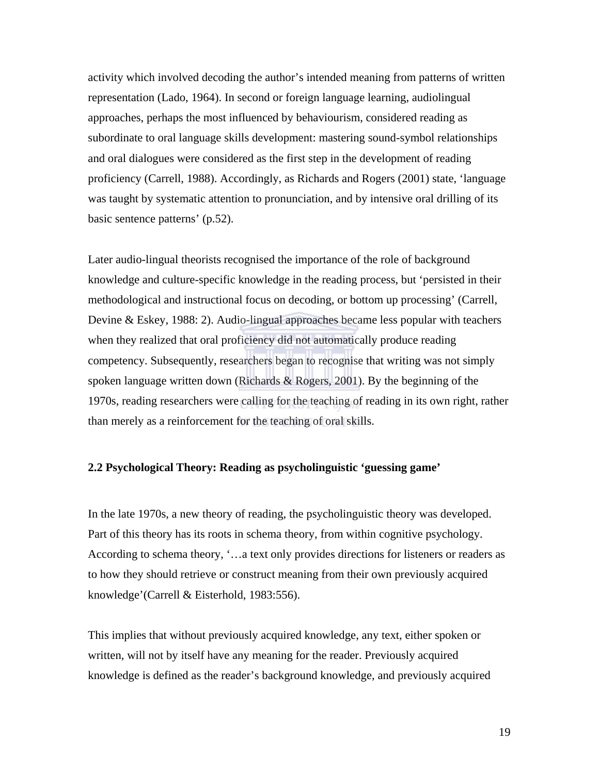activity which involved decoding the author's intended meaning from patterns of written representation (Lado, 1964). In second or foreign language learning, audiolingual approaches, perhaps the most influenced by behaviourism, considered reading as subordinate to oral language skills development: mastering sound-symbol relationships and oral dialogues were considered as the first step in the development of reading proficiency (Carrell, 1988). Accordingly, as Richards and Rogers (2001) state, 'language was taught by systematic attention to pronunciation, and by intensive oral drilling of its basic sentence patterns' (p.52).

Later audio-lingual theorists recognised the importance of the role of background knowledge and culture-specific knowledge in the reading process, but 'persisted in their methodological and instructional focus on decoding, or bottom up processing' (Carrell, Devine & Eskey, 1988: 2). Audio-lingual approaches became less popular with teachers when they realized that oral proficiency did not automatically produce reading competency. Subsequently, researchers began to recognise that writing was not simply spoken language written down (Richards & Rogers, 2001). By the beginning of the 1970s, reading researchers were calling for the teaching of reading in its own right, rather than merely as a reinforcement for the teaching of oral skills.

### **2.2 Psychological Theory: Reading as psycholinguistic 'guessing game'**

In the late 1970s, a new theory of reading, the psycholinguistic theory was developed. Part of this theory has its roots in schema theory, from within cognitive psychology. According to schema theory, '…a text only provides directions for listeners or readers as to how they should retrieve or construct meaning from their own previously acquired knowledge'(Carrell & Eisterhold, 1983:556).

This implies that without previously acquired knowledge, any text, either spoken or written, will not by itself have any meaning for the reader. Previously acquired knowledge is defined as the reader's background knowledge, and previously acquired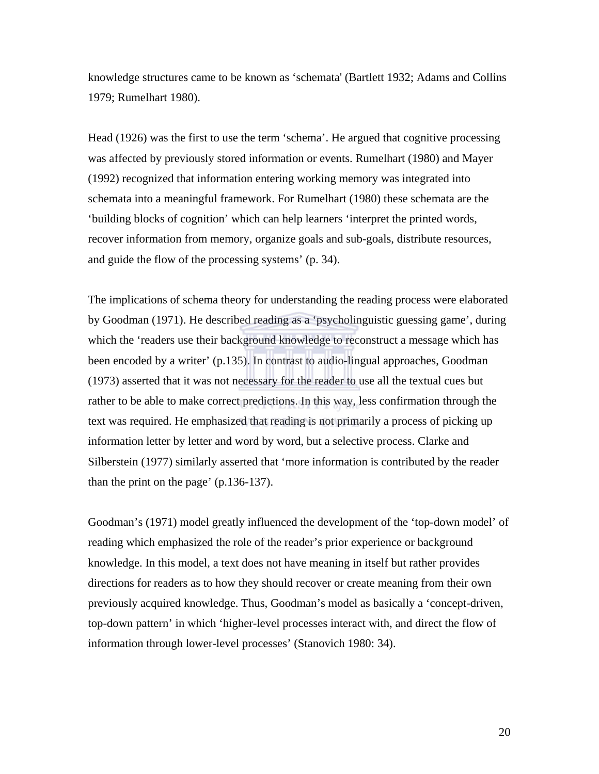knowledge structures came to be known as 'schemata' (Bartlett 1932; Adams and Collins 1979; Rumelhart 1980).

Head (1926) was the first to use the term 'schema'. He argued that cognitive processing was affected by previously stored information or events. Rumelhart (1980) and Mayer (1992) recognized that information entering working memory was integrated into schemata into a meaningful framework. For Rumelhart (1980) these schemata are the 'building blocks of cognition' which can help learners 'interpret the printed words, recover information from memory, organize goals and sub-goals, distribute resources, and guide the flow of the processing systems' (p. 34).

The implications of schema theory for understanding the reading process were elaborated by Goodman (1971). He described reading as a 'psycholinguistic guessing game', during which the 'readers use their background knowledge to reconstruct a message which has been encoded by a writer' (p.135). In contrast to audio-lingual approaches, Goodman (1973) asserted that it was not necessary for the reader to use all the textual cues but rather to be able to make correct predictions. In this way, less confirmation through the text was required. He emphasized that reading is not primarily a process of picking up information letter by letter and word by word, but a selective process. Clarke and Silberstein (1977) similarly asserted that 'more information is contributed by the reader than the print on the page' (p.136-137).

Goodman's (1971) model greatly influenced the development of the 'top-down model' of reading which emphasized the role of the reader's prior experience or background knowledge. In this model, a text does not have meaning in itself but rather provides directions for readers as to how they should recover or create meaning from their own previously acquired knowledge. Thus, Goodman's model as basically a 'concept-driven, top-down pattern' in which 'higher-level processes interact with, and direct the flow of information through lower-level processes' (Stanovich 1980: 34).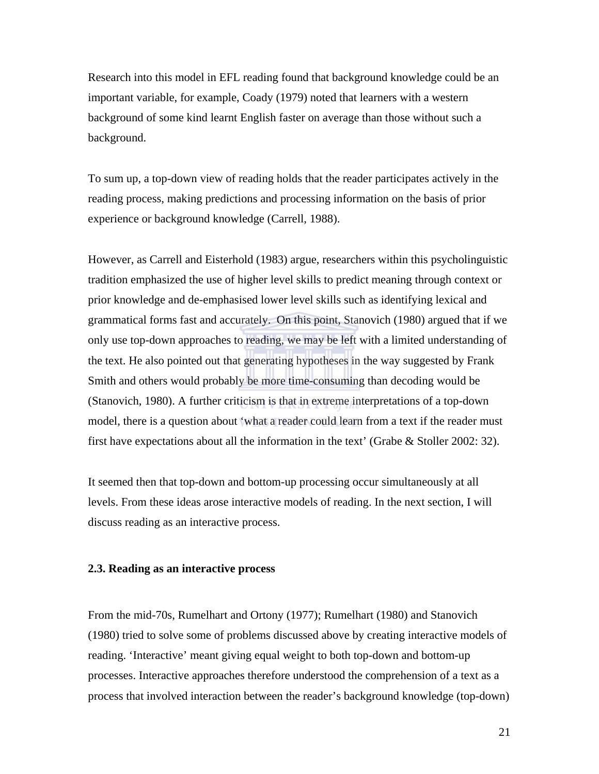Research into this model in EFL reading found that background knowledge could be an important variable, for example, Coady (1979) noted that learners with a western background of some kind learnt English faster on average than those without such a background.

To sum up, a top-down view of reading holds that the reader participates actively in the reading process, making predictions and processing information on the basis of prior experience or background knowledge (Carrell, 1988).

However, as Carrell and Eisterhold (1983) argue, researchers within this psycholinguistic tradition emphasized the use of higher level skills to predict meaning through context or prior knowledge and de-emphasised lower level skills such as identifying lexical and grammatical forms fast and accurately. On this point, Stanovich (1980) argued that if we only use top-down approaches to reading, we may be left with a limited understanding of the text. He also pointed out that generating hypotheses in the way suggested by Frank Smith and others would probably be more time-consuming than decoding would be (Stanovich, 1980). A further criticism is that in extreme interpretations of a top-down model, there is a question about 'what a reader could learn from a text if the reader must first have expectations about all the information in the text' (Grabe & Stoller 2002: 32).

It seemed then that top-down and bottom-up processing occur simultaneously at all levels. From these ideas arose interactive models of reading. In the next section, I will discuss reading as an interactive process.

#### **2.3. Reading as an interactive process**

From the mid-70s, Rumelhart and Ortony (1977); Rumelhart (1980) and Stanovich (1980) tried to solve some of problems discussed above by creating interactive models of reading. 'Interactive' meant giving equal weight to both top-down and bottom-up processes. Interactive approaches therefore understood the comprehension of a text as a process that involved interaction between the reader's background knowledge (top-down)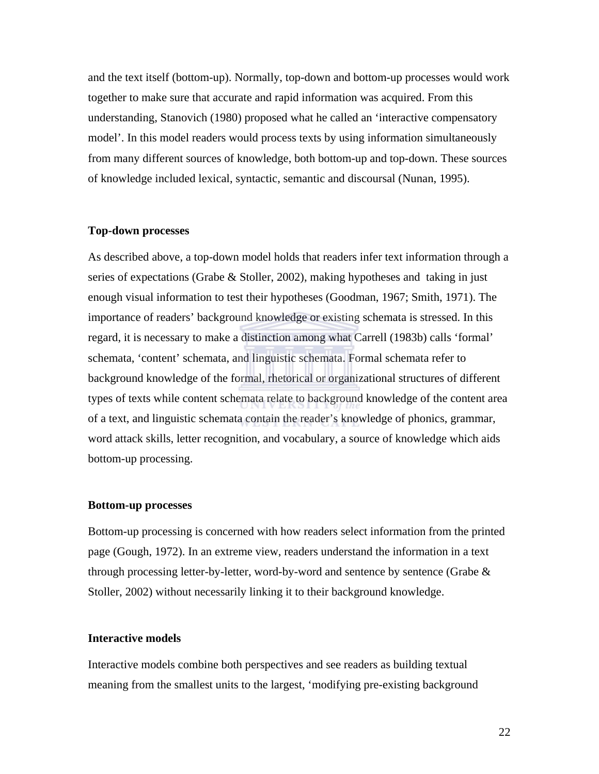and the text itself (bottom-up). Normally, top-down and bottom-up processes would work together to make sure that accurate and rapid information was acquired. From this understanding, Stanovich (1980) proposed what he called an 'interactive compensatory model'. In this model readers would process texts by using information simultaneously from many different sources of knowledge, both bottom-up and top-down. These sources of knowledge included lexical, syntactic, semantic and discoursal (Nunan, 1995).

### **Top-down processes**

As described above, a top-down model holds that readers infer text information through a series of expectations (Grabe & Stoller, 2002), making hypotheses and taking in just enough visual information to test their hypotheses (Goodman, 1967; Smith, 1971). The importance of readers' background knowledge or existing schemata is stressed. In this regard, it is necessary to make a distinction among what Carrell (1983b) calls 'formal' schemata, 'content' schemata, and linguistic schemata. Formal schemata refer to background knowledge of the formal, rhetorical or organizational structures of different types of texts while content schemata relate to background knowledge of the content area of a text, and linguistic schemata contain the reader's knowledge of phonics, grammar, word attack skills, letter recognition, and vocabulary, a source of knowledge which aids bottom-up processing.

### **Bottom-up processes**

Bottom-up processing is concerned with how readers select information from the printed page (Gough, 1972). In an extreme view, readers understand the information in a text through processing letter-by-letter, word-by-word and sentence by sentence (Grabe  $\&$ Stoller, 2002) without necessarily linking it to their background knowledge.

#### **Interactive models**

Interactive models combine both perspectives and see readers as building textual meaning from the smallest units to the largest, 'modifying pre-existing background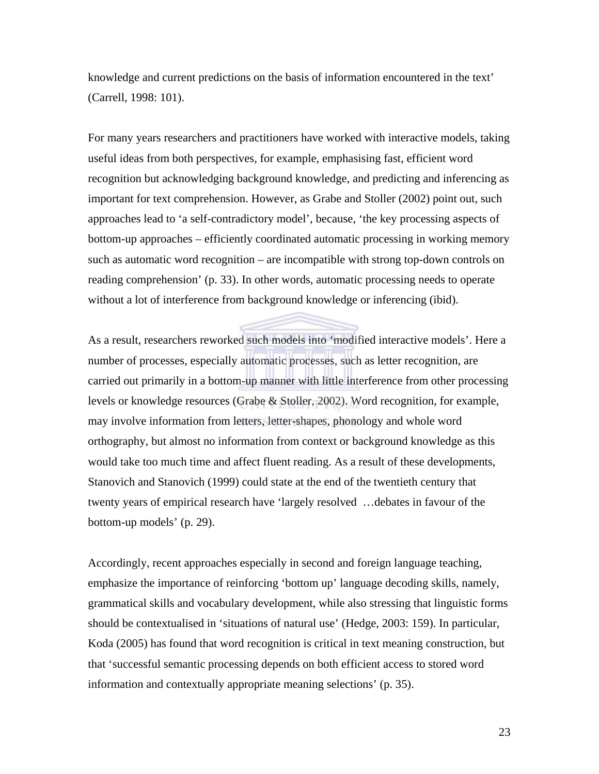knowledge and current predictions on the basis of information encountered in the text' (Carrell, 1998: 101).

For many years researchers and practitioners have worked with interactive models, taking useful ideas from both perspectives, for example, emphasising fast, efficient word recognition but acknowledging background knowledge, and predicting and inferencing as important for text comprehension. However, as Grabe and Stoller (2002) point out, such approaches lead to 'a self-contradictory model', because, 'the key processing aspects of bottom-up approaches – efficiently coordinated automatic processing in working memory such as automatic word recognition – are incompatible with strong top-down controls on reading comprehension' (p. 33). In other words, automatic processing needs to operate without a lot of interference from background knowledge or inferencing (ibid).

As a result, researchers reworked such models into 'modified interactive models'. Here a number of processes, especially automatic processes, such as letter recognition, are carried out primarily in a bottom-up manner with little interference from other processing levels or knowledge resources (Grabe & Stoller, 2002). Word recognition, for example, may involve information from letters, letter-shapes, phonology and whole word orthography, but almost no information from context or background knowledge as this would take too much time and affect fluent reading. As a result of these developments, Stanovich and Stanovich (1999) could state at the end of the twentieth century that twenty years of empirical research have 'largely resolved …debates in favour of the bottom-up models' (p. 29).

Accordingly, recent approaches especially in second and foreign language teaching, emphasize the importance of reinforcing 'bottom up' language decoding skills, namely, grammatical skills and vocabulary development, while also stressing that linguistic forms should be contextualised in 'situations of natural use' (Hedge, 2003: 159). In particular, Koda (2005) has found that word recognition is critical in text meaning construction, but that 'successful semantic processing depends on both efficient access to stored word information and contextually appropriate meaning selections' (p. 35).

23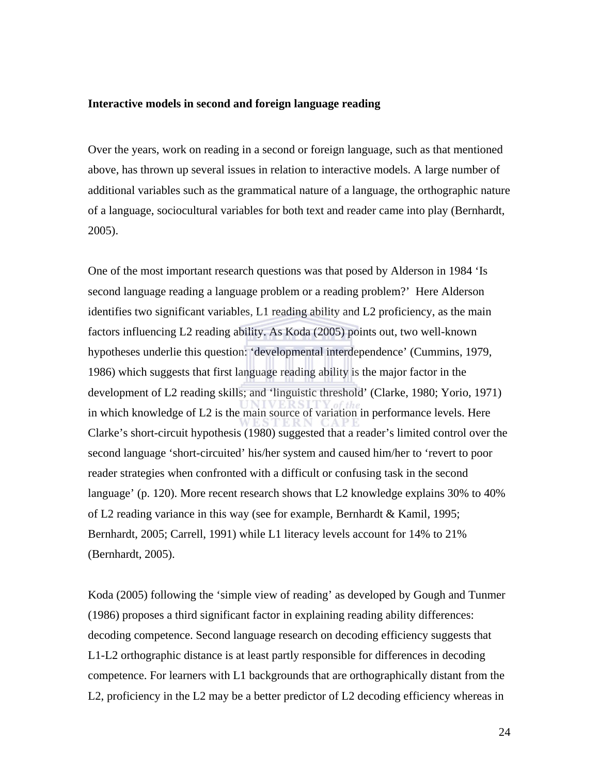#### **Interactive models in second and foreign language reading**

Over the years, work on reading in a second or foreign language, such as that mentioned above, has thrown up several issues in relation to interactive models. A large number of additional variables such as the grammatical nature of a language, the orthographic nature of a language, sociocultural variables for both text and reader came into play (Bernhardt, 2005).

One of the most important research questions was that posed by Alderson in 1984 'Is second language reading a language problem or a reading problem?' Here Alderson identifies two significant variables, L1 reading ability and L2 proficiency, as the main factors influencing L2 reading ability. As Koda (2005) points out, two well-known hypotheses underlie this question: 'developmental interdependence' (Cummins, 1979, 1986) which suggests that first language reading ability is the major factor in the development of L2 reading skills; and 'linguistic threshold' (Clarke, 1980; Yorio, 1971) in which knowledge of L2 is the main source of variation in performance levels. Here Clarke's short-circuit hypothesis (1980) suggested that a reader's limited control over the second language 'short-circuited' his/her system and caused him/her to 'revert to poor reader strategies when confronted with a difficult or confusing task in the second language' (p. 120). More recent research shows that L2 knowledge explains 30% to 40% of L2 reading variance in this way (see for example, Bernhardt & Kamil, 1995; Bernhardt, 2005; Carrell, 1991) while L1 literacy levels account for 14% to 21% (Bernhardt, 2005).

Koda (2005) following the 'simple view of reading' as developed by Gough and Tunmer (1986) proposes a third significant factor in explaining reading ability differences: decoding competence. Second language research on decoding efficiency suggests that L1-L2 orthographic distance is at least partly responsible for differences in decoding competence. For learners with L1 backgrounds that are orthographically distant from the L2, proficiency in the L2 may be a better predictor of L2 decoding efficiency whereas in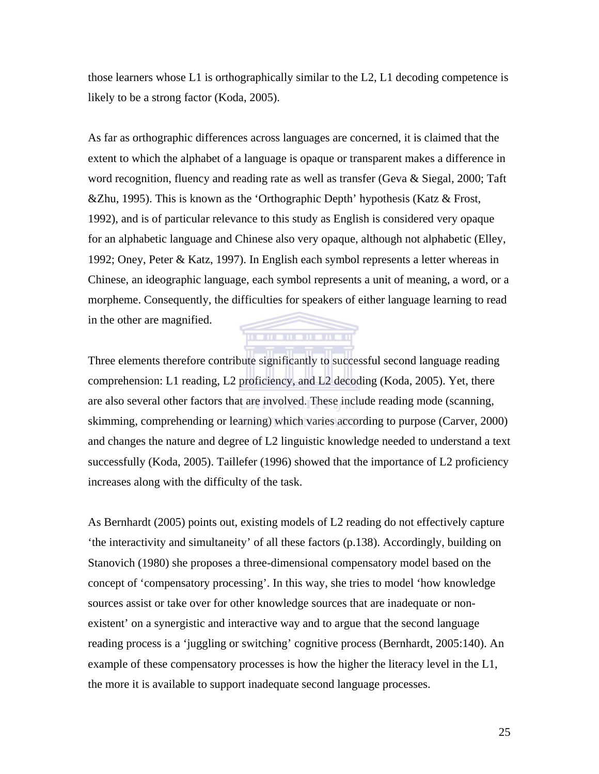those learners whose L1 is orthographically similar to the L2, L1 decoding competence is likely to be a strong factor (Koda, 2005).

As far as orthographic differences across languages are concerned, it is claimed that the extent to which the alphabet of a language is opaque or transparent makes a difference in word recognition, fluency and reading rate as well as transfer (Geva & Siegal, 2000; Taft &Zhu, 1995). This is known as the 'Orthographic Depth' hypothesis (Katz & Frost, 1992), and is of particular relevance to this study as English is considered very opaque for an alphabetic language and Chinese also very opaque, although not alphabetic (Elley, 1992; Oney, Peter & Katz, 1997). In English each symbol represents a letter whereas in Chinese, an ideographic language, each symbol represents a unit of meaning, a word, or a morpheme. Consequently, the difficulties for speakers of either language learning to read in the other are magnified. ,,,,,,,,,,,,,,,,,

Three elements therefore contribute significantly to successful second language reading comprehension: L1 reading, L2 proficiency, and L2 decoding (Koda, 2005). Yet, there are also several other factors that are involved. These include reading mode (scanning, skimming, comprehending or learning) which varies according to purpose (Carver, 2000) and changes the nature and degree of L2 linguistic knowledge needed to understand a text successfully (Koda, 2005). Taillefer (1996) showed that the importance of L2 proficiency increases along with the difficulty of the task.

As Bernhardt (2005) points out, existing models of L2 reading do not effectively capture 'the interactivity and simultaneity' of all these factors (p.138). Accordingly, building on Stanovich (1980) she proposes a three-dimensional compensatory model based on the concept of 'compensatory processing'. In this way, she tries to model 'how knowledge sources assist or take over for other knowledge sources that are inadequate or nonexistent' on a synergistic and interactive way and to argue that the second language reading process is a 'juggling or switching' cognitive process (Bernhardt, 2005:140). An example of these compensatory processes is how the higher the literacy level in the L1, the more it is available to support inadequate second language processes.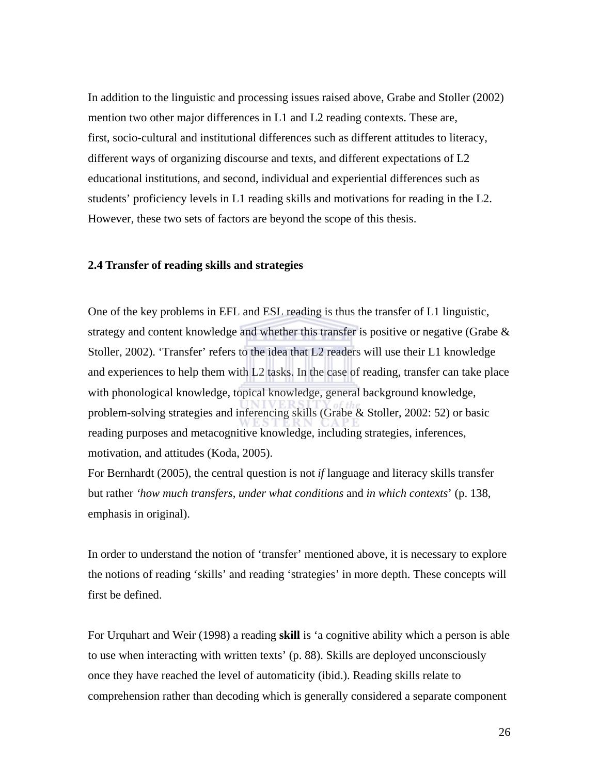In addition to the linguistic and processing issues raised above, Grabe and Stoller (2002) mention two other major differences in L1 and L2 reading contexts. These are, first, socio-cultural and institutional differences such as different attitudes to literacy, different ways of organizing discourse and texts, and different expectations of L2 educational institutions, and second, individual and experiential differences such as students' proficiency levels in L1 reading skills and motivations for reading in the L2. However, these two sets of factors are beyond the scope of this thesis.

#### **2.4 Transfer of reading skills and strategies**

One of the key problems in EFL and ESL reading is thus the transfer of L1 linguistic, strategy and content knowledge and whether this transfer is positive or negative (Grabe  $\&$ Stoller, 2002). 'Transfer' refers to the idea that L2 readers will use their L1 knowledge and experiences to help them with L2 tasks. In the case of reading, transfer can take place with phonological knowledge, topical knowledge, general background knowledge, problem-solving strategies and inferencing skills (Grabe & Stoller, 2002: 52) or basic reading purposes and metacognitive knowledge, including strategies, inferences, motivation, and attitudes (Koda, 2005).

For Bernhardt (2005), the central question is not *if* language and literacy skills transfer but rather *'how much transfers*, *under what conditions* and *in which contexts*' (p. 138, emphasis in original).

In order to understand the notion of 'transfer' mentioned above, it is necessary to explore the notions of reading 'skills' and reading 'strategies' in more depth. These concepts will first be defined.

For Urquhart and Weir (1998) a reading **skill** is 'a cognitive ability which a person is able to use when interacting with written texts' (p. 88). Skills are deployed unconsciously once they have reached the level of automaticity (ibid.). Reading skills relate to comprehension rather than decoding which is generally considered a separate component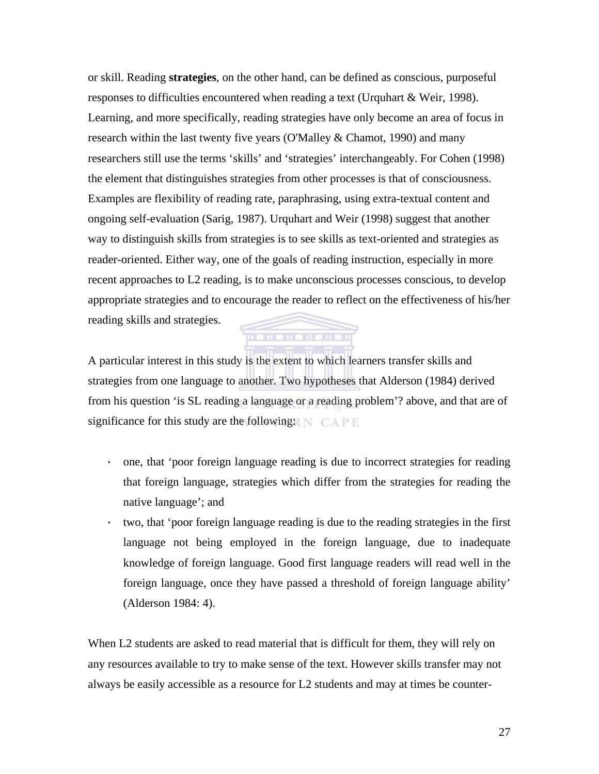or skill. Reading **strategies**, on the other hand, can be defined as conscious, purposeful responses to difficulties encountered when reading a text (Urquhart & Weir, 1998). Learning, and more specifically, reading strategies have only become an area of focus in research within the last twenty five years (O'Malley & Chamot, 1990) and many researchers still use the terms 'skills' and 'strategies' interchangeably. For Cohen (1998) the element that distinguishes strategies from other processes is that of consciousness. Examples are flexibility of reading rate, paraphrasing, using extra-textual content and ongoing self-evaluation (Sarig, 1987). Urquhart and Weir (1998) suggest that another way to distinguish skills from strategies is to see skills as text-oriented and strategies as reader-oriented. Either way, one of the goals of reading instruction, especially in more recent approaches to L2 reading, is to make unconscious processes conscious, to develop appropriate strategies and to encourage the reader to reflect on the effectiveness of his/her reading skills and strategies.

A particular interest in this study is the extent to which learners transfer skills and strategies from one language to another. Two hypotheses that Alderson (1984) derived from his question 'is SL reading a language or a reading problem'? above, and that are of significance for this study are the following:  $N$  CAPE

. . . . . . . . . . . .

- · one, that 'poor foreign language reading is due to incorrect strategies for reading that foreign language, strategies which differ from the strategies for reading the native language'; and
- · two, that 'poor foreign language reading is due to the reading strategies in the first language not being employed in the foreign language, due to inadequate knowledge of foreign language. Good first language readers will read well in the foreign language, once they have passed a threshold of foreign language ability' (Alderson 1984: 4).

When L2 students are asked to read material that is difficult for them, they will rely on any resources available to try to make sense of the text. However skills transfer may not always be easily accessible as a resource for L2 students and may at times be counter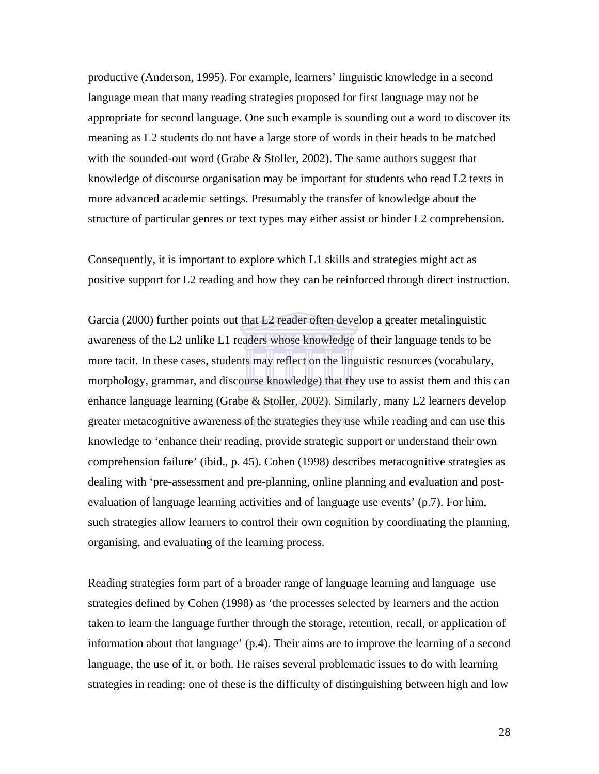productive (Anderson, 1995). For example, learners' linguistic knowledge in a second language mean that many reading strategies proposed for first language may not be appropriate for second language. One such example is sounding out a word to discover its meaning as L2 students do not have a large store of words in their heads to be matched with the sounded-out word (Grabe & Stoller, 2002). The same authors suggest that knowledge of discourse organisation may be important for students who read L2 texts in more advanced academic settings. Presumably the transfer of knowledge about the structure of particular genres or text types may either assist or hinder L2 comprehension.

Consequently, it is important to explore which L1 skills and strategies might act as positive support for L2 reading and how they can be reinforced through direct instruction.

Garcia (2000) further points out that L2 reader often develop a greater metalinguistic awareness of the L2 unlike L1 readers whose knowledge of their language tends to be more tacit. In these cases, students may reflect on the linguistic resources (vocabulary, morphology, grammar, and discourse knowledge) that they use to assist them and this can enhance language learning (Grabe & Stoller, 2002). Similarly, many L2 learners develop greater metacognitive awareness of the strategies they use while reading and can use this knowledge to 'enhance their reading, provide strategic support or understand their own comprehension failure' (ibid., p. 45). Cohen (1998) describes metacognitive strategies as dealing with 'pre-assessment and pre-planning, online planning and evaluation and postevaluation of language learning activities and of language use events' (p.7). For him, such strategies allow learners to control their own cognition by coordinating the planning, organising, and evaluating of the learning process.

Reading strategies form part of a broader range of language learning and language use strategies defined by Cohen (1998) as 'the processes selected by learners and the action taken to learn the language further through the storage, retention, recall, or application of information about that language' (p.4). Their aims are to improve the learning of a second language, the use of it, or both. He raises several problematic issues to do with learning strategies in reading: one of these is the difficulty of distinguishing between high and low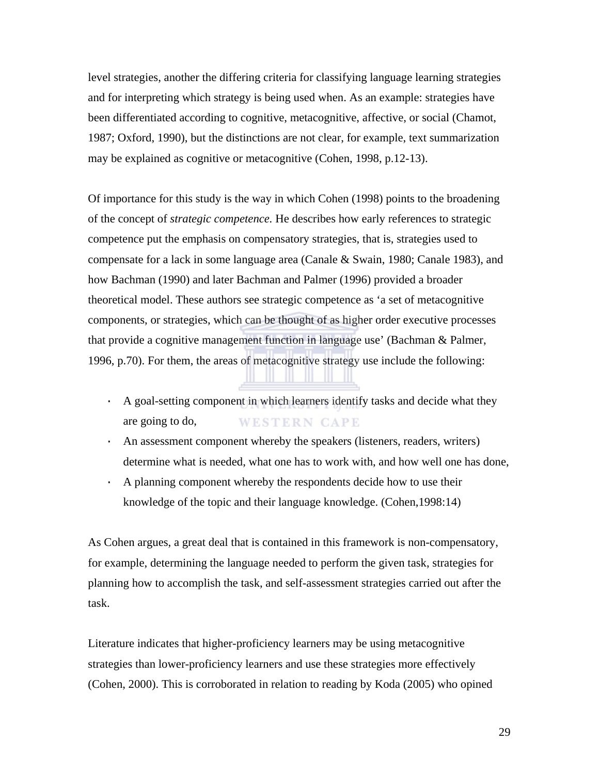level strategies, another the differing criteria for classifying language learning strategies and for interpreting which strategy is being used when. As an example: strategies have been differentiated according to cognitive, metacognitive, affective, or social (Chamot, 1987; Oxford, 1990), but the distinctions are not clear, for example, text summarization may be explained as cognitive or metacognitive (Cohen, 1998, p.12-13).

Of importance for this study is the way in which Cohen (1998) points to the broadening of the concept of *strategic competence.* He describes how early references to strategic competence put the emphasis on compensatory strategies, that is, strategies used to compensate for a lack in some language area (Canale & Swain, 1980; Canale 1983), and how Bachman (1990) and later Bachman and Palmer (1996) provided a broader theoretical model. These authors see strategic competence as 'a set of metacognitive components, or strategies, which can be thought of as higher order executive processes that provide a cognitive management function in language use' (Bachman & Palmer, 1996, p.70). For them, the areas of metacognitive strategy use include the following:

- · A goal-setting component in which learners identify tasks and decide what they are going to do, **WESTERN CAPE**
- · An assessment component whereby the speakers (listeners, readers, writers) determine what is needed, what one has to work with, and how well one has done,
- · A planning component whereby the respondents decide how to use their knowledge of the topic and their language knowledge. (Cohen,1998:14)

As Cohen argues, a great deal that is contained in this framework is non-compensatory, for example, determining the language needed to perform the given task, strategies for planning how to accomplish the task, and self-assessment strategies carried out after the task.

Literature indicates that higher-proficiency learners may be using metacognitive strategies than lower-proficiency learners and use these strategies more effectively (Cohen, 2000). This is corroborated in relation to reading by Koda (2005) who opined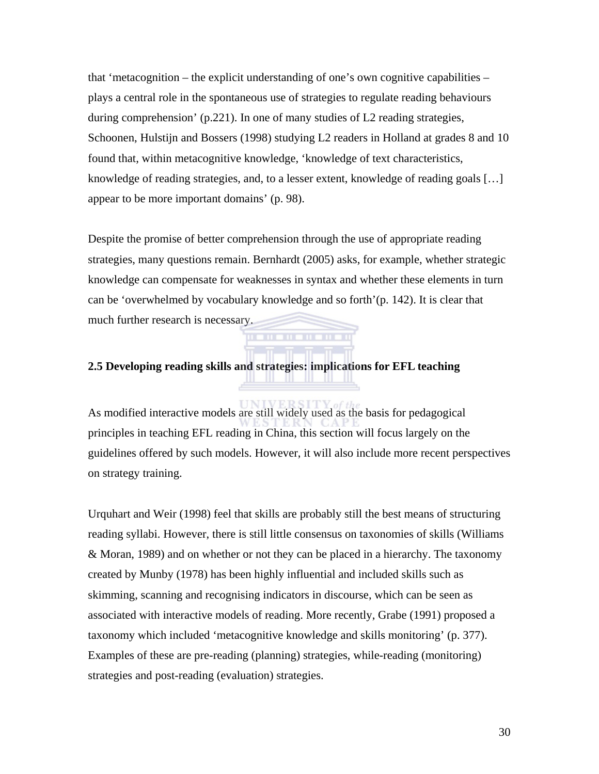that 'metacognition – the explicit understanding of one's own cognitive capabilities – plays a central role in the spontaneous use of strategies to regulate reading behaviours during comprehension' (p.221). In one of many studies of L2 reading strategies, Schoonen, Hulstijn and Bossers (1998) studying L2 readers in Holland at grades 8 and 10 found that, within metacognitive knowledge, 'knowledge of text characteristics, knowledge of reading strategies, and, to a lesser extent, knowledge of reading goals […] appear to be more important domains' (p. 98).

Despite the promise of better comprehension through the use of appropriate reading strategies, many questions remain. Bernhardt (2005) asks, for example, whether strategic knowledge can compensate for weaknesses in syntax and whether these elements in turn can be 'overwhelmed by vocabulary knowledge and so forth'(p. 142). It is clear that much further research is necessary.

### **2.5 Developing reading skills and strategies: implications for EFL teaching**

**TITLE** 

As modified interactive models are still widely used as the basis for pedagogical principles in teaching EFL reading in China, this section will focus largely on the guidelines offered by such models. However, it will also include more recent perspectives on strategy training.

the series of the state of the state of

Urquhart and Weir (1998) feel that skills are probably still the best means of structuring reading syllabi. However, there is still little consensus on taxonomies of skills (Williams & Moran, 1989) and on whether or not they can be placed in a hierarchy. The taxonomy created by Munby (1978) has been highly influential and included skills such as skimming, scanning and recognising indicators in discourse, which can be seen as associated with interactive models of reading. More recently, Grabe (1991) proposed a taxonomy which included 'metacognitive knowledge and skills monitoring' (p. 377). Examples of these are pre-reading (planning) strategies, while-reading (monitoring) strategies and post-reading (evaluation) strategies.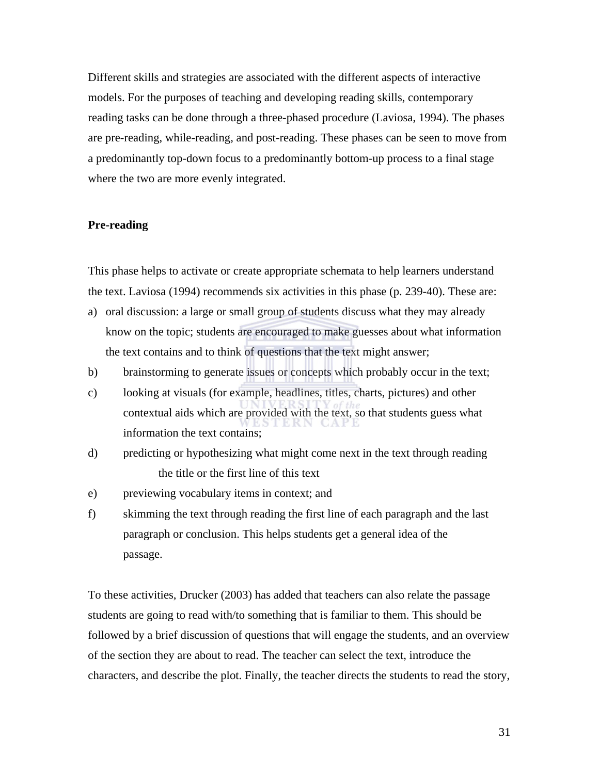Different skills and strategies are associated with the different aspects of interactive models. For the purposes of teaching and developing reading skills, contemporary reading tasks can be done through a three-phased procedure (Laviosa, 1994). The phases are pre-reading, while-reading, and post-reading. These phases can be seen to move from a predominantly top-down focus to a predominantly bottom-up process to a final stage where the two are more evenly integrated.

### **Pre-reading**

This phase helps to activate or create appropriate schemata to help learners understand the text. Laviosa (1994) recommends six activities in this phase (p. 239-40). These are:

- a) oral discussion: a large or small group of students discuss what they may already know on the topic; students are encouraged to make guesses about what information the text contains and to think of questions that the text might answer;
- b) brainstorming to generate issues or concepts which probably occur in the text;
- c) looking at visuals (for example, headlines, titles, charts, pictures) and other contextual aids which are provided with the text, so that students guess what information the text contains;
- d) predicting or hypothesizing what might come next in the text through reading the title or the first line of this text
- e) previewing vocabulary items in context; and
- f) skimming the text through reading the first line of each paragraph and the last paragraph or conclusion. This helps students get a general idea of the passage.

To these activities, Drucker (2003) has added that teachers can also relate the passage students are going to read with/to something that is familiar to them. This should be followed by a brief discussion of questions that will engage the students, and an overview of the section they are about to read. The teacher can select the text, introduce the characters, and describe the plot. Finally, the teacher directs the students to read the story,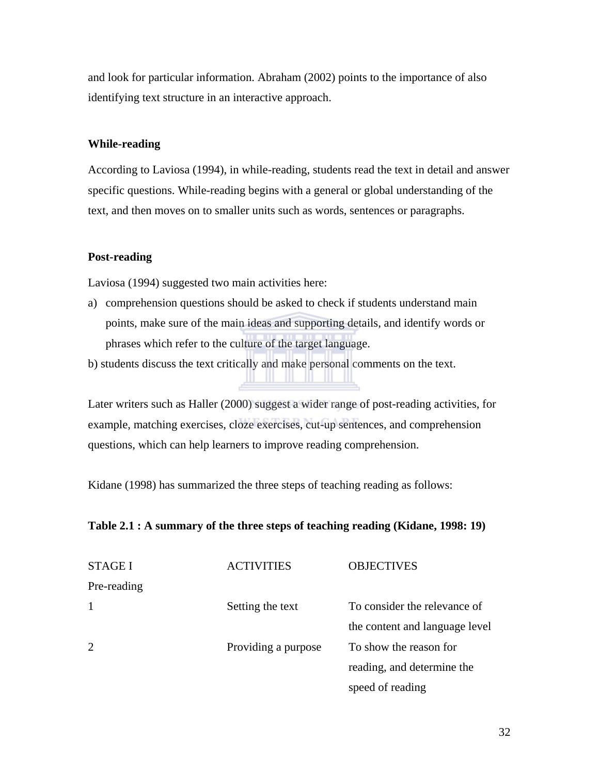and look for particular information. Abraham (2002) points to the importance of also identifying text structure in an interactive approach.

### **While-reading**

According to Laviosa (1994), in while-reading, students read the text in detail and answer specific questions. While-reading begins with a general or global understanding of the text, and then moves on to smaller units such as words, sentences or paragraphs.

### **Post-reading**

Laviosa (1994) suggested two main activities here:

a) comprehension questions should be asked to check if students understand main points, make sure of the main ideas and supporting details, and identify words or phrases which refer to the culture of the target language.

b) students discuss the text critically and make personal comments on the text.

Later writers such as Haller (2000) suggest a wider range of post-reading activities, for example, matching exercises, cloze exercises, cut-up sentences, and comprehension questions, which can help learners to improve reading comprehension.

ш

Kidane (1998) has summarized the three steps of teaching reading as follows:

### **Table 2.1 : A summary of the three steps of teaching reading (Kidane, 1998: 19)**

| <b>STAGE I</b> | <b>ACTIVITIES</b>   | <b>OBJECTIVES</b>              |
|----------------|---------------------|--------------------------------|
| Pre-reading    |                     |                                |
| -1             | Setting the text    | To consider the relevance of   |
|                |                     | the content and language level |
| 2              | Providing a purpose | To show the reason for         |
|                |                     | reading, and determine the     |
|                |                     | speed of reading               |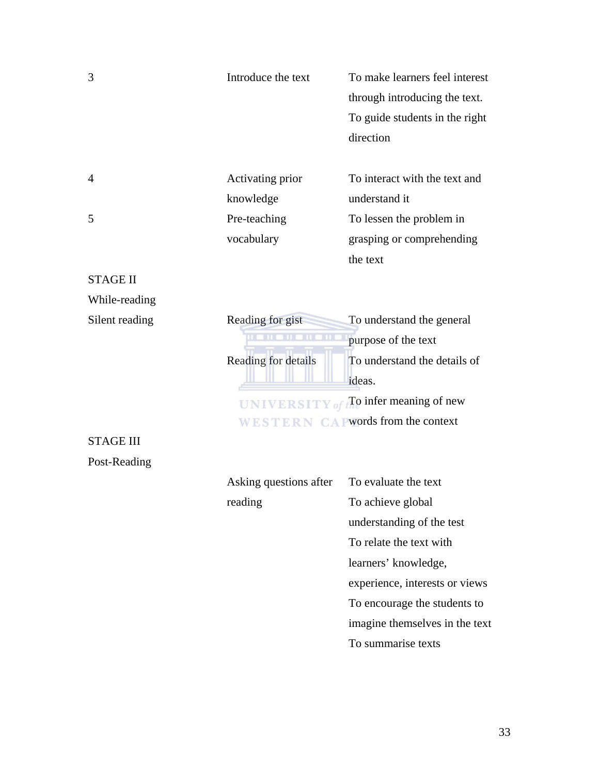| 3                | Introduce the text     | To make learners feel interest<br>through introducing the text.<br>To guide students in the right<br>direction |
|------------------|------------------------|----------------------------------------------------------------------------------------------------------------|
| 4                | Activating prior       | To interact with the text and                                                                                  |
|                  | knowledge              | understand it                                                                                                  |
| 5                | Pre-teaching           | To lessen the problem in                                                                                       |
|                  | vocabulary             | grasping or comprehending                                                                                      |
|                  |                        | the text                                                                                                       |
| <b>STAGE II</b>  |                        |                                                                                                                |
| While-reading    |                        |                                                                                                                |
| Silent reading   | Reading for gist       | To understand the general                                                                                      |
|                  |                        | purpose of the text                                                                                            |
|                  | Reading for details    | To understand the details of                                                                                   |
|                  |                        | ideas.                                                                                                         |
|                  | UNIVERSITY of          | To infer meaning of new                                                                                        |
|                  |                        | WESTERN CA Pwords from the context                                                                             |
| <b>STAGE III</b> |                        |                                                                                                                |
| Post-Reading     |                        |                                                                                                                |
|                  | Asking questions after | To evaluate the text                                                                                           |
|                  | reading                | To achieve global                                                                                              |
|                  |                        | understanding of the test                                                                                      |
|                  |                        | To relate the text with                                                                                        |
|                  |                        | learners' knowledge,                                                                                           |
|                  |                        | experience, interests or views                                                                                 |
|                  |                        | To encourage the students to                                                                                   |
|                  |                        | imagine themselves in the text                                                                                 |
|                  |                        | To summarise texts                                                                                             |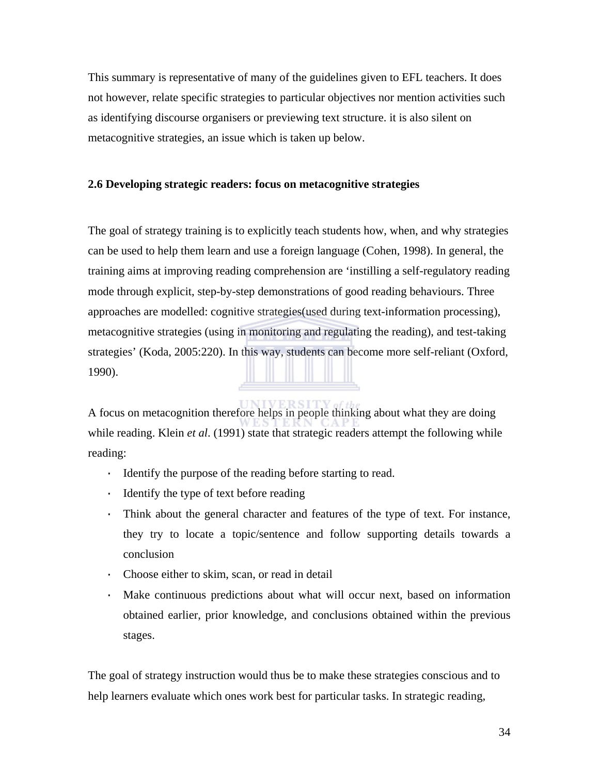This summary is representative of many of the guidelines given to EFL teachers. It does not however, relate specific strategies to particular objectives nor mention activities such as identifying discourse organisers or previewing text structure. it is also silent on metacognitive strategies, an issue which is taken up below.

### **2.6 Developing strategic readers: focus on metacognitive strategies**

The goal of strategy training is to explicitly teach students how, when, and why strategies can be used to help them learn and use a foreign language (Cohen, 1998). In general, the training aims at improving reading comprehension are 'instilling a self-regulatory reading mode through explicit, step-by-step demonstrations of good reading behaviours. Three approaches are modelled: cognitive strategies(used during text-information processing), metacognitive strategies (using in monitoring and regulating the reading), and test-taking strategies' (Koda, 2005:220). In this way, students can become more self-reliant (Oxford, 1990).

A focus on metacognition therefore helps in people thinking about what they are doing while reading. Klein *et al.* (1991) state that strategic readers attempt the following while reading:

- · Identify the purpose of the reading before starting to read.
- · Identify the type of text before reading
- · Think about the general character and features of the type of text. For instance, they try to locate a topic/sentence and follow supporting details towards a conclusion
- · Choose either to skim, scan, or read in detail
- · Make continuous predictions about what will occur next, based on information obtained earlier, prior knowledge, and conclusions obtained within the previous stages.

The goal of strategy instruction would thus be to make these strategies conscious and to help learners evaluate which ones work best for particular tasks. In strategic reading,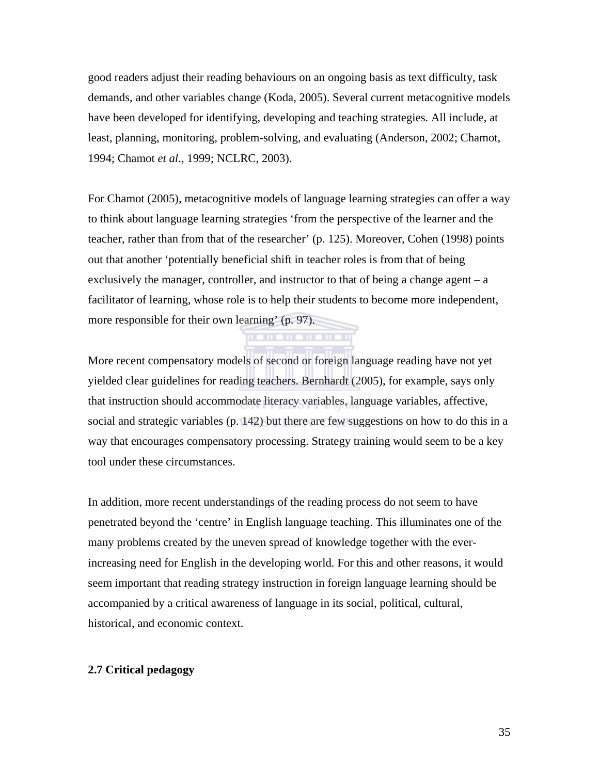good readers adjust their reading behaviours on an ongoing basis as text difficulty, task demands, and other variables change (Koda, 2005). Several current metacognitive models have been developed for identifying, developing and teaching strategies. All include, at least, planning, monitoring, problem-solving, and evaluating (Anderson, 2002; Chamot, 1994; Chamot *et al*., 1999; NCLRC, 2003).

For Chamot (2005), metacognitive models of language learning strategies can offer a way to think about language learning strategies 'from the perspective of the learner and the teacher, rather than from that of the researcher' (p. 125). Moreover, Cohen (1998) points out that another 'potentially beneficial shift in teacher roles is from that of being exclusively the manager, controller, and instructor to that of being a change agent – a facilitator of learning, whose role is to help their students to become more independent, more responsible for their own learning' (p. 97).

**THE HEADER** 

More recent compensatory models of second or foreign language reading have not yet yielded clear guidelines for reading teachers. Bernhardt (2005), for example, says only that instruction should accommodate literacy variables, language variables, affective, social and strategic variables (p. 142) but there are few suggestions on how to do this in a way that encourages compensatory processing. Strategy training would seem to be a key tool under these circumstances.

In addition, more recent understandings of the reading process do not seem to have penetrated beyond the 'centre' in English language teaching. This illuminates one of the many problems created by the uneven spread of knowledge together with the everincreasing need for English in the developing world. For this and other reasons, it would seem important that reading strategy instruction in foreign language learning should be accompanied by a critical awareness of language in its social, political, cultural, historical, and economic context.

#### **2.7 Critical pedagogy**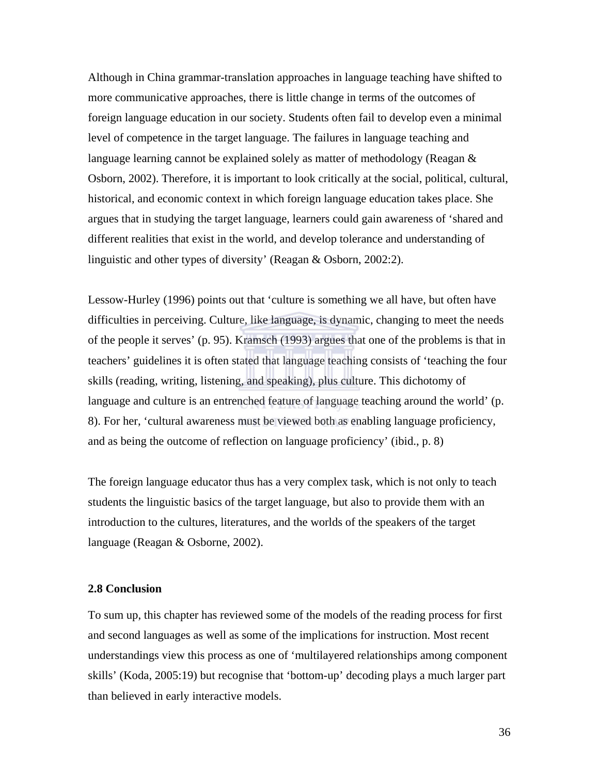Although in China grammar-translation approaches in language teaching have shifted to more communicative approaches, there is little change in terms of the outcomes of foreign language education in our society. Students often fail to develop even a minimal level of competence in the target language. The failures in language teaching and language learning cannot be explained solely as matter of methodology (Reagan & Osborn, 2002). Therefore, it is important to look critically at the social, political, cultural, historical, and economic context in which foreign language education takes place. She argues that in studying the target language, learners could gain awareness of 'shared and different realities that exist in the world, and develop tolerance and understanding of linguistic and other types of diversity' (Reagan & Osborn, 2002:2).

Lessow-Hurley (1996) points out that 'culture is something we all have, but often have difficulties in perceiving. Culture, like language, is dynamic, changing to meet the needs of the people it serves' (p. 95). Kramsch (1993) argues that one of the problems is that in teachers' guidelines it is often stated that language teaching consists of 'teaching the four skills (reading, writing, listening, and speaking), plus culture. This dichotomy of language and culture is an entrenched feature of language teaching around the world' (p. 8). For her, 'cultural awareness must be viewed both as enabling language proficiency, and as being the outcome of reflection on language proficiency' (ibid., p. 8)

The foreign language educator thus has a very complex task, which is not only to teach students the linguistic basics of the target language, but also to provide them with an introduction to the cultures, literatures, and the worlds of the speakers of the target language (Reagan & Osborne, 2002).

#### **2.8 Conclusion**

To sum up, this chapter has reviewed some of the models of the reading process for first and second languages as well as some of the implications for instruction. Most recent understandings view this process as one of 'multilayered relationships among component skills' (Koda, 2005:19) but recognise that 'bottom-up' decoding plays a much larger part than believed in early interactive models.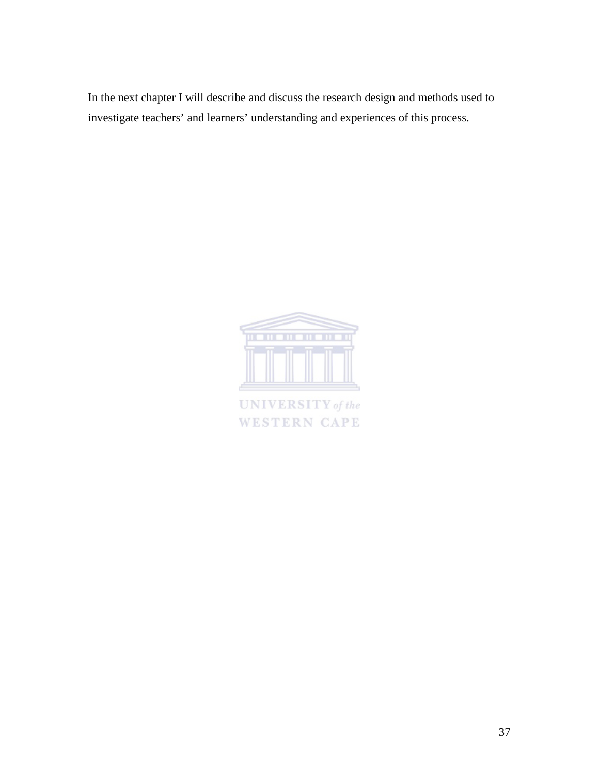In the next chapter I will describe and discuss the research design and methods used to investigate teachers' and learners' understanding and experiences of this process.



**UNIVERSITY** of the **WESTERN CAPE**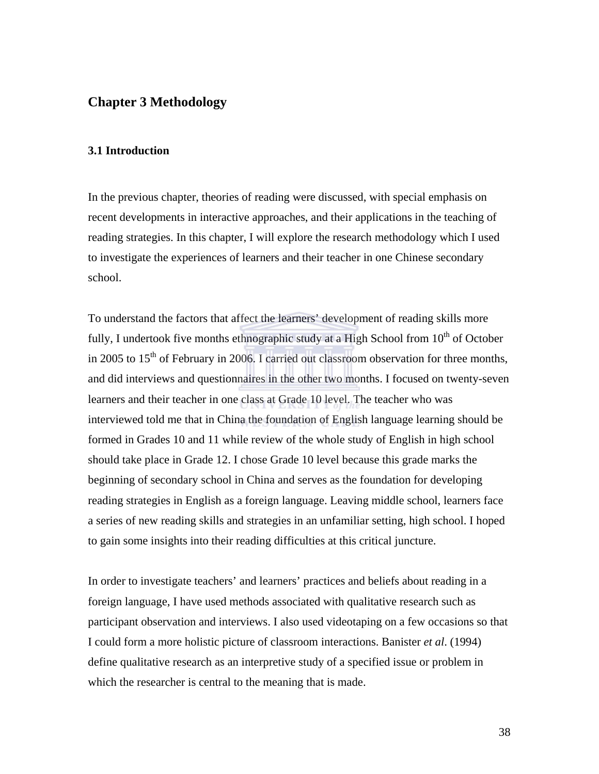### **Chapter 3 Methodology**

#### **3.1 Introduction**

In the previous chapter, theories of reading were discussed, with special emphasis on recent developments in interactive approaches, and their applications in the teaching of reading strategies. In this chapter, I will explore the research methodology which I used to investigate the experiences of learners and their teacher in one Chinese secondary school.

To understand the factors that affect the learners' development of reading skills more fully, I undertook five months ethnographic study at a High School from  $10^{th}$  of October in 2005 to  $15<sup>th</sup>$  of February in 2006. I carried out classroom observation for three months, and did interviews and questionnaires in the other two months. I focused on twenty-seven learners and their teacher in one class at Grade 10 level. The teacher who was interviewed told me that in China the foundation of English language learning should be formed in Grades 10 and 11 while review of the whole study of English in high school should take place in Grade 12. I chose Grade 10 level because this grade marks the beginning of secondary school in China and serves as the foundation for developing reading strategies in English as a foreign language. Leaving middle school, learners face a series of new reading skills and strategies in an unfamiliar setting, high school. I hoped to gain some insights into their reading difficulties at this critical juncture.

In order to investigate teachers' and learners' practices and beliefs about reading in a foreign language, I have used methods associated with qualitative research such as participant observation and interviews. I also used videotaping on a few occasions so that I could form a more holistic picture of classroom interactions. Banister *et al*. (1994) define qualitative research as an interpretive study of a specified issue or problem in which the researcher is central to the meaning that is made.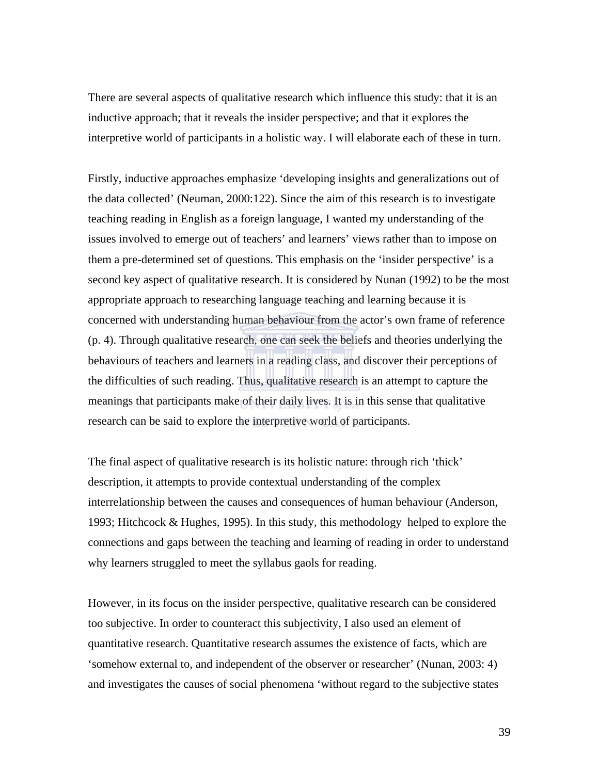There are several aspects of qualitative research which influence this study: that it is an inductive approach; that it reveals the insider perspective; and that it explores the interpretive world of participants in a holistic way. I will elaborate each of these in turn.

Firstly, inductive approaches emphasize 'developing insights and generalizations out of the data collected' (Neuman, 2000:122). Since the aim of this research is to investigate teaching reading in English as a foreign language, I wanted my understanding of the issues involved to emerge out of teachers' and learners' views rather than to impose on them a pre-determined set of questions. This emphasis on the 'insider perspective' is a second key aspect of qualitative research. It is considered by Nunan (1992) to be the most appropriate approach to researching language teaching and learning because it is concerned with understanding human behaviour from the actor's own frame of reference (p. 4). Through qualitative research, one can seek the beliefs and theories underlying the behaviours of teachers and learners in a reading class, and discover their perceptions of the difficulties of such reading. Thus, qualitative research is an attempt to capture the meanings that participants make of their daily lives. It is in this sense that qualitative research can be said to explore the interpretive world of participants.

The final aspect of qualitative research is its holistic nature: through rich 'thick' description, it attempts to provide contextual understanding of the complex interrelationship between the causes and consequences of human behaviour (Anderson, 1993; Hitchcock & Hughes, 1995). In this study, this methodology helped to explore the connections and gaps between the teaching and learning of reading in order to understand why learners struggled to meet the syllabus gaols for reading.

However, in its focus on the insider perspective, qualitative research can be considered too subjective. In order to counteract this subjectivity, I also used an element of quantitative research. Quantitative research assumes the existence of facts, which are 'somehow external to, and independent of the observer or researcher' (Nunan, 2003: 4) and investigates the causes of social phenomena 'without regard to the subjective states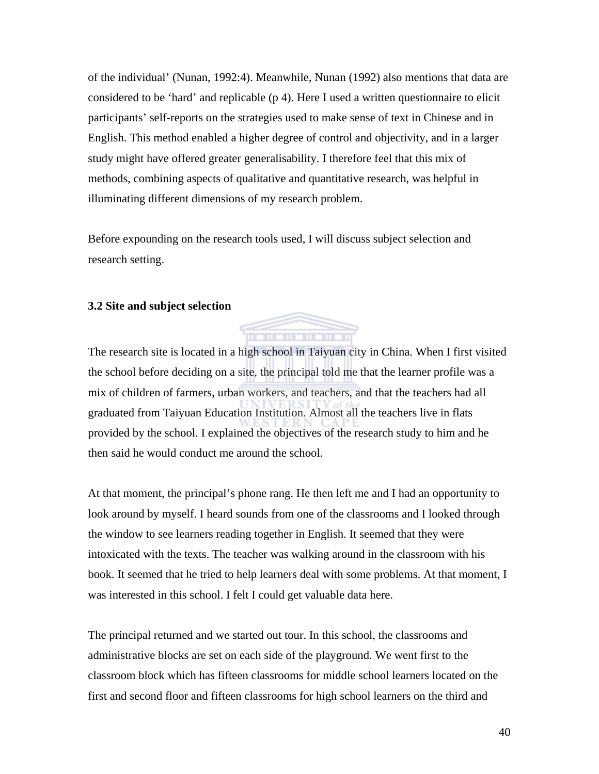of the individual' (Nunan, 1992:4). Meanwhile, Nunan (1992) also mentions that data are considered to be 'hard' and replicable (p 4). Here I used a written questionnaire to elicit participants' self-reports on the strategies used to make sense of text in Chinese and in English. This method enabled a higher degree of control and objectivity, and in a larger study might have offered greater generalisability. I therefore feel that this mix of methods, combining aspects of qualitative and quantitative research, was helpful in illuminating different dimensions of my research problem.

Before expounding on the research tools used, I will discuss subject selection and research setting.

#### **3.2 Site and subject selection**



At that moment, the principal's phone rang. He then left me and I had an opportunity to look around by myself. I heard sounds from one of the classrooms and I looked through the window to see learners reading together in English. It seemed that they were intoxicated with the texts. The teacher was walking around in the classroom with his book. It seemed that he tried to help learners deal with some problems. At that moment, I was interested in this school. I felt I could get valuable data here.

The principal returned and we started out tour. In this school, the classrooms and administrative blocks are set on each side of the playground. We went first to the classroom block which has fifteen classrooms for middle school learners located on the first and second floor and fifteen classrooms for high school learners on the third and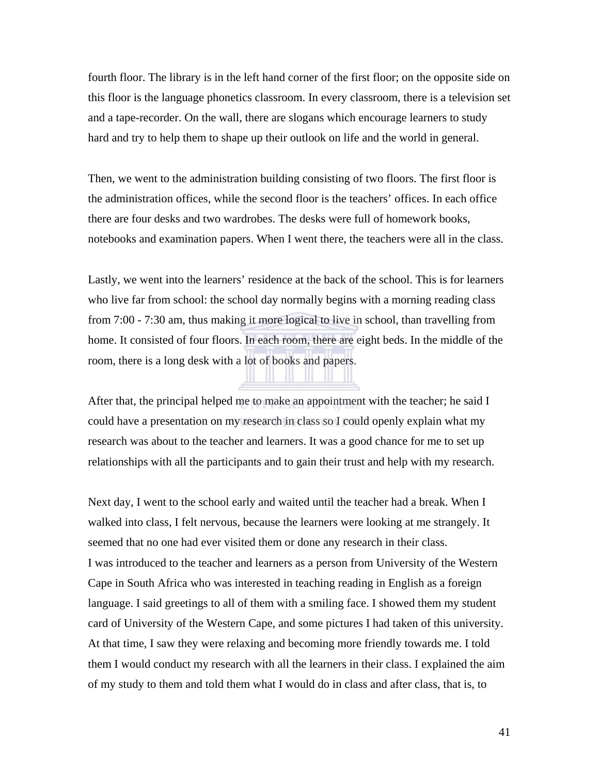fourth floor. The library is in the left hand corner of the first floor; on the opposite side on this floor is the language phonetics classroom. In every classroom, there is a television set and a tape-recorder. On the wall, there are slogans which encourage learners to study hard and try to help them to shape up their outlook on life and the world in general.

Then, we went to the administration building consisting of two floors. The first floor is the administration offices, while the second floor is the teachers' offices. In each office there are four desks and two wardrobes. The desks were full of homework books, notebooks and examination papers. When I went there, the teachers were all in the class.

Lastly, we went into the learners' residence at the back of the school. This is for learners who live far from school: the school day normally begins with a morning reading class from 7:00 - 7:30 am, thus making it more logical to live in school, than travelling from home. It consisted of four floors. In each room, there are eight beds. In the middle of the room, there is a long desk with a lot of books and papers.

After that, the principal helped me to make an appointment with the teacher; he said I could have a presentation on my research in class so I could openly explain what my research was about to the teacher and learners. It was a good chance for me to set up relationships with all the participants and to gain their trust and help with my research.

Next day, I went to the school early and waited until the teacher had a break. When I walked into class, I felt nervous, because the learners were looking at me strangely. It seemed that no one had ever visited them or done any research in their class. I was introduced to the teacher and learners as a person from University of the Western Cape in South Africa who was interested in teaching reading in English as a foreign language. I said greetings to all of them with a smiling face. I showed them my student card of University of the Western Cape, and some pictures I had taken of this university. At that time, I saw they were relaxing and becoming more friendly towards me. I told them I would conduct my research with all the learners in their class. I explained the aim of my study to them and told them what I would do in class and after class, that is, to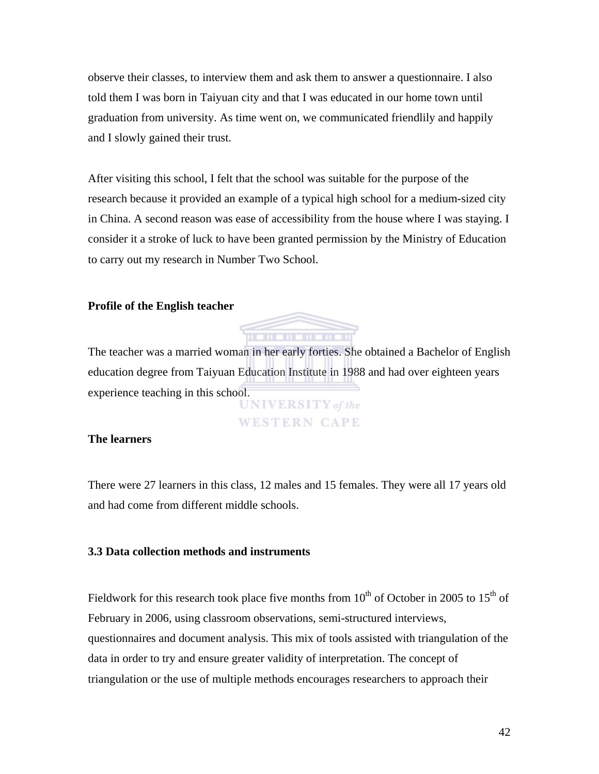observe their classes, to interview them and ask them to answer a questionnaire. I also told them I was born in Taiyuan city and that I was educated in our home town until graduation from university. As time went on, we communicated friendlily and happily and I slowly gained their trust.

After visiting this school, I felt that the school was suitable for the purpose of the research because it provided an example of a typical high school for a medium-sized city in China. A second reason was ease of accessibility from the house where I was staying. I consider it a stroke of luck to have been granted permission by the Ministry of Education to carry out my research in Number Two School.

#### **Profile of the English teacher**



The teacher was a married woman in her early forties. She obtained a Bachelor of English education degree from Taiyuan Education Institute in 1988 and had over eighteen years experience teaching in this school. **UNIVERSITY** of the

**WESTERN CAPE** 

#### **The learners**

There were 27 learners in this class, 12 males and 15 females. They were all 17 years old and had come from different middle schools.

#### **3.3 Data collection methods and instruments**

Fieldwork for this research took place five months from  $10^{th}$  of October in 2005 to  $15^{th}$  of February in 2006, using classroom observations, semi-structured interviews, questionnaires and document analysis. This mix of tools assisted with triangulation of the data in order to try and ensure greater validity of interpretation. The concept of triangulation or the use of multiple methods encourages researchers to approach their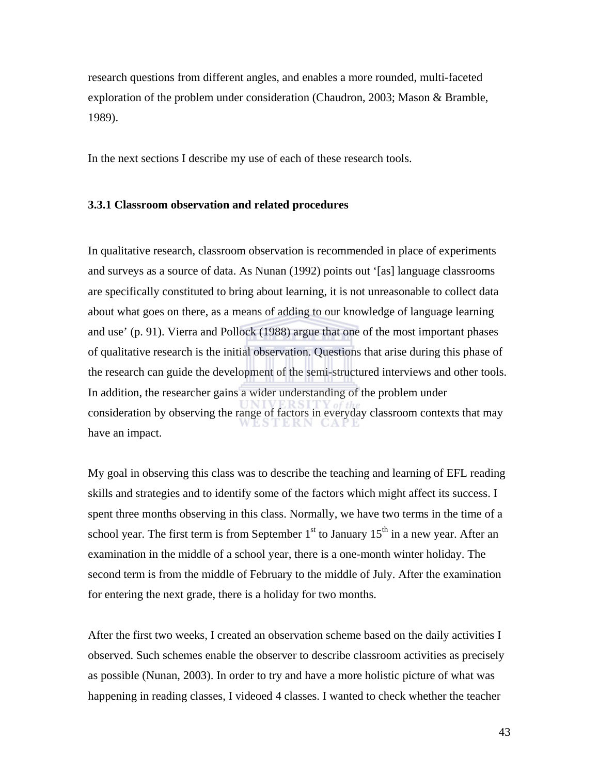research questions from different angles, and enables a more rounded, multi-faceted exploration of the problem under consideration (Chaudron, 2003; Mason & Bramble, 1989).

In the next sections I describe my use of each of these research tools.

#### **3.3.1 Classroom observation and related procedures**

In qualitative research, classroom observation is recommended in place of experiments and surveys as a source of data. As Nunan (1992) points out '[as] language classrooms are specifically constituted to bring about learning, it is not unreasonable to collect data about what goes on there, as a means of adding to our knowledge of language learning and use' (p. 91). Vierra and Pollock (1988) argue that one of the most important phases of qualitative research is the initial observation. Questions that arise during this phase of the research can guide the development of the semi-structured interviews and other tools. In addition, the researcher gains a wider understanding of the problem under consideration by observing the range of factors in everyday classroom contexts that may have an impact.

My goal in observing this class was to describe the teaching and learning of EFL reading skills and strategies and to identify some of the factors which might affect its success. I spent three months observing in this class. Normally, we have two terms in the time of a school year. The first term is from September  $1<sup>st</sup>$  to January  $15<sup>th</sup>$  in a new year. After an examination in the middle of a school year, there is a one-month winter holiday. The second term is from the middle of February to the middle of July. After the examination for entering the next grade, there is a holiday for two months.

After the first two weeks, I created an observation scheme based on the daily activities I observed. Such schemes enable the observer to describe classroom activities as precisely as possible (Nunan, 2003). In order to try and have a more holistic picture of what was happening in reading classes, I videoed 4 classes. I wanted to check whether the teacher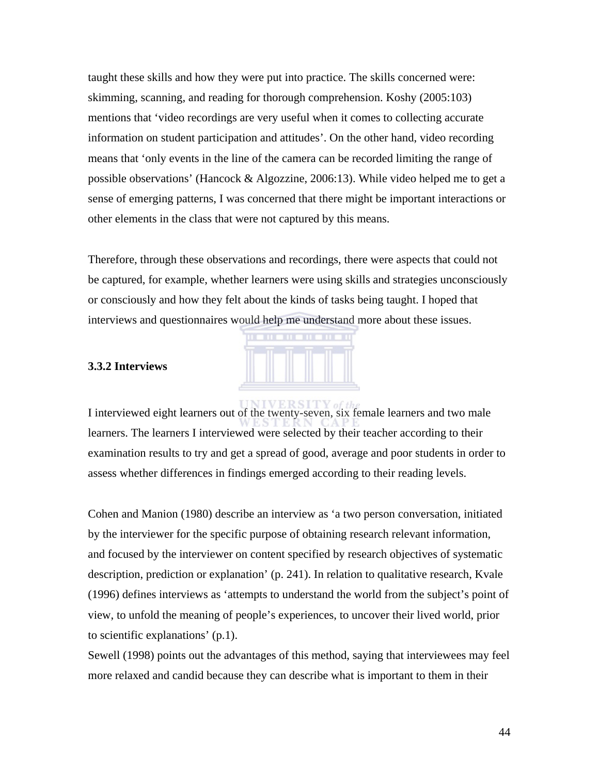taught these skills and how they were put into practice. The skills concerned were: skimming, scanning, and reading for thorough comprehension. Koshy (2005:103) mentions that 'video recordings are very useful when it comes to collecting accurate information on student participation and attitudes'. On the other hand, video recording means that 'only events in the line of the camera can be recorded limiting the range of possible observations' (Hancock & Algozzine, 2006:13). While video helped me to get a sense of emerging patterns, I was concerned that there might be important interactions or other elements in the class that were not captured by this means.

Therefore, through these observations and recordings, there were aspects that could not be captured, for example, whether learners were using skills and strategies unconsciously or consciously and how they felt about the kinds of tasks being taught. I hoped that interviews and questionnaires would help me understand more about these issues.



#### **3.3.2 Interviews**

I interviewed eight learners out of the twenty-seven, six female learners and two male learners. The learners I interviewed were selected by their teacher according to their examination results to try and get a spread of good, average and poor students in order to assess whether differences in findings emerged according to their reading levels.

Cohen and Manion (1980) describe an interview as 'a two person conversation, initiated by the interviewer for the specific purpose of obtaining research relevant information, and focused by the interviewer on content specified by research objectives of systematic description, prediction or explanation' (p. 241). In relation to qualitative research, Kvale (1996) defines interviews as 'attempts to understand the world from the subject's point of view, to unfold the meaning of people's experiences, to uncover their lived world, prior to scientific explanations' (p.1).

Sewell (1998) points out the advantages of this method, saying that interviewees may feel more relaxed and candid because they can describe what is important to them in their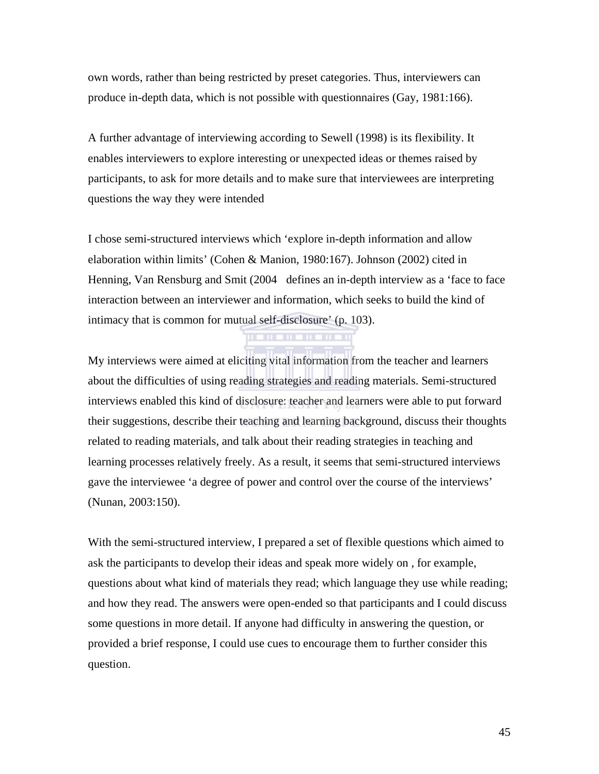own words, rather than being restricted by preset categories. Thus, interviewers can produce in-depth data, which is not possible with questionnaires (Gay, 1981:166).

A further advantage of interviewing according to Sewell (1998) is its flexibility. It enables interviewers to explore interesting or unexpected ideas or themes raised by participants, to ask for more details and to make sure that interviewees are interpreting questions the way they were intended

I chose semi-structured interviews which 'explore in-depth information and allow elaboration within limits' (Cohen & Manion, 1980:167). Johnson (2002) cited in Henning, Van Rensburg and Smit (2004 defines an in-depth interview as a 'face to face interaction between an interviewer and information, which seeks to build the kind of intimacy that is common for mutual self-disclosure' (p. 103).

**THE REPORT** 

My interviews were aimed at eliciting vital information from the teacher and learners about the difficulties of using reading strategies and reading materials. Semi-structured interviews enabled this kind of disclosure: teacher and learners were able to put forward their suggestions, describe their teaching and learning background, discuss their thoughts related to reading materials, and talk about their reading strategies in teaching and learning processes relatively freely. As a result, it seems that semi-structured interviews gave the interviewee 'a degree of power and control over the course of the interviews' (Nunan, 2003:150).

With the semi-structured interview, I prepared a set of flexible questions which aimed to ask the participants to develop their ideas and speak more widely on , for example, questions about what kind of materials they read; which language they use while reading; and how they read. The answers were open-ended so that participants and I could discuss some questions in more detail. If anyone had difficulty in answering the question, or provided a brief response, I could use cues to encourage them to further consider this question.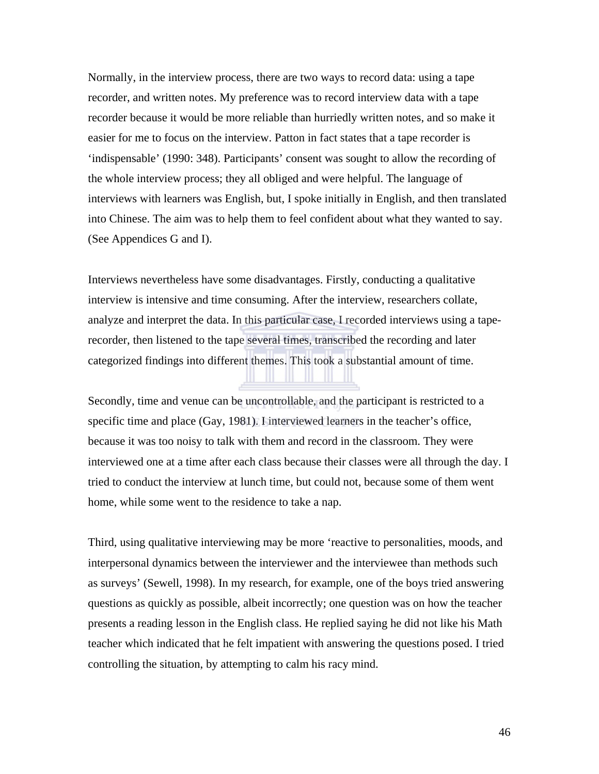Normally, in the interview process, there are two ways to record data: using a tape recorder, and written notes. My preference was to record interview data with a tape recorder because it would be more reliable than hurriedly written notes, and so make it easier for me to focus on the interview. Patton in fact states that a tape recorder is 'indispensable' (1990: 348). Participants' consent was sought to allow the recording of the whole interview process; they all obliged and were helpful. The language of interviews with learners was English, but, I spoke initially in English, and then translated into Chinese. The aim was to help them to feel confident about what they wanted to say. (See Appendices G and I).

Interviews nevertheless have some disadvantages. Firstly, conducting a qualitative interview is intensive and time consuming. After the interview, researchers collate, analyze and interpret the data. In this particular case, I recorded interviews using a taperecorder, then listened to the tape several times, transcribed the recording and later categorized findings into different themes. This took a substantial amount of time.

Secondly, time and venue can be uncontrollable, and the participant is restricted to a specific time and place (Gay, 1981). I interviewed learners in the teacher's office, because it was too noisy to talk with them and record in the classroom. They were interviewed one at a time after each class because their classes were all through the day. I tried to conduct the interview at lunch time, but could not, because some of them went home, while some went to the residence to take a nap.

Third, using qualitative interviewing may be more 'reactive to personalities, moods, and interpersonal dynamics between the interviewer and the interviewee than methods such as surveys' (Sewell, 1998). In my research, for example, one of the boys tried answering questions as quickly as possible, albeit incorrectly; one question was on how the teacher presents a reading lesson in the English class. He replied saying he did not like his Math teacher which indicated that he felt impatient with answering the questions posed. I tried controlling the situation, by attempting to calm his racy mind.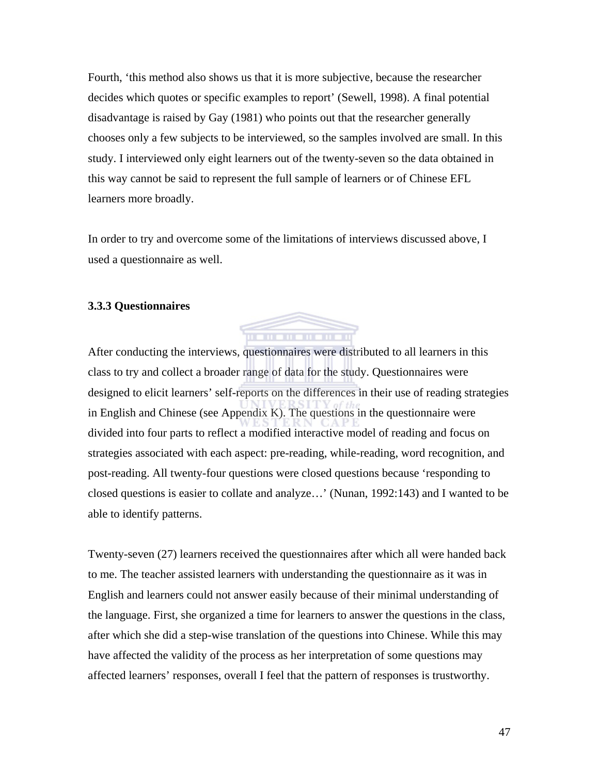Fourth, 'this method also shows us that it is more subjective, because the researcher decides which quotes or specific examples to report' (Sewell, 1998). A final potential disadvantage is raised by Gay (1981) who points out that the researcher generally chooses only a few subjects to be interviewed, so the samples involved are small. In this study. I interviewed only eight learners out of the twenty-seven so the data obtained in this way cannot be said to represent the full sample of learners or of Chinese EFL learners more broadly.

In order to try and overcome some of the limitations of interviews discussed above, I used a questionnaire as well.

#### **3.3.3 Questionnaires**



After conducting the interviews, questionnaires were distributed to all learners in this class to try and collect a broader range of data for the study. Questionnaires were designed to elicit learners' self-reports on the differences in their use of reading strategies in English and Chinese (see Appendix K). The questions in the questionnaire were divided into four parts to reflect a modified interactive model of reading and focus on strategies associated with each aspect: pre-reading, while-reading, word recognition, and post-reading. All twenty-four questions were closed questions because 'responding to closed questions is easier to collate and analyze…' (Nunan, 1992:143) and I wanted to be able to identify patterns.

Twenty-seven (27) learners received the questionnaires after which all were handed back to me. The teacher assisted learners with understanding the questionnaire as it was in English and learners could not answer easily because of their minimal understanding of the language. First, she organized a time for learners to answer the questions in the class, after which she did a step-wise translation of the questions into Chinese. While this may have affected the validity of the process as her interpretation of some questions may affected learners' responses, overall I feel that the pattern of responses is trustworthy.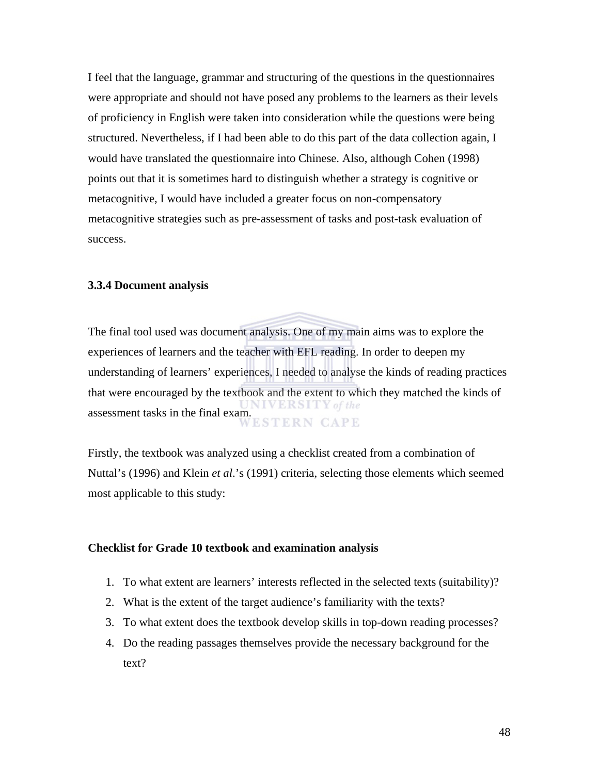I feel that the language, grammar and structuring of the questions in the questionnaires were appropriate and should not have posed any problems to the learners as their levels of proficiency in English were taken into consideration while the questions were being structured. Nevertheless, if I had been able to do this part of the data collection again, I would have translated the questionnaire into Chinese. Also, although Cohen (1998) points out that it is sometimes hard to distinguish whether a strategy is cognitive or metacognitive, I would have included a greater focus on non-compensatory metacognitive strategies such as pre-assessment of tasks and post-task evaluation of success.

#### **3.3.4 Document analysis**

The final tool used was document analysis. One of my main aims was to explore the experiences of learners and the teacher with EFL reading. In order to deepen my understanding of learners' experiences, I needed to analyse the kinds of reading practices that were encouraged by the textbook and the extent to which they matched the kinds of assessment tasks in the final exam.<br>WESTERN CAPE

Firstly, the textbook was analyzed using a checklist created from a combination of Nuttal's (1996) and Klein *et al*.'s (1991) criteria, selecting those elements which seemed most applicable to this study:

#### **Checklist for Grade 10 textbook and examination analysis**

- 1. To what extent are learners' interests reflected in the selected texts (suitability)?
- 2. What is the extent of the target audience's familiarity with the texts?
- 3. To what extent does the textbook develop skills in top-down reading processes?
- 4. Do the reading passages themselves provide the necessary background for the text?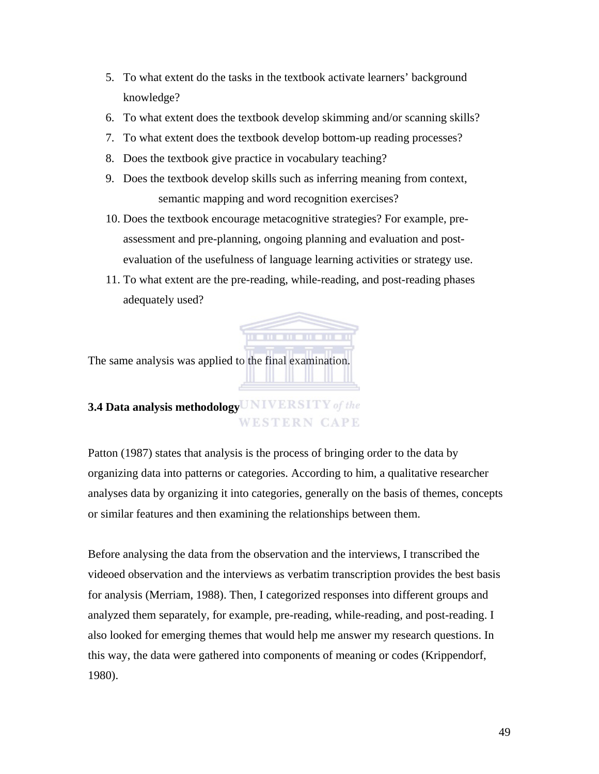- 5. To what extent do the tasks in the textbook activate learners' background knowledge?
- 6. To what extent does the textbook develop skimming and/or scanning skills?
- 7. To what extent does the textbook develop bottom-up reading processes?
- 8. Does the textbook give practice in vocabulary teaching?
- 9. Does the textbook develop skills such as inferring meaning from context, semantic mapping and word recognition exercises?
- 10. Does the textbook encourage metacognitive strategies? For example, preassessment and pre-planning, ongoing planning and evaluation and postevaluation of the usefulness of language learning activities or strategy use.
- 11. To what extent are the pre-reading, while-reading, and post-reading phases adequately used?

. . . . . . . . . . .

The same analysis was applied to the final examination.

# **3.4 Data analysis methodology WESTERN CAPE**

Patton (1987) states that analysis is the process of bringing order to the data by organizing data into patterns or categories. According to him, a qualitative researcher analyses data by organizing it into categories, generally on the basis of themes, concepts or similar features and then examining the relationships between them.

Before analysing the data from the observation and the interviews, I transcribed the videoed observation and the interviews as verbatim transcription provides the best basis for analysis (Merriam, 1988). Then, I categorized responses into different groups and analyzed them separately, for example, pre-reading, while-reading, and post-reading. I also looked for emerging themes that would help me answer my research questions. In this way, the data were gathered into components of meaning or codes (Krippendorf, 1980).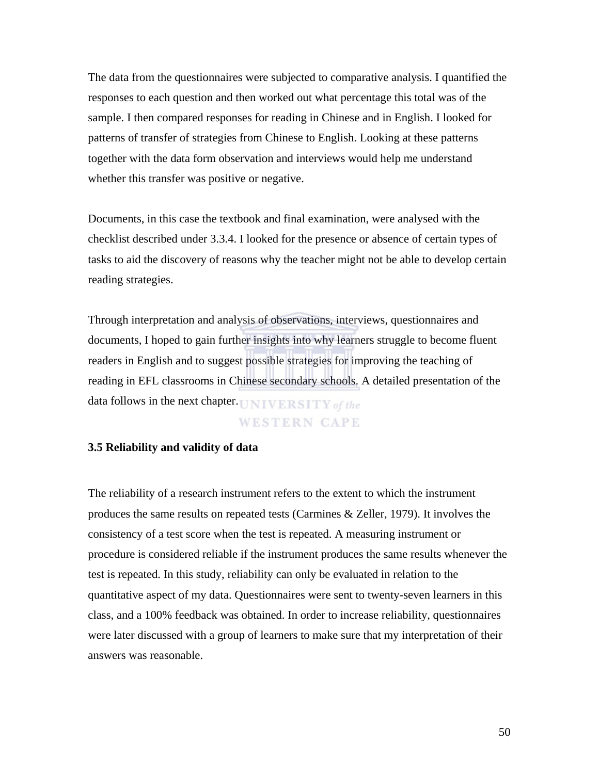The data from the questionnaires were subjected to comparative analysis. I quantified the responses to each question and then worked out what percentage this total was of the sample. I then compared responses for reading in Chinese and in English. I looked for patterns of transfer of strategies from Chinese to English. Looking at these patterns together with the data form observation and interviews would help me understand whether this transfer was positive or negative.

Documents, in this case the textbook and final examination, were analysed with the checklist described under 3.3.4. I looked for the presence or absence of certain types of tasks to aid the discovery of reasons why the teacher might not be able to develop certain reading strategies.

Through interpretation and analysis of observations, interviews, questionnaires and documents, I hoped to gain further insights into why learners struggle to become fluent readers in English and to suggest possible strategies for improving the teaching of reading in EFL classrooms in Chinese secondary schools. A detailed presentation of the data follows in the next chapter. UNIVERSITY of the

#### WESTERN CAPE

#### **3.5 Reliability and validity of data**

The reliability of a research instrument refers to the extent to which the instrument produces the same results on repeated tests (Carmines & Zeller, 1979). It involves the consistency of a test score when the test is repeated. A measuring instrument or procedure is considered reliable if the instrument produces the same results whenever the test is repeated. In this study, reliability can only be evaluated in relation to the quantitative aspect of my data. Questionnaires were sent to twenty-seven learners in this class, and a 100% feedback was obtained. In order to increase reliability, questionnaires were later discussed with a group of learners to make sure that my interpretation of their answers was reasonable.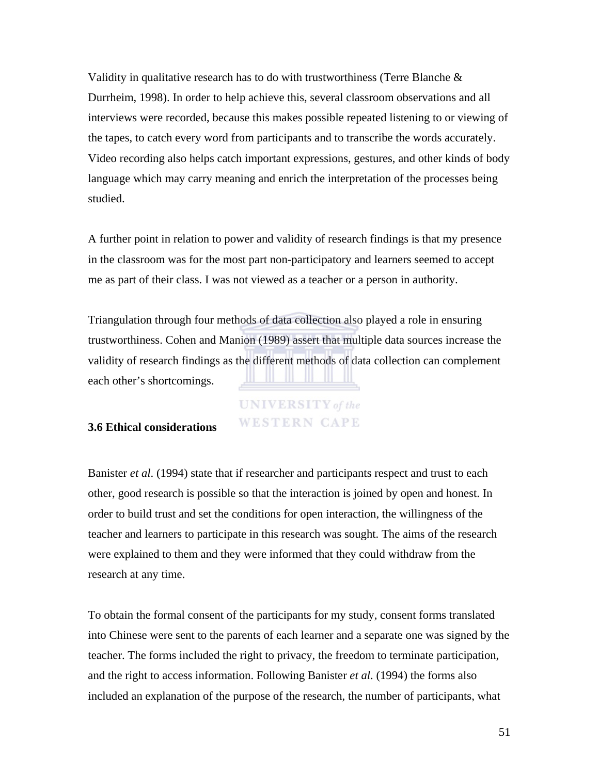Validity in qualitative research has to do with trustworthiness (Terre Blanche  $\&$ Durrheim, 1998). In order to help achieve this, several classroom observations and all interviews were recorded, because this makes possible repeated listening to or viewing of the tapes, to catch every word from participants and to transcribe the words accurately. Video recording also helps catch important expressions, gestures, and other kinds of body language which may carry meaning and enrich the interpretation of the processes being studied.

A further point in relation to power and validity of research findings is that my presence in the classroom was for the most part non-participatory and learners seemed to accept me as part of their class. I was not viewed as a teacher or a person in authority.

Triangulation through four methods of data collection also played a role in ensuring trustworthiness. Cohen and Manion (1989) assert that multiple data sources increase the validity of research findings as the different methods of data collection can complement each other's shortcomings.

## **UNIVERSITY** of the **WESTERN CAPE**

### **3.6 Ethical considerations**

Banister *et al*. (1994) state that if researcher and participants respect and trust to each other, good research is possible so that the interaction is joined by open and honest. In order to build trust and set the conditions for open interaction, the willingness of the teacher and learners to participate in this research was sought. The aims of the research were explained to them and they were informed that they could withdraw from the research at any time.

To obtain the formal consent of the participants for my study, consent forms translated into Chinese were sent to the parents of each learner and a separate one was signed by the teacher. The forms included the right to privacy, the freedom to terminate participation, and the right to access information. Following Banister *et al*. (1994) the forms also included an explanation of the purpose of the research, the number of participants, what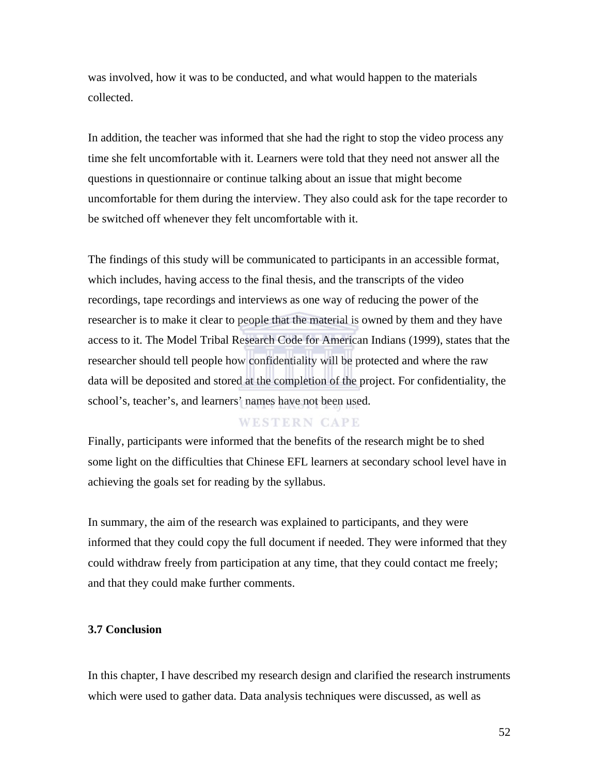was involved, how it was to be conducted, and what would happen to the materials collected.

In addition, the teacher was informed that she had the right to stop the video process any time she felt uncomfortable with it. Learners were told that they need not answer all the questions in questionnaire or continue talking about an issue that might become uncomfortable for them during the interview. They also could ask for the tape recorder to be switched off whenever they felt uncomfortable with it.

The findings of this study will be communicated to participants in an accessible format, which includes, having access to the final thesis, and the transcripts of the video recordings, tape recordings and interviews as one way of reducing the power of the researcher is to make it clear to people that the material is owned by them and they have access to it. The Model Tribal Research Code for American Indians (1999), states that the researcher should tell people how confidentiality will be protected and where the raw data will be deposited and stored at the completion of the project. For confidentiality, the school's, teacher's, and learners' names have not been used.

### **WESTERN CAPE**

Finally, participants were informed that the benefits of the research might be to shed some light on the difficulties that Chinese EFL learners at secondary school level have in achieving the goals set for reading by the syllabus.

In summary, the aim of the research was explained to participants, and they were informed that they could copy the full document if needed. They were informed that they could withdraw freely from participation at any time, that they could contact me freely; and that they could make further comments.

#### **3.7 Conclusion**

In this chapter, I have described my research design and clarified the research instruments which were used to gather data. Data analysis techniques were discussed, as well as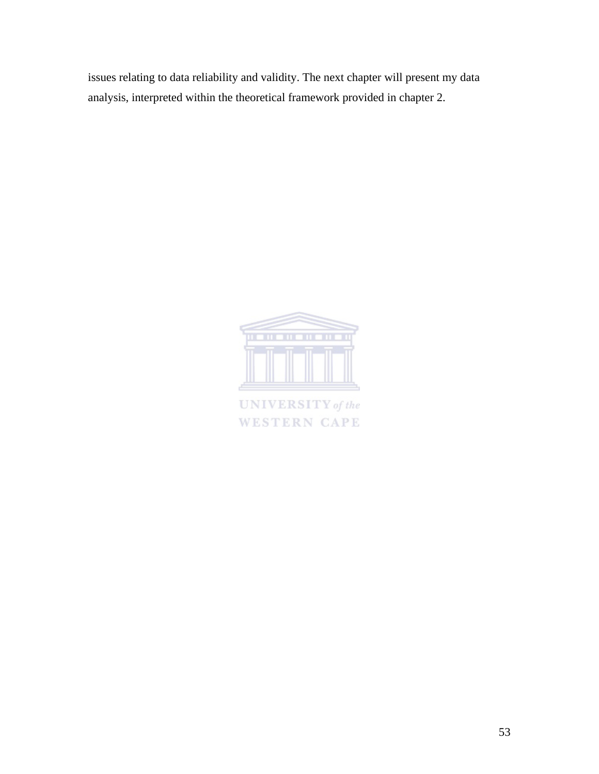issues relating to data reliability and validity. The next chapter will present my data analysis, interpreted within the theoretical framework provided in chapter 2.



**UNIVERSITY** of the **WESTERN CAPE**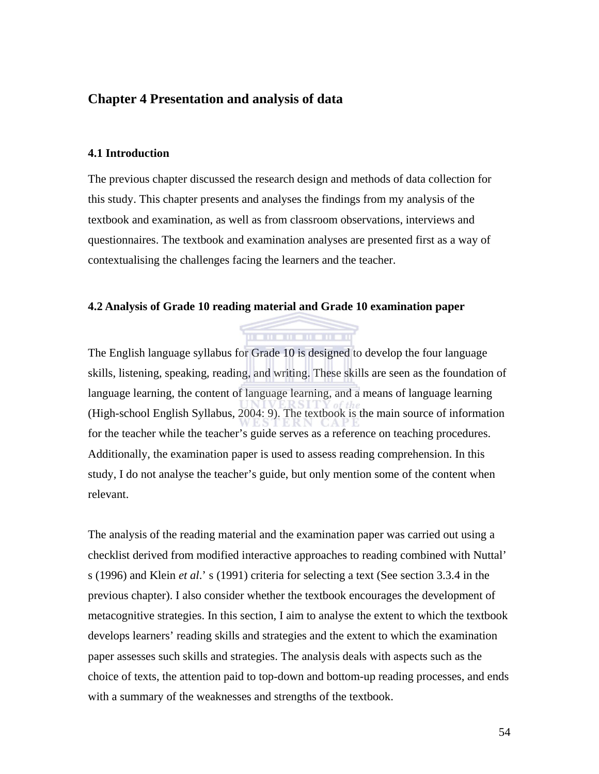### **Chapter 4 Presentation and analysis of data**

#### **4.1 Introduction**

The previous chapter discussed the research design and methods of data collection for this study. This chapter presents and analyses the findings from my analysis of the textbook and examination, as well as from classroom observations, interviews and questionnaires. The textbook and examination analyses are presented first as a way of contextualising the challenges facing the learners and the teacher.

### **4.2 Analysis of Grade 10 reading material and Grade 10 examination paper**

The English language syllabus for Grade 10 is designed to develop the four language skills, listening, speaking, reading, and writing. These skills are seen as the foundation of language learning, the content of language learning, and a means of language learning (High-school English Syllabus, 2004: 9). The textbook is the main source of information for the teacher while the teacher's guide serves as a reference on teaching procedures. Additionally, the examination paper is used to assess reading comprehension. In this study, I do not analyse the teacher's guide, but only mention some of the content when relevant.

. . . . . . . . . . . .

The analysis of the reading material and the examination paper was carried out using a checklist derived from modified interactive approaches to reading combined with Nuttal' s (1996) and Klein *et al*.' s (1991) criteria for selecting a text (See section 3.3.4 in the previous chapter). I also consider whether the textbook encourages the development of metacognitive strategies. In this section, I aim to analyse the extent to which the textbook develops learners' reading skills and strategies and the extent to which the examination paper assesses such skills and strategies. The analysis deals with aspects such as the choice of texts, the attention paid to top-down and bottom-up reading processes, and ends with a summary of the weaknesses and strengths of the textbook.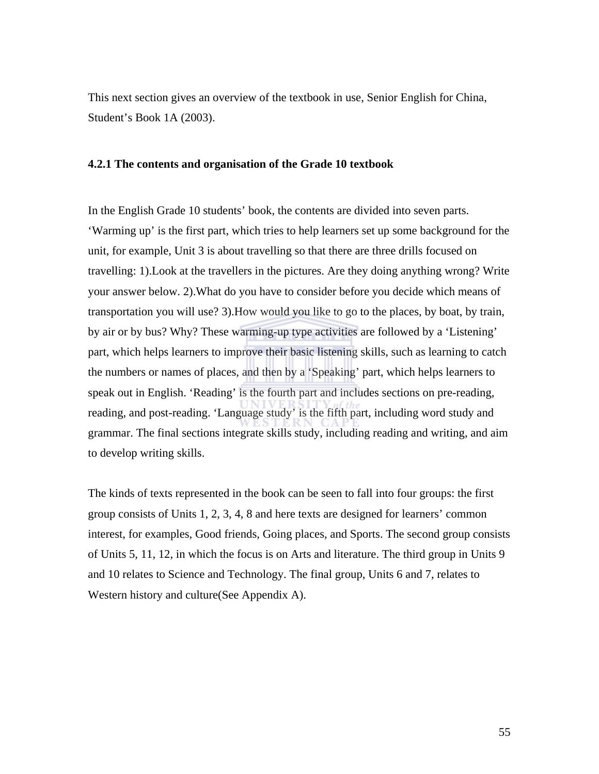This next section gives an overview of the textbook in use, Senior English for China, Student's Book 1A (2003).

#### **4.2.1 The contents and organisation of the Grade 10 textbook**

In the English Grade 10 students' book, the contents are divided into seven parts. 'Warming up' is the first part, which tries to help learners set up some background for the unit, for example, Unit 3 is about travelling so that there are three drills focused on travelling: 1).Look at the travellers in the pictures. Are they doing anything wrong? Write your answer below. 2).What do you have to consider before you decide which means of transportation you will use? 3).How would you like to go to the places, by boat, by train, by air or by bus? Why? These warming-up type activities are followed by a 'Listening' part, which helps learners to improve their basic listening skills, such as learning to catch the numbers or names of places, and then by a 'Speaking' part, which helps learners to speak out in English. 'Reading' is the fourth part and includes sections on pre-reading, reading, and post-reading. 'Language study' is the fifth part, including word study and grammar. The final sections integrate skills study, including reading and writing, and aim to develop writing skills.

The kinds of texts represented in the book can be seen to fall into four groups: the first group consists of Units 1, 2, 3, 4, 8 and here texts are designed for learners' common interest, for examples, Good friends, Going places, and Sports. The second group consists of Units 5, 11, 12, in which the focus is on Arts and literature. The third group in Units 9 and 10 relates to Science and Technology. The final group, Units 6 and 7, relates to Western history and culture(See Appendix A).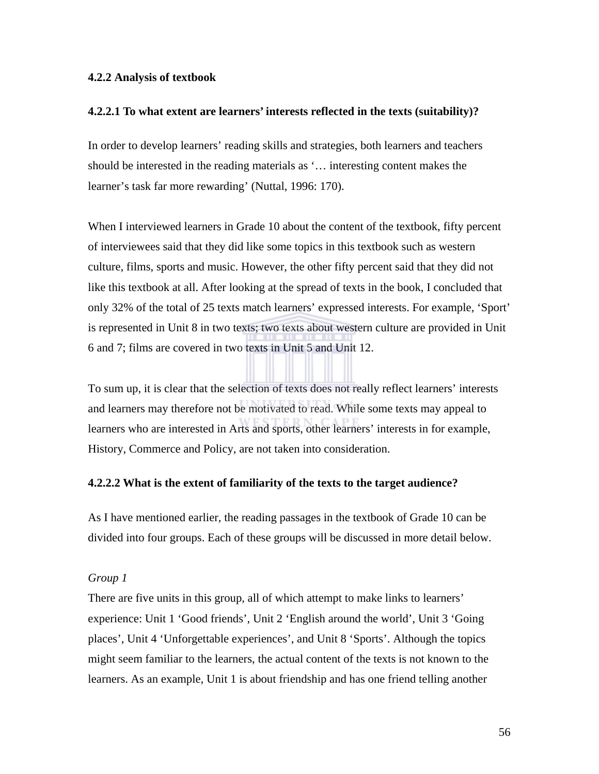#### **4.2.2 Analysis of textbook**

#### **4.2.2.1 To what extent are learners' interests reflected in the texts (suitability)?**

In order to develop learners' reading skills and strategies, both learners and teachers should be interested in the reading materials as '… interesting content makes the learner's task far more rewarding' (Nuttal, 1996: 170).

When I interviewed learners in Grade 10 about the content of the textbook, fifty percent of interviewees said that they did like some topics in this textbook such as western culture, films, sports and music. However, the other fifty percent said that they did not like this textbook at all. After looking at the spread of texts in the book, I concluded that only 32% of the total of 25 texts match learners' expressed interests. For example, 'Sport' is represented in Unit 8 in two texts; two texts about western culture are provided in Unit 6 and 7; films are covered in two texts in Unit 5 and Unit 12.

To sum up, it is clear that the selection of texts does not really reflect learners' interests and learners may therefore not be motivated to read. While some texts may appeal to learners who are interested in Arts and sports, other learners' interests in for example, History, Commerce and Policy, are not taken into consideration.

#### **4.2.2.2 What is the extent of familiarity of the texts to the target audience?**

As I have mentioned earlier, the reading passages in the textbook of Grade 10 can be divided into four groups. Each of these groups will be discussed in more detail below.

#### *Group 1*

There are five units in this group, all of which attempt to make links to learners' experience: Unit 1 'Good friends', Unit 2 'English around the world', Unit 3 'Going places', Unit 4 'Unforgettable experiences', and Unit 8 'Sports'. Although the topics might seem familiar to the learners, the actual content of the texts is not known to the learners. As an example, Unit 1 is about friendship and has one friend telling another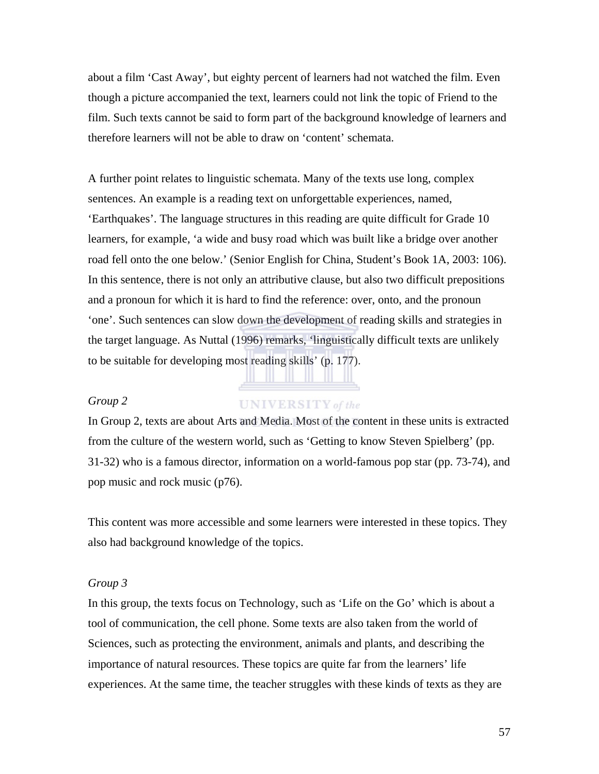about a film 'Cast Away', but eighty percent of learners had not watched the film. Even though a picture accompanied the text, learners could not link the topic of Friend to the film. Such texts cannot be said to form part of the background knowledge of learners and therefore learners will not be able to draw on 'content' schemata.

A further point relates to linguistic schemata. Many of the texts use long, complex sentences. An example is a reading text on unforgettable experiences, named, 'Earthquakes'. The language structures in this reading are quite difficult for Grade 10 learners, for example, 'a wide and busy road which was built like a bridge over another road fell onto the one below.' (Senior English for China, Student's Book 1A, 2003: 106). In this sentence, there is not only an attributive clause, but also two difficult prepositions and a pronoun for which it is hard to find the reference: over, onto, and the pronoun 'one'. Such sentences can slow down the development of reading skills and strategies in the target language. As Nuttal (1996) remarks, 'linguistically difficult texts are unlikely to be suitable for developing most reading skills' (p. 177).

#### *Group 2*

#### **UNIVERSITY** of the

In Group 2, texts are about Arts and Media. Most of the content in these units is extracted from the culture of the western world, such as 'Getting to know Steven Spielberg' (pp. 31-32) who is a famous director, information on a world-famous pop star (pp. 73-74), and pop music and rock music (p76).

This content was more accessible and some learners were interested in these topics. They also had background knowledge of the topics.

#### *Group 3*

In this group, the texts focus on Technology, such as 'Life on the Go' which is about a tool of communication, the cell phone. Some texts are also taken from the world of Sciences, such as protecting the environment, animals and plants, and describing the importance of natural resources. These topics are quite far from the learners' life experiences. At the same time, the teacher struggles with these kinds of texts as they are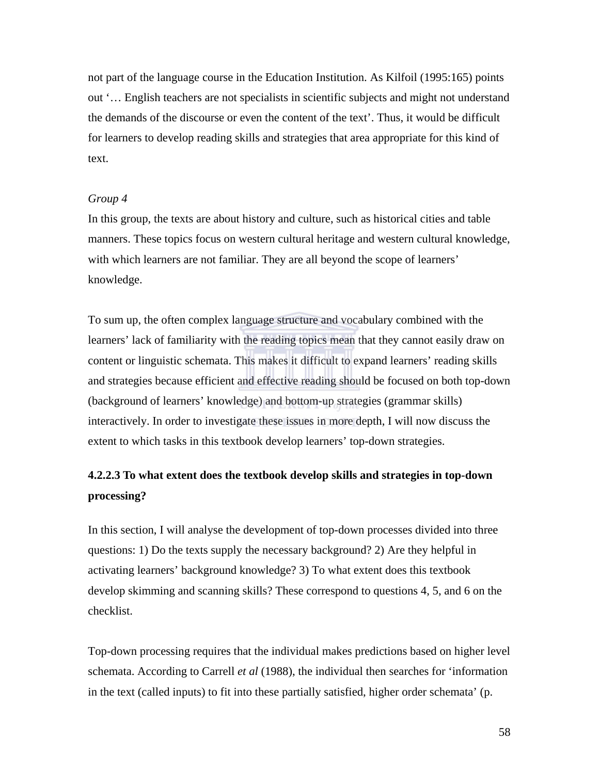not part of the language course in the Education Institution. As Kilfoil (1995:165) points out '… English teachers are not specialists in scientific subjects and might not understand the demands of the discourse or even the content of the text'. Thus, it would be difficult for learners to develop reading skills and strategies that area appropriate for this kind of text.

#### *Group 4*

In this group, the texts are about history and culture, such as historical cities and table manners. These topics focus on western cultural heritage and western cultural knowledge, with which learners are not familiar. They are all beyond the scope of learners' knowledge.

To sum up, the often complex language structure and vocabulary combined with the learners' lack of familiarity with the reading topics mean that they cannot easily draw on content or linguistic schemata. This makes it difficult to expand learners' reading skills and strategies because efficient and effective reading should be focused on both top-down (background of learners' knowledge) and bottom-up strategies (grammar skills) interactively. In order to investigate these issues in more depth, I will now discuss the extent to which tasks in this textbook develop learners' top-down strategies.

# **4.2.2.3 To what extent does the textbook develop skills and strategies in top-down processing?**

In this section, I will analyse the development of top-down processes divided into three questions: 1) Do the texts supply the necessary background? 2) Are they helpful in activating learners' background knowledge? 3) To what extent does this textbook develop skimming and scanning skills? These correspond to questions 4, 5, and 6 on the checklist.

Top-down processing requires that the individual makes predictions based on higher level schemata. According to Carrell *et al* (1988), the individual then searches for 'information in the text (called inputs) to fit into these partially satisfied, higher order schemata' (p.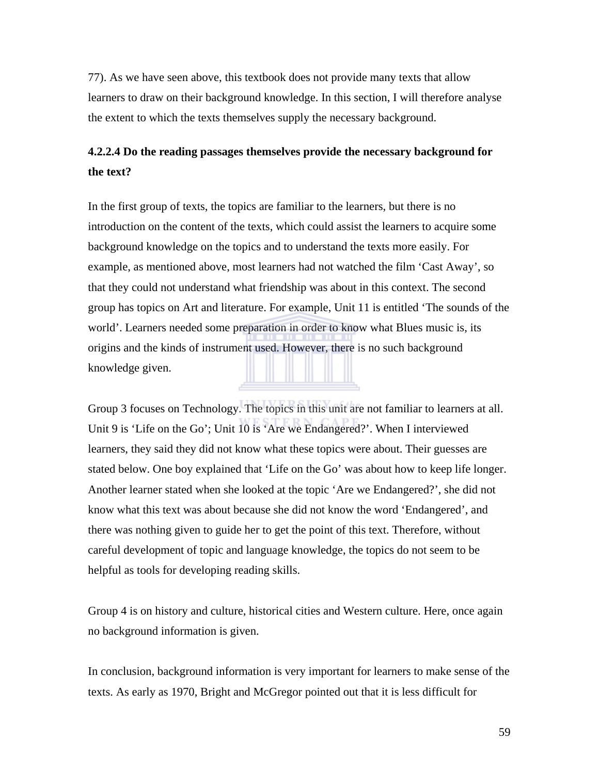77). As we have seen above, this textbook does not provide many texts that allow learners to draw on their background knowledge. In this section, I will therefore analyse the extent to which the texts themselves supply the necessary background.

# **4.2.2.4 Do the reading passages themselves provide the necessary background for the text?**

In the first group of texts, the topics are familiar to the learners, but there is no introduction on the content of the texts, which could assist the learners to acquire some background knowledge on the topics and to understand the texts more easily. For example, as mentioned above, most learners had not watched the film 'Cast Away', so that they could not understand what friendship was about in this context. The second group has topics on Art and literature. For example, Unit 11 is entitled 'The sounds of the world'. Learners needed some preparation in order to know what Blues music is, its origins and the kinds of instrument used. However, there is no such background knowledge given.

Group 3 focuses on Technology. The topics in this unit are not familiar to learners at all. Unit 9 is 'Life on the Go'; Unit 10 is 'Are we Endangered?'. When I interviewed learners, they said they did not know what these topics were about. Their guesses are stated below. One boy explained that 'Life on the Go' was about how to keep life longer. Another learner stated when she looked at the topic 'Are we Endangered?', she did not know what this text was about because she did not know the word 'Endangered', and there was nothing given to guide her to get the point of this text. Therefore, without careful development of topic and language knowledge, the topics do not seem to be helpful as tools for developing reading skills.

Group 4 is on history and culture, historical cities and Western culture. Here, once again no background information is given.

In conclusion, background information is very important for learners to make sense of the texts. As early as 1970, Bright and McGregor pointed out that it is less difficult for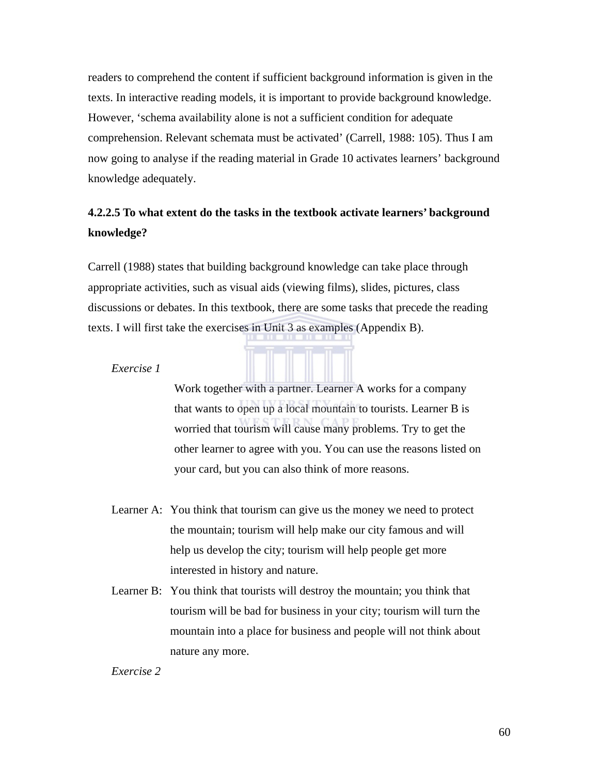readers to comprehend the content if sufficient background information is given in the texts. In interactive reading models, it is important to provide background knowledge. However, 'schema availability alone is not a sufficient condition for adequate comprehension. Relevant schemata must be activated' (Carrell, 1988: 105). Thus I am now going to analyse if the reading material in Grade 10 activates learners' background knowledge adequately.

# **4.2.2.5 To what extent do the tasks in the textbook activate learners' background knowledge?**

Carrell (1988) states that building background knowledge can take place through appropriate activities, such as visual aids (viewing films), slides, pictures, class discussions or debates. In this textbook, there are some tasks that precede the reading texts. I will first take the exercises in Unit 3 as examples (Appendix B).

*Exercise 1* 

Work together with a partner. Learner A works for a company that wants to open up a local mountain to tourists. Learner B is worried that tourism will cause many problems. Try to get the other learner to agree with you. You can use the reasons listed on your card, but you can also think of more reasons.

- Learner A: You think that tourism can give us the money we need to protect the mountain; tourism will help make our city famous and will help us develop the city; tourism will help people get more interested in history and nature.
- Learner B: You think that tourists will destroy the mountain; you think that tourism will be bad for business in your city; tourism will turn the mountain into a place for business and people will not think about nature any more.

#### *Exercise 2*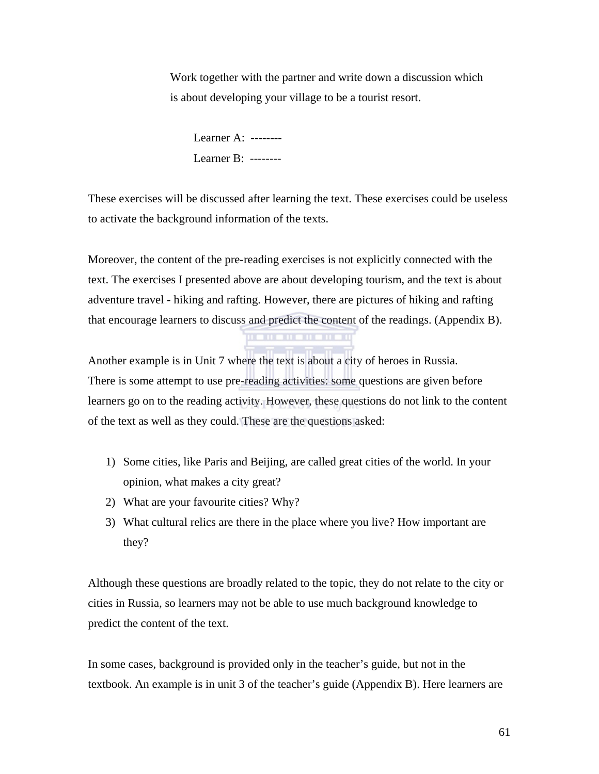Work together with the partner and write down a discussion which is about developing your village to be a tourist resort.

Learner A: -------- Learner B: --------

These exercises will be discussed after learning the text. These exercises could be useless to activate the background information of the texts.

Moreover, the content of the pre-reading exercises is not explicitly connected with the text. The exercises I presented above are about developing tourism, and the text is about adventure travel - hiking and rafting. However, there are pictures of hiking and rafting that encourage learners to discuss and predict the content of the readings. (Appendix B).

Another example is in Unit 7 where the text is about a city of heroes in Russia. There is some attempt to use pre-reading activities: some questions are given before learners go on to the reading activity. However, these questions do not link to the content of the text as well as they could. These are the questions asked:

- 1) Some cities, like Paris and Beijing, are called great cities of the world. In your opinion, what makes a city great?
- 2) What are your favourite cities? Why?
- 3) What cultural relics are there in the place where you live? How important are they?

Although these questions are broadly related to the topic, they do not relate to the city or cities in Russia, so learners may not be able to use much background knowledge to predict the content of the text.

In some cases, background is provided only in the teacher's guide, but not in the textbook. An example is in unit 3 of the teacher's guide (Appendix B). Here learners are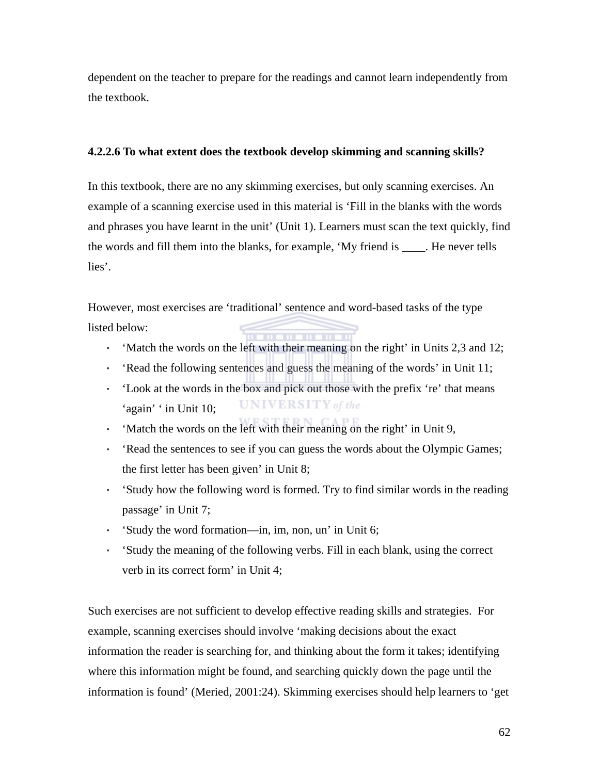dependent on the teacher to prepare for the readings and cannot learn independently from the textbook.

#### **4.2.2.6 To what extent does the textbook develop skimming and scanning skills?**

In this textbook, there are no any skimming exercises, but only scanning exercises. An example of a scanning exercise used in this material is 'Fill in the blanks with the words and phrases you have learnt in the unit' (Unit 1). Learners must scan the text quickly, find the words and fill them into the blanks, for example, 'My friend is \_\_\_\_. He never tells lies'.

However, most exercises are 'traditional' sentence and word-based tasks of the type listed below:

- · 'Match the words on the left with their meaning on the right' in Units 2,3 and 12;
- · 'Read the following sentences and guess the meaning of the words' in Unit 11;
- · 'Look at the words in the box and pick out those with the prefix 're' that means **UNIVERSITY** of the 'again' ' in Unit 10;
- · 'Match the words on the left with their meaning on the right' in Unit 9,
- · 'Read the sentences to see if you can guess the words about the Olympic Games; the first letter has been given' in Unit 8;
- · 'Study how the following word is formed. Try to find similar words in the reading passage' in Unit 7;
- · 'Study the word formation—in, im, non, un' in Unit 6;
- · 'Study the meaning of the following verbs. Fill in each blank, using the correct verb in its correct form' in Unit 4;

Such exercises are not sufficient to develop effective reading skills and strategies. For example, scanning exercises should involve 'making decisions about the exact information the reader is searching for, and thinking about the form it takes; identifying where this information might be found, and searching quickly down the page until the information is found' (Meried, 2001:24). Skimming exercises should help learners to 'get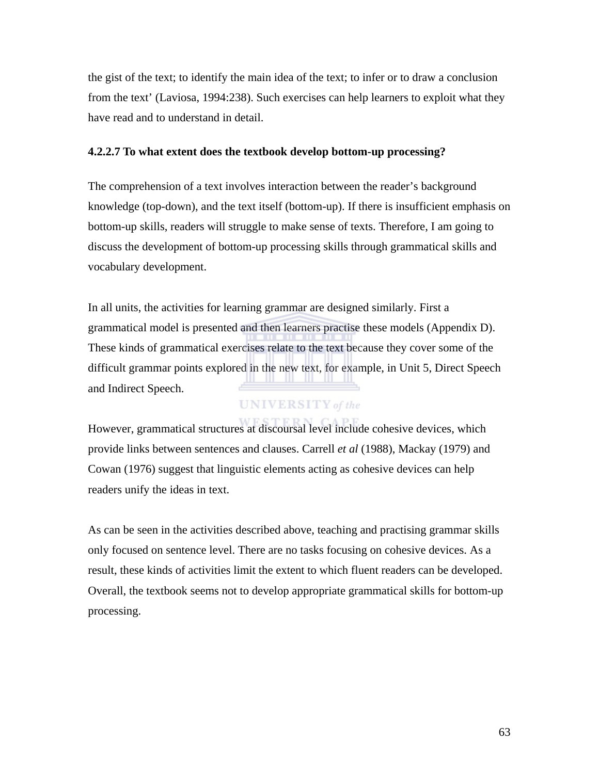the gist of the text; to identify the main idea of the text; to infer or to draw a conclusion from the text' (Laviosa, 1994:238). Such exercises can help learners to exploit what they have read and to understand in detail.

#### **4.2.2.7 To what extent does the textbook develop bottom-up processing?**

The comprehension of a text involves interaction between the reader's background knowledge (top-down), and the text itself (bottom-up). If there is insufficient emphasis on bottom-up skills, readers will struggle to make sense of texts. Therefore, I am going to discuss the development of bottom-up processing skills through grammatical skills and vocabulary development.

In all units, the activities for learning grammar are designed similarly. First a grammatical model is presented and then learners practise these models (Appendix D). These kinds of grammatical exercises relate to the text because they cover some of the difficult grammar points explored in the new text, for example, in Unit 5, Direct Speech and Indirect Speech.

### **UNIVERSITY** of the

However, grammatical structures at discoursal level include cohesive devices, which provide links between sentences and clauses. Carrell *et al* (1988), Mackay (1979) and Cowan (1976) suggest that linguistic elements acting as cohesive devices can help readers unify the ideas in text.

As can be seen in the activities described above, teaching and practising grammar skills only focused on sentence level. There are no tasks focusing on cohesive devices. As a result, these kinds of activities limit the extent to which fluent readers can be developed. Overall, the textbook seems not to develop appropriate grammatical skills for bottom-up processing.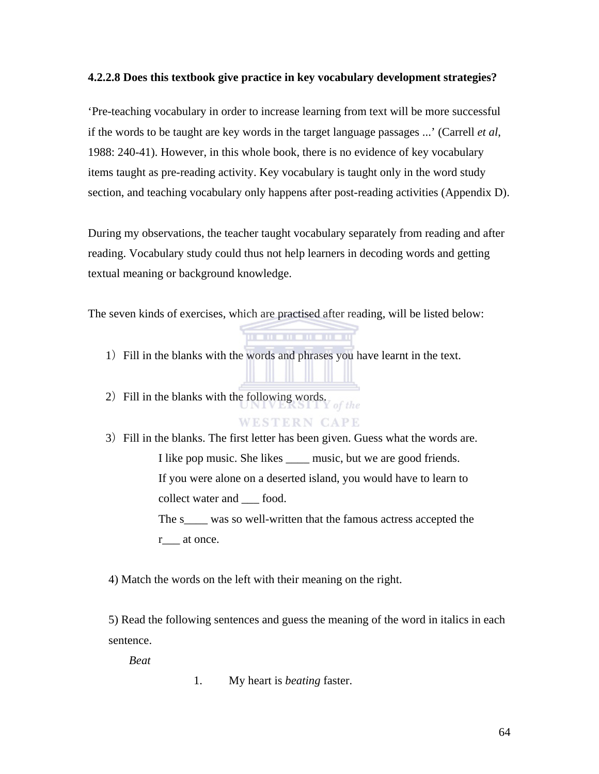#### **4.2.2.8 Does this textbook give practice in key vocabulary development strategies?**

'Pre-teaching vocabulary in order to increase learning from text will be more successful if the words to be taught are key words in the target language passages ...' (Carrell *et al*, 1988: 240-41). However, in this whole book, there is no evidence of key vocabulary items taught as pre-reading activity. Key vocabulary is taught only in the word study section, and teaching vocabulary only happens after post-reading activities (Appendix D).

During my observations, the teacher taught vocabulary separately from reading and after reading. Vocabulary study could thus not help learners in decoding words and getting textual meaning or background knowledge.

The seven kinds of exercises, which are practised after reading, will be listed below:

. . . . . . . . . . . .

1) Fill in the blanks with the words and phrases you have learnt in the text.

2) Fill in the blanks with the following words. of the

### **WESTERN CAPE**

3)Fill in the blanks. The first letter has been given. Guess what the words are. I like pop music. She likes \_\_\_\_ music, but we are good friends. If you were alone on a deserted island, you would have to learn to collect water and \_\_\_ food. The s<sub>\_\_\_\_</sub> was so well-written that the famous actress accepted the r at once.

4) Match the words on the left with their meaning on the right.

5) Read the following sentences and guess the meaning of the word in italics in each sentence.

*Beat* 

1. My heart is *beating* faster.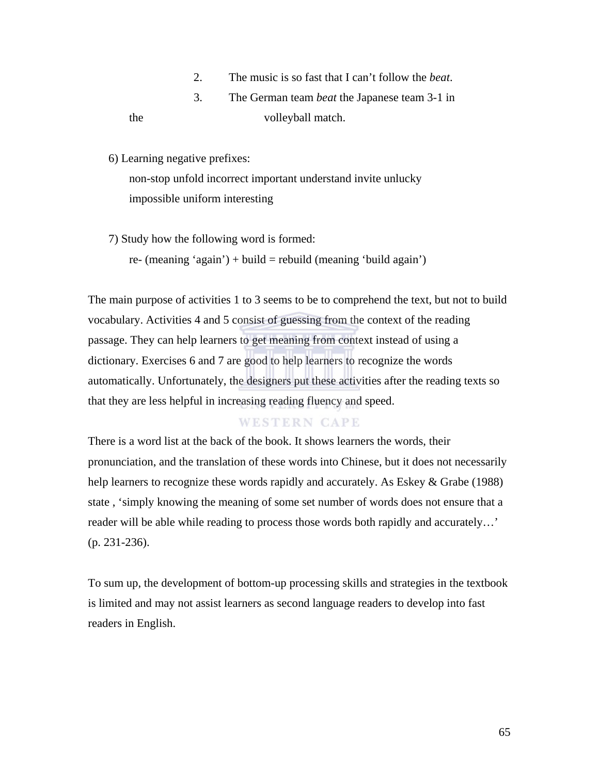2. The music is so fast that I can't follow the *beat*.

# 3. The German team *beat* the Japanese team 3-1 in the volleyball match.

6) Learning negative prefixes:

non-stop unfold incorrect important understand invite unlucky impossible uniform interesting

7) Study how the following word is formed:

re- (meaning 'again') + build = rebuild (meaning 'build again')

The main purpose of activities 1 to 3 seems to be to comprehend the text, but not to build vocabulary. Activities 4 and 5 consist of guessing from the context of the reading passage. They can help learners to get meaning from context instead of using a dictionary. Exercises 6 and 7 are good to help learners to recognize the words automatically. Unfortunately, the designers put these activities after the reading texts so that they are less helpful in increasing reading fluency and speed.

### **WESTERN CAPE**

There is a word list at the back of the book. It shows learners the words, their pronunciation, and the translation of these words into Chinese, but it does not necessarily help learners to recognize these words rapidly and accurately. As Eskey & Grabe (1988) state , 'simply knowing the meaning of some set number of words does not ensure that a reader will be able while reading to process those words both rapidly and accurately…' (p. 231-236).

To sum up, the development of bottom-up processing skills and strategies in the textbook is limited and may not assist learners as second language readers to develop into fast readers in English.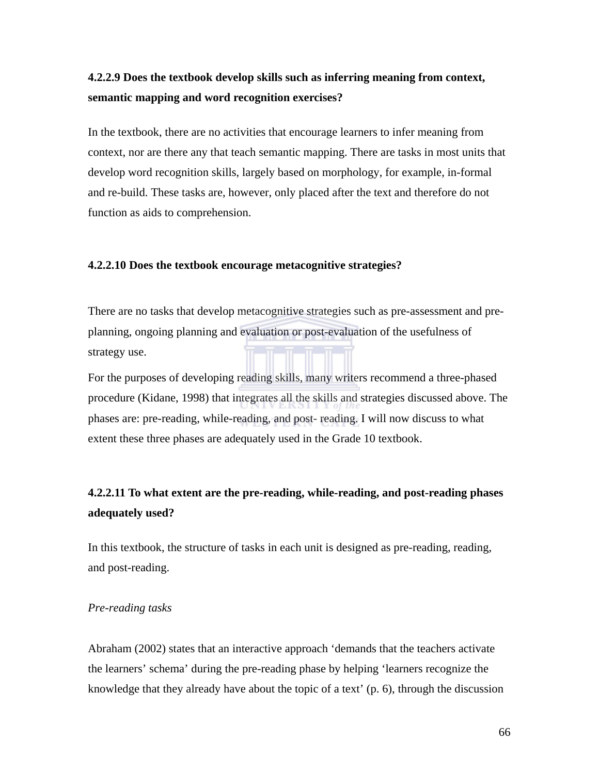# **4.2.2.9 Does the textbook develop skills such as inferring meaning from context, semantic mapping and word recognition exercises?**

In the textbook, there are no activities that encourage learners to infer meaning from context, nor are there any that teach semantic mapping. There are tasks in most units that develop word recognition skills, largely based on morphology, for example, in-formal and re-build. These tasks are, however, only placed after the text and therefore do not function as aids to comprehension.

#### **4.2.2.10 Does the textbook encourage metacognitive strategies?**

There are no tasks that develop metacognitive strategies such as pre-assessment and preplanning, ongoing planning and evaluation or post-evaluation of the usefulness of strategy use.

For the purposes of developing reading skills, many writers recommend a three-phased procedure (Kidane, 1998) that integrates all the skills and strategies discussed above. The phases are: pre-reading, while-reading, and post- reading. I will now discuss to what extent these three phases are adequately used in the Grade 10 textbook.

# **4.2.2.11 To what extent are the pre-reading, while-reading, and post-reading phases adequately used?**

In this textbook, the structure of tasks in each unit is designed as pre-reading, reading, and post-reading.

#### *Pre-reading tasks*

Abraham (2002) states that an interactive approach 'demands that the teachers activate the learners' schema' during the pre-reading phase by helping 'learners recognize the knowledge that they already have about the topic of a text' (p. 6), through the discussion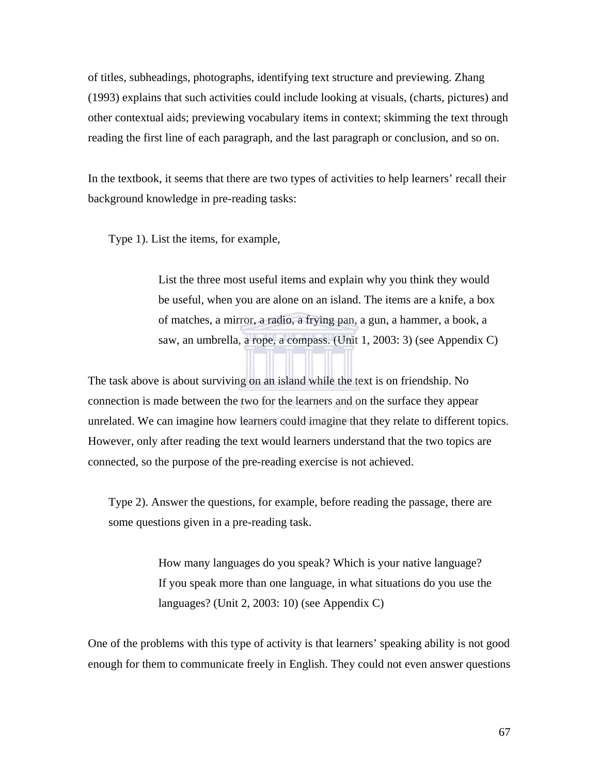of titles, subheadings, photographs, identifying text structure and previewing. Zhang (1993) explains that such activities could include looking at visuals, (charts, pictures) and other contextual aids; previewing vocabulary items in context; skimming the text through reading the first line of each paragraph, and the last paragraph or conclusion, and so on.

In the textbook, it seems that there are two types of activities to help learners' recall their background knowledge in pre-reading tasks:

Type 1). List the items, for example,

 List the three most useful items and explain why you think they would be useful, when you are alone on an island. The items are a knife, a box of matches, a mirror, a radio, a frying pan, a gun, a hammer, a book, a saw, an umbrella, a rope, a compass. (Unit 1, 2003: 3) (see Appendix C)

The task above is about surviving on an island while the text is on friendship. No connection is made between the two for the learners and on the surface they appear unrelated. We can imagine how learners could imagine that they relate to different topics. However, only after reading the text would learners understand that the two topics are connected, so the purpose of the pre-reading exercise is not achieved.

Type 2). Answer the questions, for example, before reading the passage, there are some questions given in a pre-reading task.

> How many languages do you speak? Which is your native language? If you speak more than one language, in what situations do you use the languages? (Unit 2, 2003: 10) (see Appendix C)

One of the problems with this type of activity is that learners' speaking ability is not good enough for them to communicate freely in English. They could not even answer questions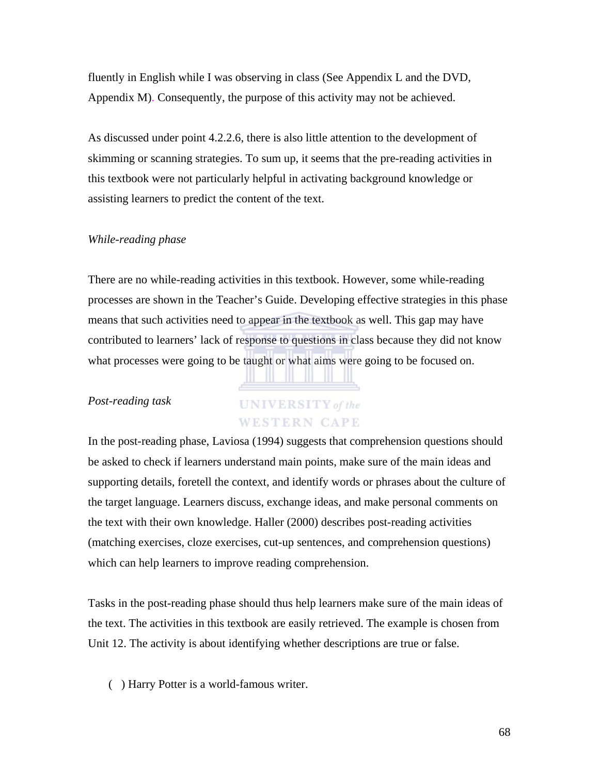fluently in English while I was observing in class (See Appendix L and the DVD, Appendix M). Consequently, the purpose of this activity may not be achieved.

As discussed under point 4.2.2.6, there is also little attention to the development of skimming or scanning strategies. To sum up, it seems that the pre-reading activities in this textbook were not particularly helpful in activating background knowledge or assisting learners to predict the content of the text.

#### *While-reading phase*

There are no while-reading activities in this textbook. However, some while-reading processes are shown in the Teacher's Guide. Developing effective strategies in this phase means that such activities need to appear in the textbook as well. This gap may have contributed to learners' lack of response to questions in class because they did not know what processes were going to be taught or what aims were going to be focused on.

#### *Post-reading task*

# **UNIVERSITY** of the **WESTERN CAPE**

In the post-reading phase, Laviosa (1994) suggests that comprehension questions should be asked to check if learners understand main points, make sure of the main ideas and supporting details, foretell the context, and identify words or phrases about the culture of the target language. Learners discuss, exchange ideas, and make personal comments on the text with their own knowledge. Haller (2000) describes post-reading activities (matching exercises, cloze exercises, cut-up sentences, and comprehension questions) which can help learners to improve reading comprehension.

Tasks in the post-reading phase should thus help learners make sure of the main ideas of the text. The activities in this textbook are easily retrieved. The example is chosen from Unit 12. The activity is about identifying whether descriptions are true or false.

( ) Harry Potter is a world-famous writer.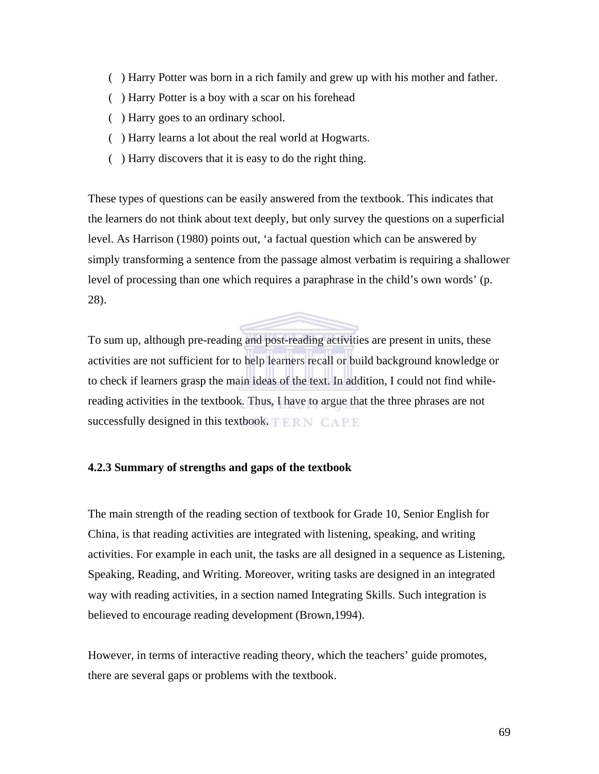- ( ) Harry Potter was born in a rich family and grew up with his mother and father.
- ( ) Harry Potter is a boy with a scar on his forehead
- ( ) Harry goes to an ordinary school.
- ( ) Harry learns a lot about the real world at Hogwarts.
- ( ) Harry discovers that it is easy to do the right thing.

These types of questions can be easily answered from the textbook. This indicates that the learners do not think about text deeply, but only survey the questions on a superficial level. As Harrison (1980) points out, 'a factual question which can be answered by simply transforming a sentence from the passage almost verbatim is requiring a shallower level of processing than one which requires a paraphrase in the child's own words' (p. 28).

To sum up, although pre-reading and post-reading activities are present in units, these activities are not sufficient for to help learners recall or build background knowledge or to check if learners grasp the main ideas of the text. In addition, I could not find whilereading activities in the textbook. Thus, I have to argue that the three phrases are not successfully designed in this textbook. TERN CAPE

#### **4.2.3 Summary of strengths and gaps of the textbook**

The main strength of the reading section of textbook for Grade 10, Senior English for China, is that reading activities are integrated with listening, speaking, and writing activities. For example in each unit, the tasks are all designed in a sequence as Listening, Speaking, Reading, and Writing. Moreover, writing tasks are designed in an integrated way with reading activities, in a section named Integrating Skills. Such integration is believed to encourage reading development (Brown,1994).

However, in terms of interactive reading theory, which the teachers' guide promotes, there are several gaps or problems with the textbook.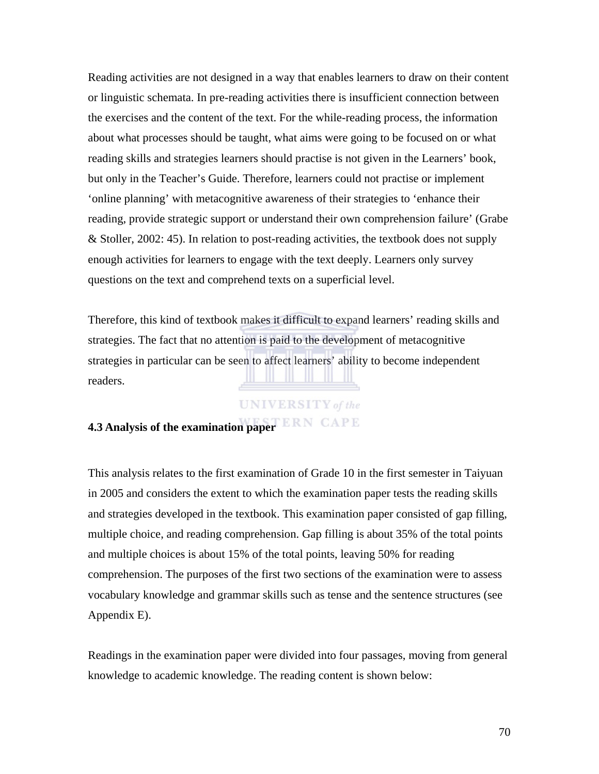Reading activities are not designed in a way that enables learners to draw on their content or linguistic schemata. In pre-reading activities there is insufficient connection between the exercises and the content of the text. For the while-reading process, the information about what processes should be taught, what aims were going to be focused on or what reading skills and strategies learners should practise is not given in the Learners' book, but only in the Teacher's Guide. Therefore, learners could not practise or implement 'online planning' with metacognitive awareness of their strategies to 'enhance their reading, provide strategic support or understand their own comprehension failure' (Grabe & Stoller, 2002: 45). In relation to post-reading activities, the textbook does not supply enough activities for learners to engage with the text deeply. Learners only survey questions on the text and comprehend texts on a superficial level.

Therefore, this kind of textbook makes it difficult to expand learners' reading skills and strategies. The fact that no attention is paid to the development of metacognitive strategies in particular can be seen to affect learners' ability to become independent readers.

#### **UNIVERSITY** of the

# **4.3 Analysis of the examination paper**

This analysis relates to the first examination of Grade 10 in the first semester in Taiyuan in 2005 and considers the extent to which the examination paper tests the reading skills and strategies developed in the textbook. This examination paper consisted of gap filling, multiple choice, and reading comprehension. Gap filling is about 35% of the total points and multiple choices is about 15% of the total points, leaving 50% for reading comprehension. The purposes of the first two sections of the examination were to assess vocabulary knowledge and grammar skills such as tense and the sentence structures (see Appendix E).

Readings in the examination paper were divided into four passages, moving from general knowledge to academic knowledge. The reading content is shown below: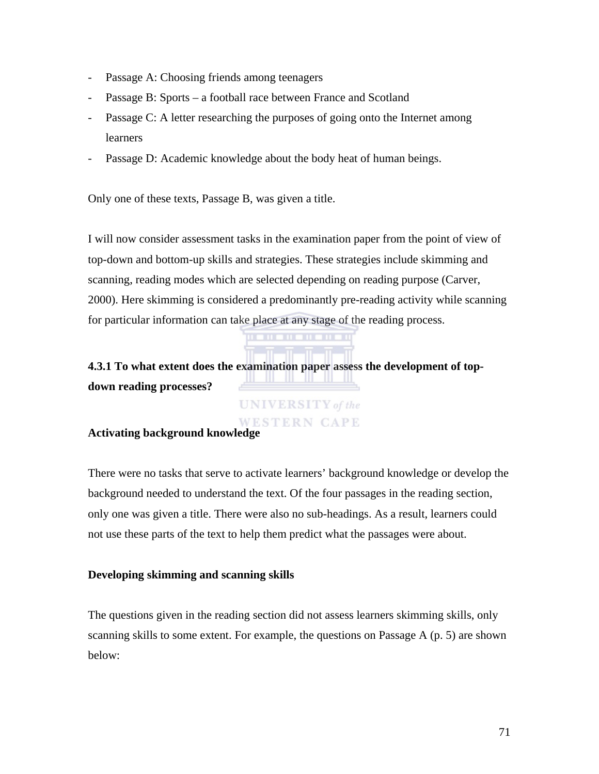- Passage A: Choosing friends among teenagers
- Passage B: Sports a football race between France and Scotland
- Passage C: A letter researching the purposes of going onto the Internet among learners
- Passage D: Academic knowledge about the body heat of human beings.

Only one of these texts, Passage B, was given a title.

I will now consider assessment tasks in the examination paper from the point of view of top-down and bottom-up skills and strategies. These strategies include skimming and scanning, reading modes which are selected depending on reading purpose (Carver, 2000). Here skimming is considered a predominantly pre-reading activity while scanning for particular information can take place at any stage of the reading process.

**4.3.1 To what extent does the examination paper assess the development of top-IN THE REAL PROPERTY AND PROPERTY down reading processes?** 

> **UNIVERSITY** of the WESTERN CAPE

### **Activating background knowledge**

There were no tasks that serve to activate learners' background knowledge or develop the background needed to understand the text. Of the four passages in the reading section, only one was given a title. There were also no sub-headings. As a result, learners could not use these parts of the text to help them predict what the passages were about.

### **Developing skimming and scanning skills**

The questions given in the reading section did not assess learners skimming skills, only scanning skills to some extent. For example, the questions on Passage A (p. 5) are shown below: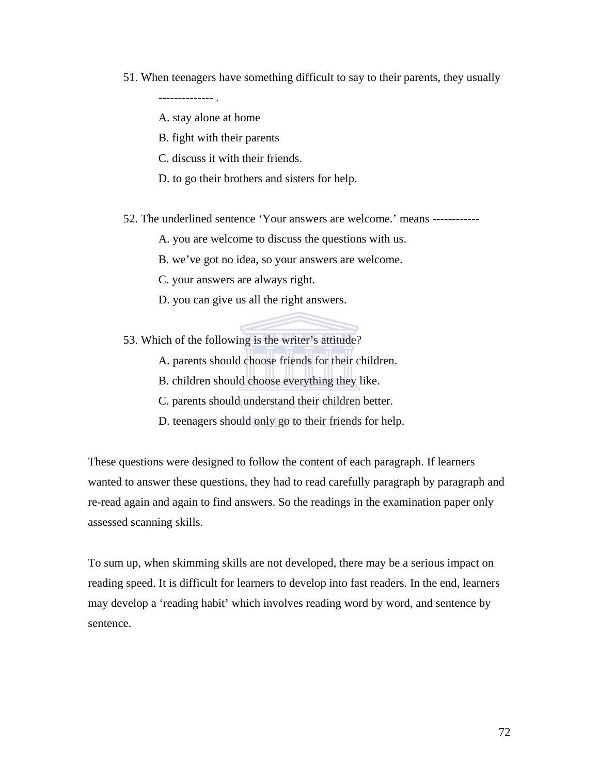51. When teenagers have something difficult to say to their parents, they usually

-------------- .

A. stay alone at home

- B. fight with their parents
- C. discuss it with their friends.
- D. to go their brothers and sisters for help.
- 52. The underlined sentence 'Your answers are welcome.' means ------------

A. you are welcome to discuss the questions with us.

- B. we've got no idea, so your answers are welcome.
- C. your answers are always right.
- D. you can give us all the right answers.

53. Which of the following is the writer's attitude?

- A. parents should choose friends for their children.
- B. children should choose everything they like.
- C. parents should understand their children better.
- D. teenagers should only go to their friends for help.

These questions were designed to follow the content of each paragraph. If learners wanted to answer these questions, they had to read carefully paragraph by paragraph and re-read again and again to find answers. So the readings in the examination paper only assessed scanning skills.

To sum up, when skimming skills are not developed, there may be a serious impact on reading speed. It is difficult for learners to develop into fast readers. In the end, learners may develop a 'reading habit' which involves reading word by word, and sentence by sentence.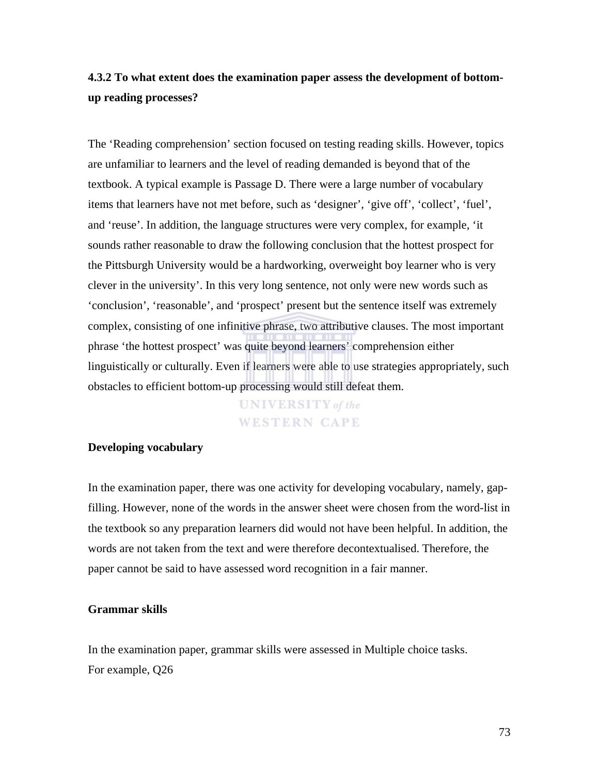## **4.3.2 To what extent does the examination paper assess the development of bottomup reading processes?**

The 'Reading comprehension' section focused on testing reading skills. However, topics are unfamiliar to learners and the level of reading demanded is beyond that of the textbook. A typical example is Passage D. There were a large number of vocabulary items that learners have not met before, such as 'designer', 'give off', 'collect', 'fuel', and 'reuse'. In addition, the language structures were very complex, for example, 'it sounds rather reasonable to draw the following conclusion that the hottest prospect for the Pittsburgh University would be a hardworking, overweight boy learner who is very clever in the university'. In this very long sentence, not only were new words such as 'conclusion', 'reasonable', and 'prospect' present but the sentence itself was extremely complex, consisting of one infinitive phrase, two attributive clauses. The most important phrase 'the hottest prospect' was quite beyond learners' comprehension either linguistically or culturally. Even if learners were able to use strategies appropriately, such obstacles to efficient bottom-up processing would still defeat them.

> **UNIVERSITY** of the **WESTERN CAPE**

#### **Developing vocabulary**

In the examination paper, there was one activity for developing vocabulary, namely, gapfilling. However, none of the words in the answer sheet were chosen from the word-list in the textbook so any preparation learners did would not have been helpful. In addition, the words are not taken from the text and were therefore decontextualised. Therefore, the paper cannot be said to have assessed word recognition in a fair manner.

#### **Grammar skills**

In the examination paper, grammar skills were assessed in Multiple choice tasks. For example, Q26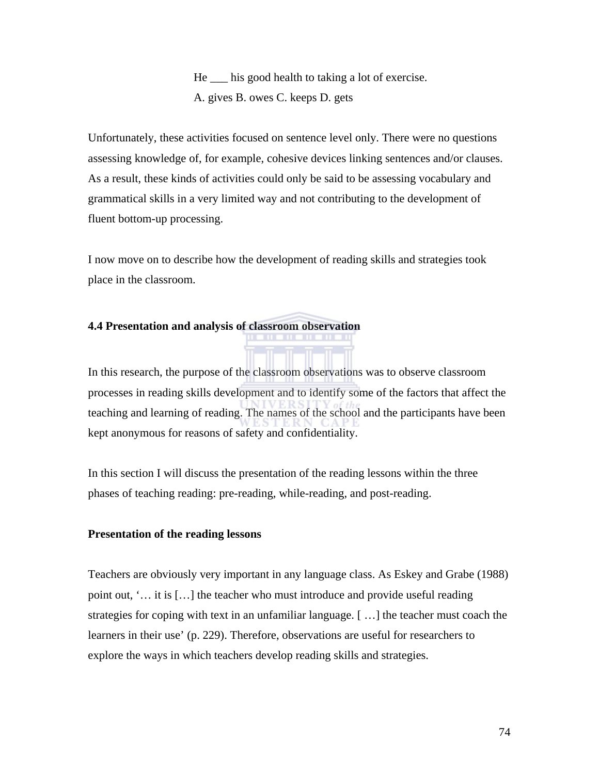He \_\_\_ his good health to taking a lot of exercise. A. gives B. owes C. keeps D. gets

Unfortunately, these activities focused on sentence level only. There were no questions assessing knowledge of, for example, cohesive devices linking sentences and/or clauses. As a result, these kinds of activities could only be said to be assessing vocabulary and grammatical skills in a very limited way and not contributing to the development of fluent bottom-up processing.

I now move on to describe how the development of reading skills and strategies took place in the classroom.

#### **4.4 Presentation and analysis of classroom observation**

In this research, the purpose of the classroom observations was to observe classroom processes in reading skills development and to identify some of the factors that affect the teaching and learning of reading. The names of the school and the participants have been kept anonymous for reasons of safety and confidentiality.

. . . . . . . . .

In this section I will discuss the presentation of the reading lessons within the three phases of teaching reading: pre-reading, while-reading, and post-reading.

#### **Presentation of the reading lessons**

Teachers are obviously very important in any language class. As Eskey and Grabe (1988) point out, '… it is […] the teacher who must introduce and provide useful reading strategies for coping with text in an unfamiliar language. [ …] the teacher must coach the learners in their use' (p. 229). Therefore, observations are useful for researchers to explore the ways in which teachers develop reading skills and strategies.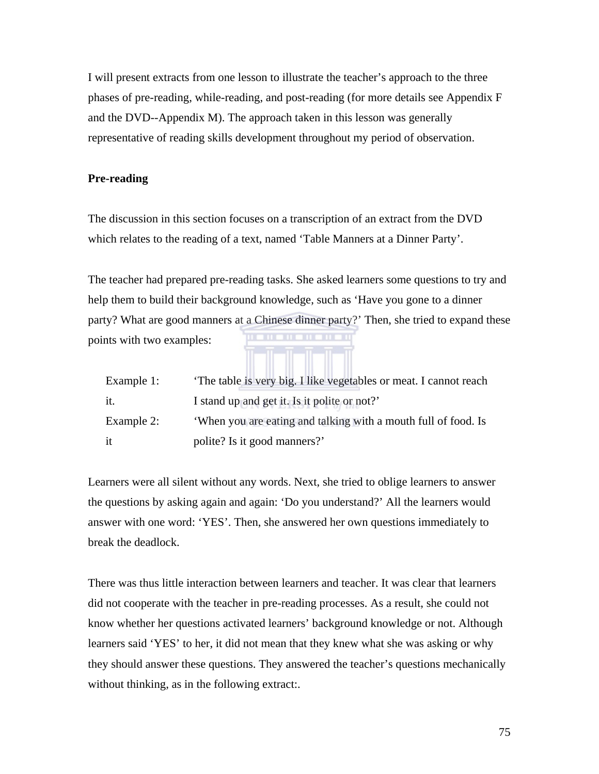I will present extracts from one lesson to illustrate the teacher's approach to the three phases of pre-reading, while-reading, and post-reading (for more details see Appendix F and the DVD--Appendix M). The approach taken in this lesson was generally representative of reading skills development throughout my period of observation.

#### **Pre-reading**

The discussion in this section focuses on a transcription of an extract from the DVD which relates to the reading of a text, named 'Table Manners at a Dinner Party'.

The teacher had prepared pre-reading tasks. She asked learners some questions to try and help them to build their background knowledge, such as 'Have you gone to a dinner party? What are good manners at a Chinese dinner party?' Then, she tried to expand these points with two examples:

| Example 1: | The table is very big. I like vegetables or meat. I cannot reach |
|------------|------------------------------------------------------------------|
| it.        | I stand up and get it. Is it polite or not?'                     |
| Example 2: | 'When you are eating and talking with a mouth full of food. Is   |
| it         | polite? Is it good manners?'                                     |

Learners were all silent without any words. Next, she tried to oblige learners to answer the questions by asking again and again: 'Do you understand?' All the learners would answer with one word: 'YES'. Then, she answered her own questions immediately to break the deadlock.

There was thus little interaction between learners and teacher. It was clear that learners did not cooperate with the teacher in pre-reading processes. As a result, she could not know whether her questions activated learners' background knowledge or not. Although learners said 'YES' to her, it did not mean that they knew what she was asking or why they should answer these questions. They answered the teacher's questions mechanically without thinking, as in the following extract:.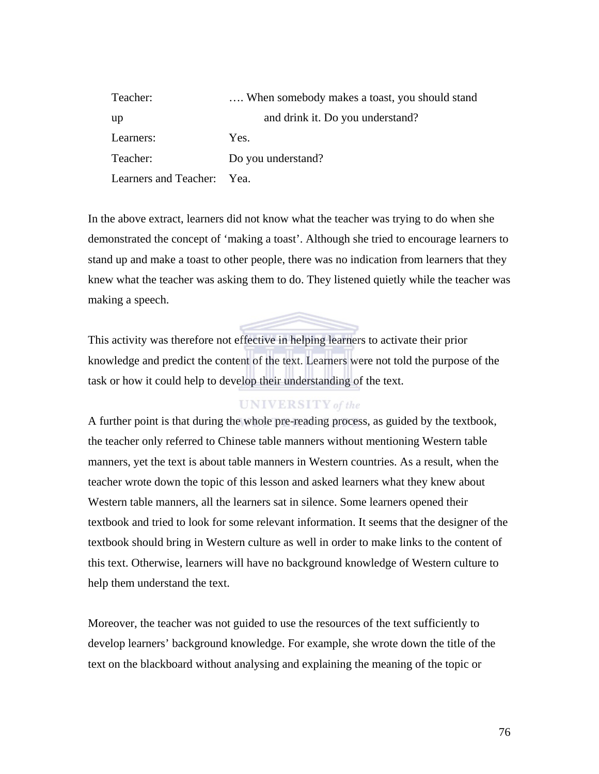| Teacher:                   | When somebody makes a toast, you should stand |
|----------------------------|-----------------------------------------------|
| up                         | and drink it. Do you understand?              |
| Learners:                  | Yes.                                          |
| Teacher:                   | Do you understand?                            |
| Learners and Teacher: Yea. |                                               |

In the above extract, learners did not know what the teacher was trying to do when she demonstrated the concept of 'making a toast'. Although she tried to encourage learners to stand up and make a toast to other people, there was no indication from learners that they knew what the teacher was asking them to do. They listened quietly while the teacher was making a speech.

This activity was therefore not effective in helping learners to activate their prior knowledge and predict the content of the text. Learners were not told the purpose of the task or how it could help to develop their understanding of the text.

#### **UNIVERSITY** of the

A further point is that during the whole pre-reading process, as guided by the textbook, the teacher only referred to Chinese table manners without mentioning Western table manners, yet the text is about table manners in Western countries. As a result, when the teacher wrote down the topic of this lesson and asked learners what they knew about Western table manners, all the learners sat in silence. Some learners opened their textbook and tried to look for some relevant information. It seems that the designer of the textbook should bring in Western culture as well in order to make links to the content of this text. Otherwise, learners will have no background knowledge of Western culture to help them understand the text.

Moreover, the teacher was not guided to use the resources of the text sufficiently to develop learners' background knowledge. For example, she wrote down the title of the text on the blackboard without analysing and explaining the meaning of the topic or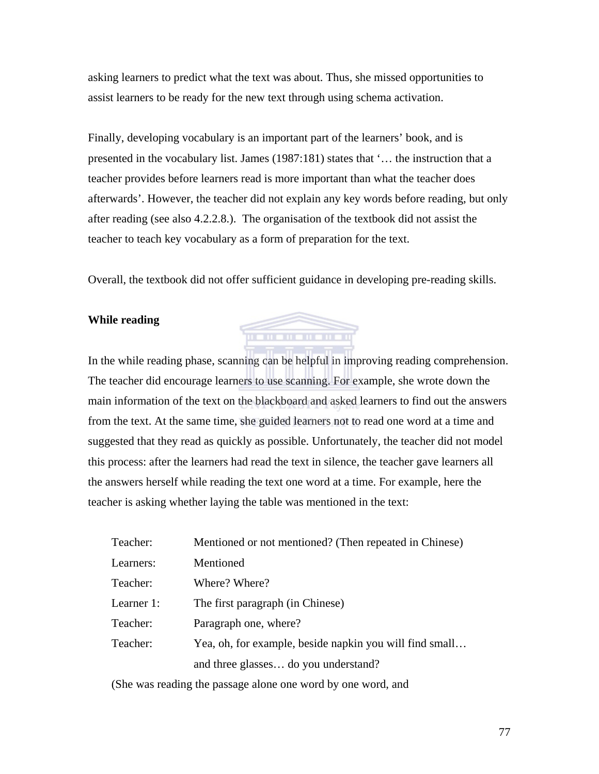asking learners to predict what the text was about. Thus, she missed opportunities to assist learners to be ready for the new text through using schema activation.

Finally, developing vocabulary is an important part of the learners' book, and is presented in the vocabulary list. James (1987:181) states that '… the instruction that a teacher provides before learners read is more important than what the teacher does afterwards'. However, the teacher did not explain any key words before reading, but only after reading (see also 4.2.2.8.). The organisation of the textbook did not assist the teacher to teach key vocabulary as a form of preparation for the text.

Overall, the textbook did not offer sufficient guidance in developing pre-reading skills.

<u>mananananan</u>

#### **While reading**

In the while reading phase, scanning can be helpful in improving reading comprehension. The teacher did encourage learners to use scanning. For example, she wrote down the main information of the text on the blackboard and asked learners to find out the answers from the text. At the same time, she guided learners not to read one word at a time and suggested that they read as quickly as possible. Unfortunately, the teacher did not model this process: after the learners had read the text in silence, the teacher gave learners all the answers herself while reading the text one word at a time. For example, here the teacher is asking whether laying the table was mentioned in the text:

| Teacher:   | Mentioned or not mentioned? (Then repeated in Chinese)  |
|------------|---------------------------------------------------------|
| Learners:  | Mentioned                                               |
| Teacher:   | Where? Where?                                           |
| Learner 1: | The first paragraph (in Chinese)                        |
| Teacher:   | Paragraph one, where?                                   |
| Teacher:   | Yea, oh, for example, beside napkin you will find small |
|            | and three glasses do you understand?                    |

(She was reading the passage alone one word by one word, and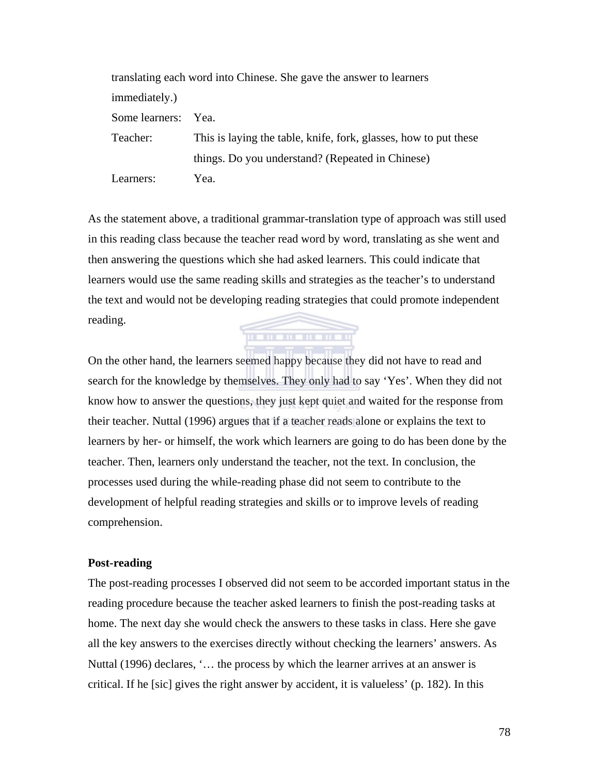|                | translating each word into Chinese. She gave the answer to learners |
|----------------|---------------------------------------------------------------------|
| immediately.)  |                                                                     |
| Some learners: | Yea.                                                                |
| Teacher:       | This is laying the table, knife, fork, glasses, how to put these    |
|                | things. Do you understand? (Repeated in Chinese)                    |
| Learners:      | Yea.                                                                |

As the statement above, a traditional grammar-translation type of approach was still used in this reading class because the teacher read word by word, translating as she went and then answering the questions which she had asked learners. This could indicate that learners would use the same reading skills and strategies as the teacher's to understand the text and would not be developing reading strategies that could promote independent reading. <u>memementan</u>

On the other hand, the learners seemed happy because they did not have to read and search for the knowledge by themselves. They only had to say 'Yes'. When they did not know how to answer the questions, they just kept quiet and waited for the response from their teacher. Nuttal (1996) argues that if a teacher reads alone or explains the text to learners by her- or himself, the work which learners are going to do has been done by the teacher. Then, learners only understand the teacher, not the text. In conclusion, the processes used during the while-reading phase did not seem to contribute to the development of helpful reading strategies and skills or to improve levels of reading comprehension.

#### **Post-reading**

The post-reading processes I observed did not seem to be accorded important status in the reading procedure because the teacher asked learners to finish the post-reading tasks at home. The next day she would check the answers to these tasks in class. Here she gave all the key answers to the exercises directly without checking the learners' answers. As Nuttal (1996) declares, '… the process by which the learner arrives at an answer is critical. If he [sic] gives the right answer by accident, it is valueless' (p. 182). In this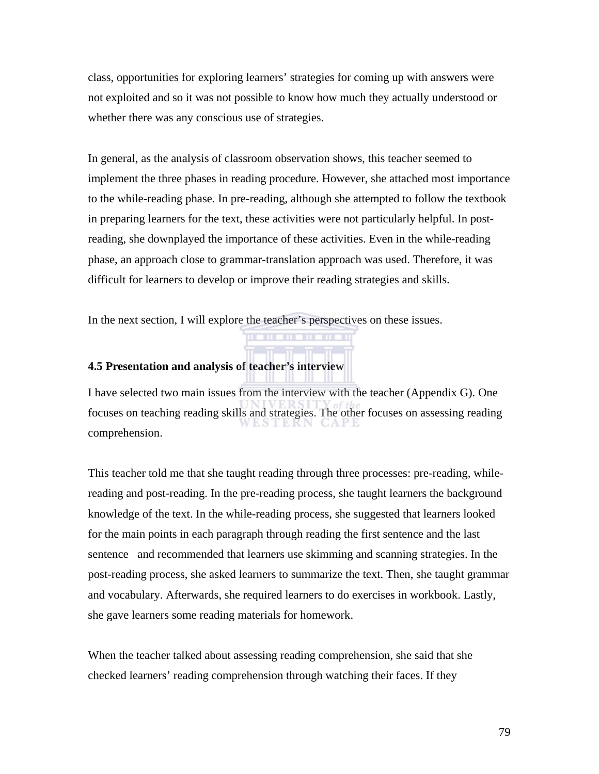class, opportunities for exploring learners' strategies for coming up with answers were not exploited and so it was not possible to know how much they actually understood or whether there was any conscious use of strategies.

In general, as the analysis of classroom observation shows, this teacher seemed to implement the three phases in reading procedure. However, she attached most importance to the while-reading phase. In pre-reading, although she attempted to follow the textbook in preparing learners for the text, these activities were not particularly helpful. In postreading, she downplayed the importance of these activities. Even in the while-reading phase, an approach close to grammar-translation approach was used. Therefore, it was difficult for learners to develop or improve their reading strategies and skills.

In the next section, I will explore the teacher's perspectives on these issues.

#### **4.5 Presentation and analysis of teacher's interview**

I have selected two main issues from the interview with the teacher (Appendix G). One focuses on teaching reading skills and strategies. The other focuses on assessing reading comprehension.

This teacher told me that she taught reading through three processes: pre-reading, whilereading and post-reading. In the pre-reading process, she taught learners the background knowledge of the text. In the while-reading process, she suggested that learners looked for the main points in each paragraph through reading the first sentence and the last sentence and recommended that learners use skimming and scanning strategies. In the post-reading process, she asked learners to summarize the text. Then, she taught grammar and vocabulary. Afterwards, she required learners to do exercises in workbook. Lastly, she gave learners some reading materials for homework.

When the teacher talked about assessing reading comprehension, she said that she checked learners' reading comprehension through watching their faces. If they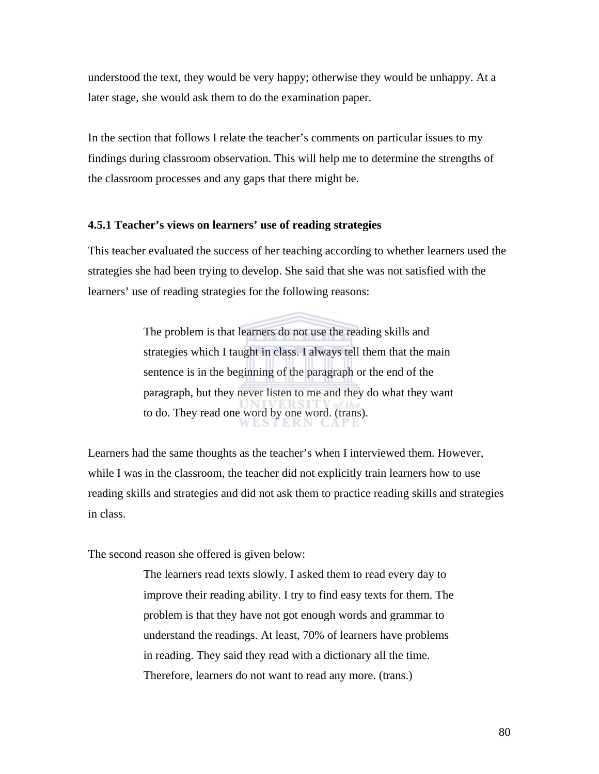understood the text, they would be very happy; otherwise they would be unhappy. At a later stage, she would ask them to do the examination paper.

In the section that follows I relate the teacher's comments on particular issues to my findings during classroom observation. This will help me to determine the strengths of the classroom processes and any gaps that there might be.

#### **4.5.1 Teacher's views on learners' use of reading strategies**

This teacher evaluated the success of her teaching according to whether learners used the strategies she had been trying to develop. She said that she was not satisfied with the learners' use of reading strategies for the following reasons:

> The problem is that learners do not use the reading skills and strategies which I taught in class. I always tell them that the main sentence is in the beginning of the paragraph or the end of the paragraph, but they never listen to me and they do what they want to do. They read one word by one word. (trans).

Learners had the same thoughts as the teacher's when I interviewed them. However, while I was in the classroom, the teacher did not explicitly train learners how to use reading skills and strategies and did not ask them to practice reading skills and strategies in class.

The second reason she offered is given below:

The learners read texts slowly. I asked them to read every day to improve their reading ability. I try to find easy texts for them. The problem is that they have not got enough words and grammar to understand the readings. At least, 70% of learners have problems in reading. They said they read with a dictionary all the time. Therefore, learners do not want to read any more. (trans.)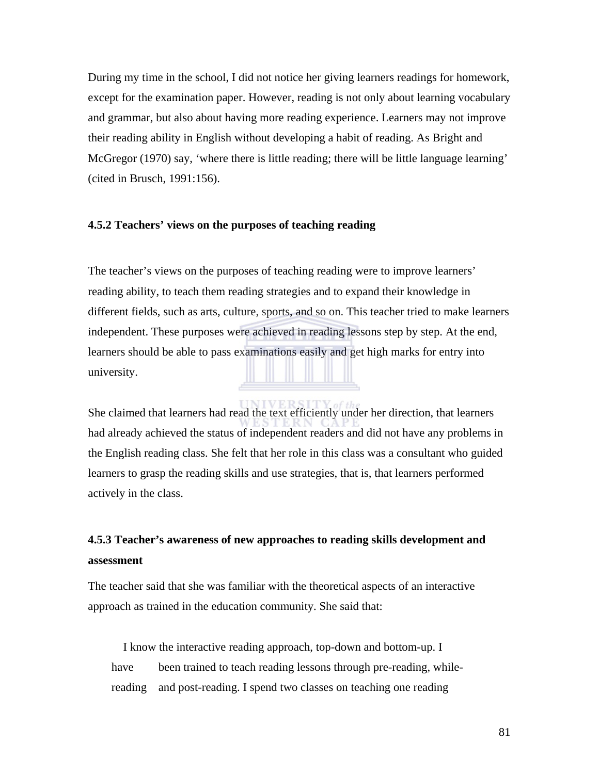During my time in the school, I did not notice her giving learners readings for homework, except for the examination paper. However, reading is not only about learning vocabulary and grammar, but also about having more reading experience. Learners may not improve their reading ability in English without developing a habit of reading. As Bright and McGregor (1970) say, 'where there is little reading; there will be little language learning' (cited in Brusch, 1991:156).

#### **4.5.2 Teachers' views on the purposes of teaching reading**

The teacher's views on the purposes of teaching reading were to improve learners' reading ability, to teach them reading strategies and to expand their knowledge in different fields, such as arts, culture, sports, and so on. This teacher tried to make learners independent. These purposes were achieved in reading lessons step by step. At the end, learners should be able to pass examinations easily and get high marks for entry into university.

She claimed that learners had read the text efficiently under her direction, that learners had already achieved the status of independent readers and did not have any problems in the English reading class. She felt that her role in this class was a consultant who guided learners to grasp the reading skills and use strategies, that is, that learners performed actively in the class.

## **4.5.3 Teacher's awareness of new approaches to reading skills development and assessment**

The teacher said that she was familiar with the theoretical aspects of an interactive approach as trained in the education community. She said that:

 I know the interactive reading approach, top-down and bottom-up. I have been trained to teach reading lessons through pre-reading, whilereading and post-reading. I spend two classes on teaching one reading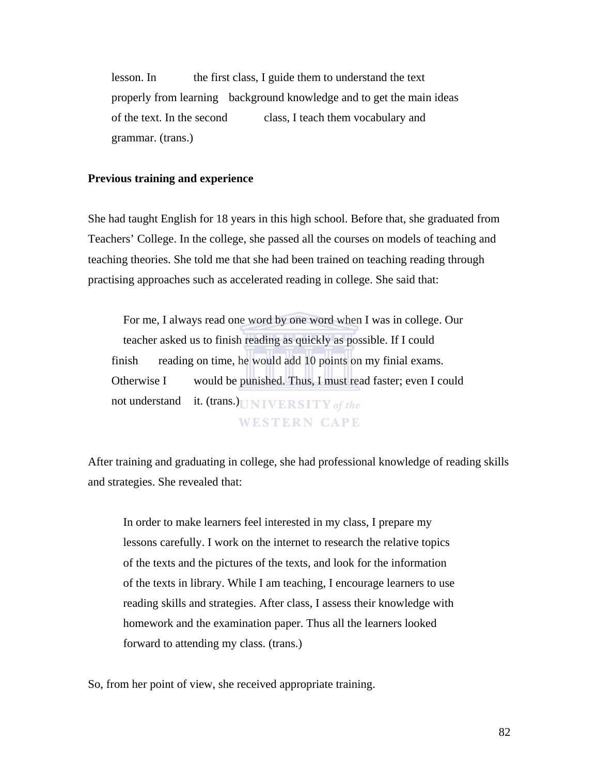lesson. In the first class, I guide them to understand the text properly from learning background knowledge and to get the main ideas of the text. In the second class, I teach them vocabulary and grammar. (trans.)

#### **Previous training and experience**

She had taught English for 18 years in this high school. Before that, she graduated from Teachers' College. In the college, she passed all the courses on models of teaching and teaching theories. She told me that she had been trained on teaching reading through practising approaches such as accelerated reading in college. She said that:

 For me, I always read one word by one word when I was in college. Our teacher asked us to finish reading as quickly as possible. If I could finish reading on time, he would add 10 points on my finial exams. Otherwise I would be punished. Thus, I must read faster; even I could not understand it. (trans.) UNIVERSITY of the **WESTERN CAPE** 

After training and graduating in college, she had professional knowledge of reading skills and strategies. She revealed that:

In order to make learners feel interested in my class, I prepare my lessons carefully. I work on the internet to research the relative topics of the texts and the pictures of the texts, and look for the information of the texts in library. While I am teaching, I encourage learners to use reading skills and strategies. After class, I assess their knowledge with homework and the examination paper. Thus all the learners looked forward to attending my class. (trans.)

So, from her point of view, she received appropriate training.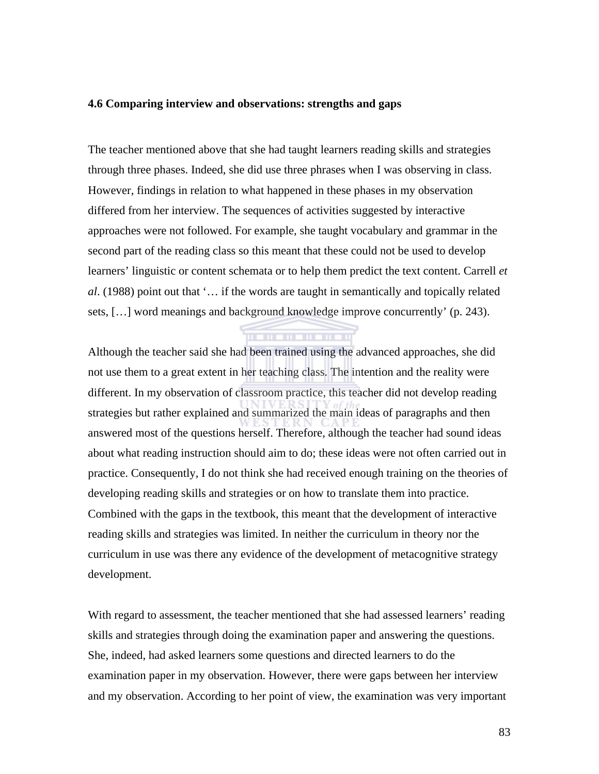#### **4.6 Comparing interview and observations: strengths and gaps**

The teacher mentioned above that she had taught learners reading skills and strategies through three phases. Indeed, she did use three phrases when I was observing in class. However, findings in relation to what happened in these phases in my observation differed from her interview. The sequences of activities suggested by interactive approaches were not followed. For example, she taught vocabulary and grammar in the second part of the reading class so this meant that these could not be used to develop learners' linguistic or content schemata or to help them predict the text content. Carrell *et al*. (1988) point out that '… if the words are taught in semantically and topically related sets, […] word meanings and background knowledge improve concurrently' (p. 243).

Although the teacher said she had been trained using the advanced approaches, she did not use them to a great extent in her teaching class. The intention and the reality were different. In my observation of classroom practice, this teacher did not develop reading strategies but rather explained and summarized the main ideas of paragraphs and then answered most of the questions herself. Therefore, although the teacher had sound ideas about what reading instruction should aim to do; these ideas were not often carried out in practice. Consequently, I do not think she had received enough training on the theories of developing reading skills and strategies or on how to translate them into practice. Combined with the gaps in the textbook, this meant that the development of interactive reading skills and strategies was limited. In neither the curriculum in theory nor the curriculum in use was there any evidence of the development of metacognitive strategy development.

With regard to assessment, the teacher mentioned that she had assessed learners' reading skills and strategies through doing the examination paper and answering the questions. She, indeed, had asked learners some questions and directed learners to do the examination paper in my observation. However, there were gaps between her interview and my observation. According to her point of view, the examination was very important

83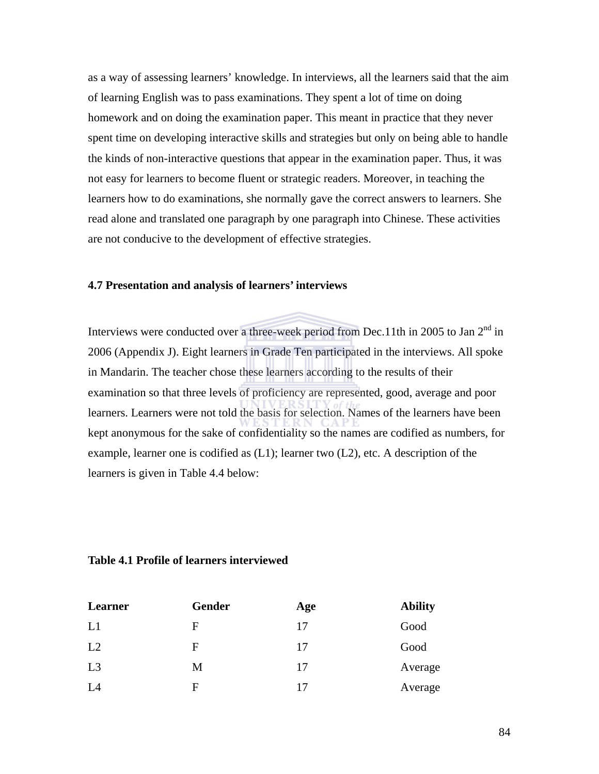as a way of assessing learners' knowledge. In interviews, all the learners said that the aim of learning English was to pass examinations. They spent a lot of time on doing homework and on doing the examination paper. This meant in practice that they never spent time on developing interactive skills and strategies but only on being able to handle the kinds of non-interactive questions that appear in the examination paper. Thus, it was not easy for learners to become fluent or strategic readers. Moreover, in teaching the learners how to do examinations, she normally gave the correct answers to learners. She read alone and translated one paragraph by one paragraph into Chinese. These activities are not conducive to the development of effective strategies.

#### **4.7 Presentation and analysis of learners' interviews**

Interviews were conducted over a three-week period from Dec.11th in 2005 to Jan  $2<sup>nd</sup>$  in 2006 (Appendix J). Eight learners in Grade Ten participated in the interviews. All spoke in Mandarin. The teacher chose these learners according to the results of their examination so that three levels of proficiency are represented, good, average and poor learners. Learners were not told the basis for selection. Names of the learners have been kept anonymous for the sake of confidentiality so the names are codified as numbers, for example, learner one is codified as (L1); learner two (L2), etc. A description of the learners is given in Table 4.4 below:

#### **Table 4.1 Profile of learners interviewed**

| Learner | Gender | Age | <b>Ability</b> |
|---------|--------|-----|----------------|
| L1      | F      | 17  | Good           |
| L2      | F      | 17  | Good           |
| L3      | M      | 17  | Average        |
| L4      | F      | 17  | Average        |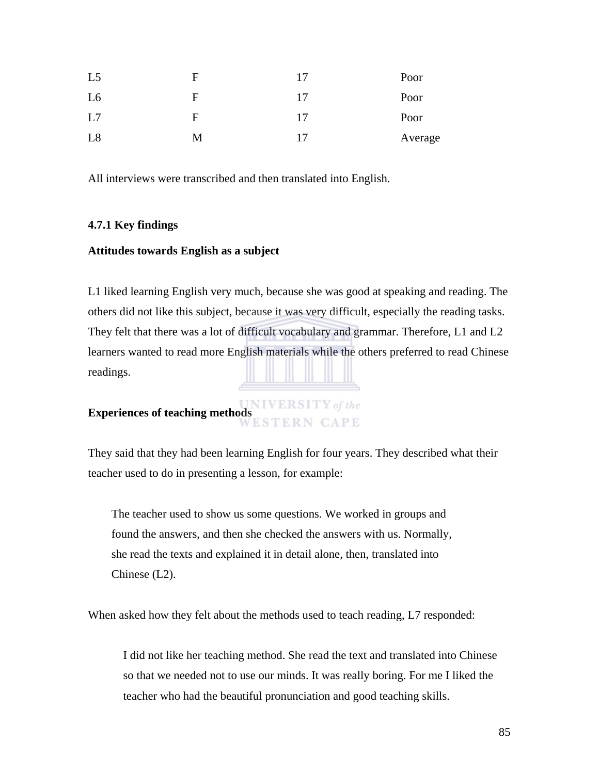| L <sub>5</sub> | F | 17 | Poor    |
|----------------|---|----|---------|
| L <sub>6</sub> | F | 17 | Poor    |
| L7             | F | 17 | Poor    |
| L8             | M | 17 | Average |

All interviews were transcribed and then translated into English.

#### **4.7.1 Key findings**

#### **Attitudes towards English as a subject**

L1 liked learning English very much, because she was good at speaking and reading. The others did not like this subject, because it was very difficult, especially the reading tasks. They felt that there was a lot of difficult vocabulary and grammar. Therefore, L1 and L2 learners wanted to read more English materials while the others preferred to read Chinese readings.

# **Experiences of teaching methods**<br>**WESTERN CAPE**

They said that they had been learning English for four years. They described what their teacher used to do in presenting a lesson, for example:

The teacher used to show us some questions. We worked in groups and found the answers, and then she checked the answers with us. Normally, she read the texts and explained it in detail alone, then, translated into Chinese (L2).

When asked how they felt about the methods used to teach reading, L7 responded:

 I did not like her teaching method. She read the text and translated into Chinese so that we needed not to use our minds. It was really boring. For me I liked the teacher who had the beautiful pronunciation and good teaching skills.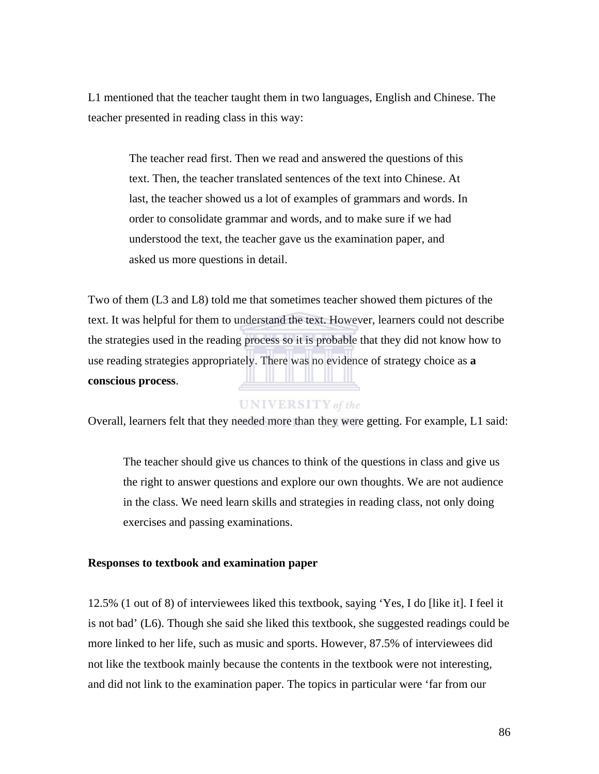L1 mentioned that the teacher taught them in two languages, English and Chinese. The teacher presented in reading class in this way:

The teacher read first. Then we read and answered the questions of this text. Then, the teacher translated sentences of the text into Chinese. At last, the teacher showed us a lot of examples of grammars and words. In order to consolidate grammar and words, and to make sure if we had understood the text, the teacher gave us the examination paper, and asked us more questions in detail.

Two of them (L3 and L8) told me that sometimes teacher showed them pictures of the text. It was helpful for them to understand the text. However, learners could not describe the strategies used in the reading process so it is probable that they did not know how to use reading strategies appropriately. There was no evidence of strategy choice as **a conscious process**.

#### **UNIVERSITY** of the

Overall, learners felt that they needed more than they were getting. For example, L1 said:

 The teacher should give us chances to think of the questions in class and give us the right to answer questions and explore our own thoughts. We are not audience in the class. We need learn skills and strategies in reading class, not only doing exercises and passing examinations.

#### **Responses to textbook and examination paper**

12.5% (1 out of 8) of interviewees liked this textbook, saying 'Yes, I do [like it]. I feel it is not bad' (L6). Though she said she liked this textbook, she suggested readings could be more linked to her life, such as music and sports. However, 87.5% of interviewees did not like the textbook mainly because the contents in the textbook were not interesting, and did not link to the examination paper. The topics in particular were 'far from our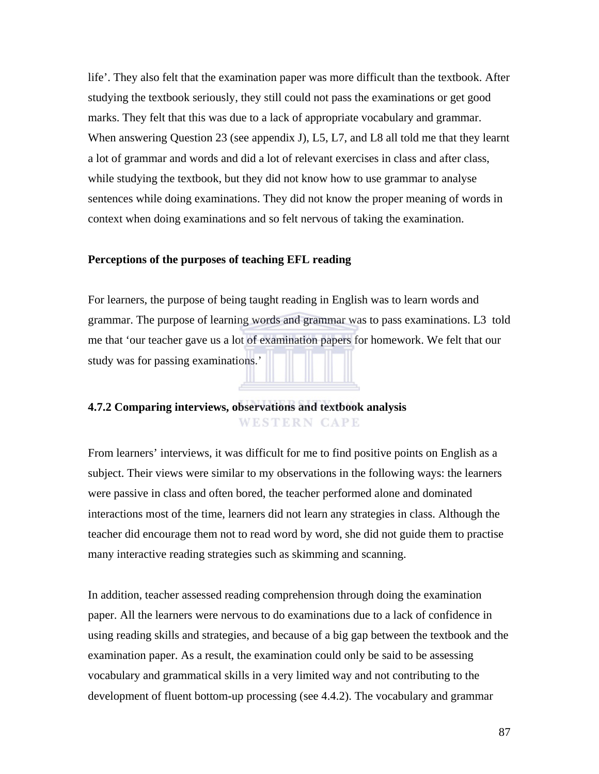life'. They also felt that the examination paper was more difficult than the textbook. After studying the textbook seriously, they still could not pass the examinations or get good marks. They felt that this was due to a lack of appropriate vocabulary and grammar. When answering Question 23 (see appendix J), L5, L7, and L8 all told me that they learnt a lot of grammar and words and did a lot of relevant exercises in class and after class, while studying the textbook, but they did not know how to use grammar to analyse sentences while doing examinations. They did not know the proper meaning of words in context when doing examinations and so felt nervous of taking the examination.

#### **Perceptions of the purposes of teaching EFL reading**

For learners, the purpose of being taught reading in English was to learn words and grammar. The purpose of learning words and grammar was to pass examinations. L3 told me that 'our teacher gave us a lot of examination papers for homework. We felt that our study was for passing examinations.'

#### **4.7.2 Comparing interviews, observations and textbook analysis WESTERN CAPE**

From learners' interviews, it was difficult for me to find positive points on English as a subject. Their views were similar to my observations in the following ways: the learners were passive in class and often bored, the teacher performed alone and dominated interactions most of the time, learners did not learn any strategies in class. Although the teacher did encourage them not to read word by word, she did not guide them to practise many interactive reading strategies such as skimming and scanning.

In addition, teacher assessed reading comprehension through doing the examination paper. All the learners were nervous to do examinations due to a lack of confidence in using reading skills and strategies, and because of a big gap between the textbook and the examination paper. As a result, the examination could only be said to be assessing vocabulary and grammatical skills in a very limited way and not contributing to the development of fluent bottom-up processing (see 4.4.2). The vocabulary and grammar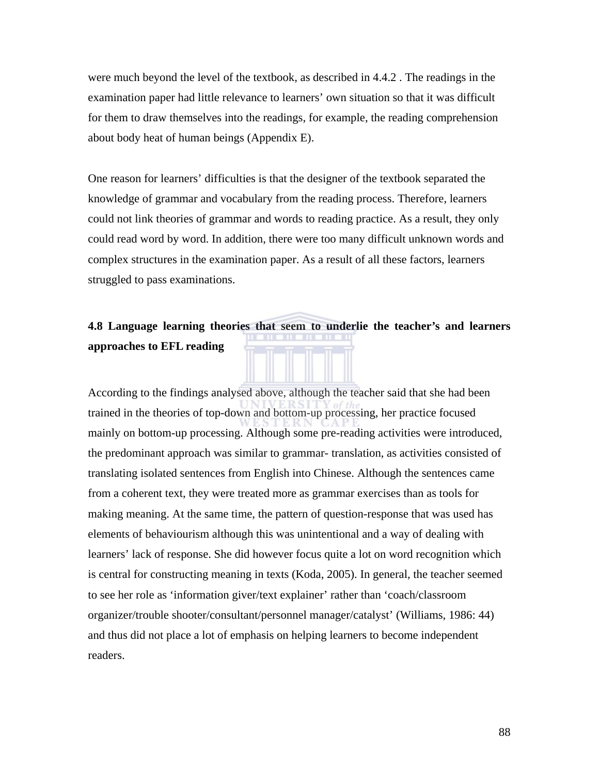were much beyond the level of the textbook, as described in 4.4.2 . The readings in the examination paper had little relevance to learners' own situation so that it was difficult for them to draw themselves into the readings, for example, the reading comprehension about body heat of human beings (Appendix E).

One reason for learners' difficulties is that the designer of the textbook separated the knowledge of grammar and vocabulary from the reading process. Therefore, learners could not link theories of grammar and words to reading practice. As a result, they only could read word by word. In addition, there were too many difficult unknown words and complex structures in the examination paper. As a result of all these factors, learners struggled to pass examinations.

#### **4.8 Language learning theories that seem to underlie the teacher's and learners approaches to EFL reading**

According to the findings analysed above, although the teacher said that she had been trained in the theories of top-down and bottom-up processing, her practice focused mainly on bottom-up processing. Although some pre-reading activities were introduced, the predominant approach was similar to grammar- translation, as activities consisted of translating isolated sentences from English into Chinese. Although the sentences came from a coherent text, they were treated more as grammar exercises than as tools for making meaning. At the same time, the pattern of question-response that was used has elements of behaviourism although this was unintentional and a way of dealing with learners' lack of response. She did however focus quite a lot on word recognition which is central for constructing meaning in texts (Koda, 2005). In general, the teacher seemed to see her role as 'information giver/text explainer' rather than 'coach/classroom organizer/trouble shooter/consultant/personnel manager/catalyst' (Williams, 1986: 44) and thus did not place a lot of emphasis on helping learners to become independent readers.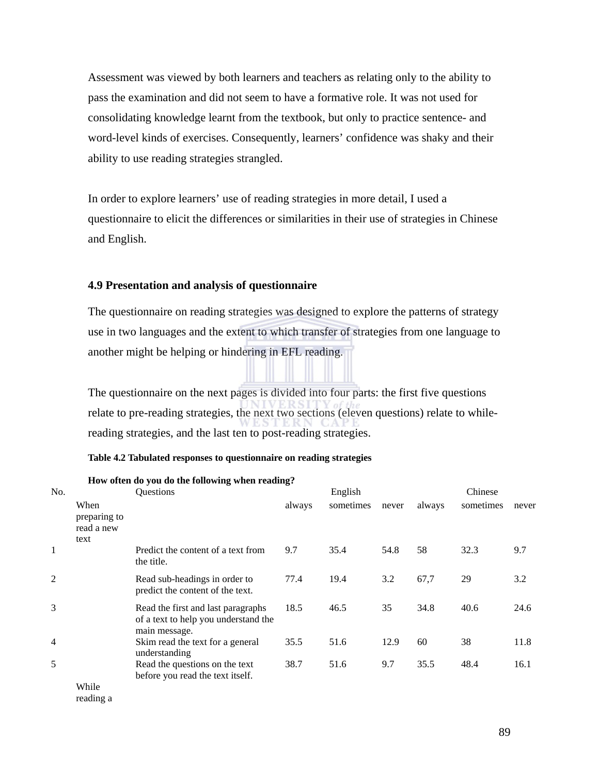Assessment was viewed by both learners and teachers as relating only to the ability to pass the examination and did not seem to have a formative role. It was not used for consolidating knowledge learnt from the textbook, but only to practice sentence- and word-level kinds of exercises. Consequently, learners' confidence was shaky and their ability to use reading strategies strangled.

In order to explore learners' use of reading strategies in more detail, I used a questionnaire to elicit the differences or similarities in their use of strategies in Chinese and English.

#### **4.9 Presentation and analysis of questionnaire**

The questionnaire on reading strategies was designed to explore the patterns of strategy use in two languages and the extent to which transfer of strategies from one language to another might be helping or hindering in EFL reading.

The questionnaire on the next pages is divided into four parts: the first five questions relate to pre-reading strategies, the next two sections (eleven questions) relate to whilereading strategies, and the last ten to post-reading strategies.

|  |  |  | Table 4.2 Tabulated responses to questionnaire on reading strategies |
|--|--|--|----------------------------------------------------------------------|
|  |  |  |                                                                      |

|                | How often do you do the following when reading. |                                                                                             |        |           |       |        |           |       |  |
|----------------|-------------------------------------------------|---------------------------------------------------------------------------------------------|--------|-----------|-------|--------|-----------|-------|--|
| No.            |                                                 | <b>Ouestions</b>                                                                            |        | English   |       |        | Chinese   |       |  |
|                | When<br>preparing to<br>read a new<br>text      |                                                                                             | always | sometimes | never | always | sometimes | never |  |
| 1              |                                                 | Predict the content of a text from<br>the title.                                            | 9.7    | 35.4      | 54.8  | 58     | 32.3      | 9.7   |  |
| 2              |                                                 | Read sub-headings in order to<br>predict the content of the text.                           | 77.4   | 19.4      | 3.2   | 67,7   | 29        | 3.2   |  |
| 3              |                                                 | Read the first and last paragraphs<br>of a text to help you understand the<br>main message. | 18.5   | 46.5      | 35    | 34.8   | 40.6      | 24.6  |  |
| $\overline{4}$ |                                                 | Skim read the text for a general<br>understanding                                           | 35.5   | 51.6      | 12.9  | 60     | 38        | 11.8  |  |
| 5              |                                                 | Read the questions on the text<br>before you read the text itself.                          | 38.7   | 51.6      | 9.7   | 35.5   | 48.4      | 16.1  |  |
|                | While                                           |                                                                                             |        |           |       |        |           |       |  |

#### **How often do you do the following when reading?**

reading a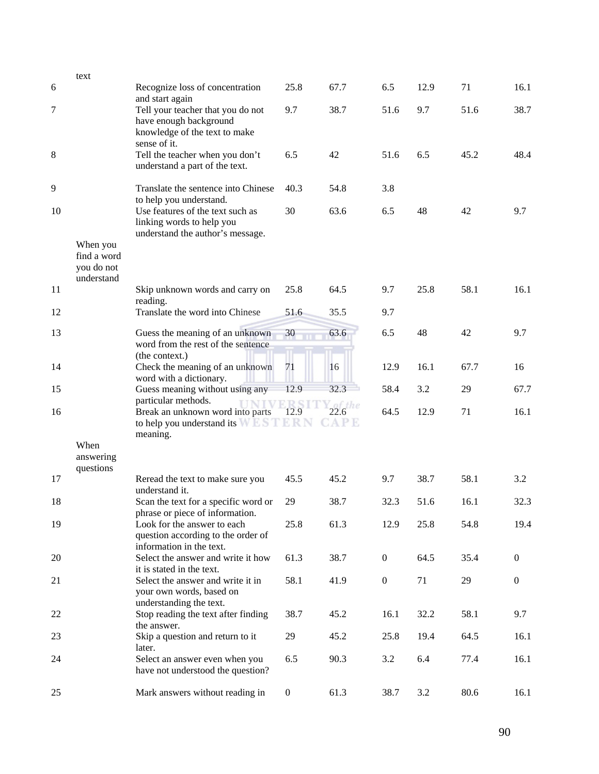|    | text                                                |                                                                                                              |                  |                         |                  |      |      |                  |
|----|-----------------------------------------------------|--------------------------------------------------------------------------------------------------------------|------------------|-------------------------|------------------|------|------|------------------|
| 6  |                                                     | Recognize loss of concentration<br>and start again                                                           | 25.8             | 67.7                    | 6.5              | 12.9 | 71   | 16.1             |
| 7  |                                                     | Tell your teacher that you do not<br>have enough background<br>knowledge of the text to make<br>sense of it. | 9.7              | 38.7                    | 51.6             | 9.7  | 51.6 | 38.7             |
| 8  |                                                     | Tell the teacher when you don't<br>understand a part of the text.                                            | 6.5              | 42                      | 51.6             | 6.5  | 45.2 | 48.4             |
| 9  |                                                     | Translate the sentence into Chinese<br>to help you understand.                                               | 40.3             | 54.8                    | 3.8              |      |      |                  |
| 10 |                                                     | Use features of the text such as<br>linking words to help you<br>understand the author's message.            | 30               | 63.6                    | 6.5              | 48   | 42   | 9.7              |
|    | When you<br>find a word<br>you do not<br>understand |                                                                                                              |                  |                         |                  |      |      |                  |
| 11 |                                                     | Skip unknown words and carry on<br>reading.                                                                  | 25.8             | 64.5                    | 9.7              | 25.8 | 58.1 | 16.1             |
| 12 |                                                     | Translate the word into Chinese                                                                              | 51.6             | 35.5                    | 9.7              |      |      |                  |
| 13 |                                                     | Guess the meaning of an unknown<br>word from the rest of the sentence<br>(the context.)                      | 30               | 63.6                    | 6.5              | 48   | 42   | 9.7              |
| 14 |                                                     | Check the meaning of an unknown<br>word with a dictionary.                                                   | 71               | 16                      | 12.9             | 16.1 | 67.7 | 16               |
| 15 |                                                     | Guess meaning without using any<br>particular methods.                                                       | 12.9             | 32.3                    | 58.4             | 3.2  | 29   | 67.7             |
| 16 |                                                     | Break an unknown word into parts<br>to help you understand its WESTERN<br>meaning.                           | 12.9             | Y_of_the<br><b>CAPE</b> | 64.5             | 12.9 | 71   | 16.1             |
|    | When<br>answering<br>questions                      |                                                                                                              |                  |                         |                  |      |      |                  |
| 17 |                                                     | Reread the text to make sure you<br>understand it.                                                           | 45.5             | 45.2                    | 9.7              | 38.7 | 58.1 | 3.2              |
| 18 |                                                     | Scan the text for a specific word or<br>phrase or piece of information.                                      | 29               | 38.7                    | 32.3             | 51.6 | 16.1 | 32.3             |
| 19 |                                                     | Look for the answer to each<br>question according to the order of<br>information in the text.                | 25.8             | 61.3                    | 12.9             | 25.8 | 54.8 | 19.4             |
| 20 |                                                     | Select the answer and write it how<br>it is stated in the text.                                              | 61.3             | 38.7                    | $\boldsymbol{0}$ | 64.5 | 35.4 | $\overline{0}$   |
| 21 |                                                     | Select the answer and write it in<br>your own words, based on<br>understanding the text.                     | 58.1             | 41.9                    | $\boldsymbol{0}$ | 71   | 29   | $\boldsymbol{0}$ |
| 22 |                                                     | Stop reading the text after finding<br>the answer.                                                           | 38.7             | 45.2                    | 16.1             | 32.2 | 58.1 | 9.7              |
| 23 |                                                     | Skip a question and return to it<br>later.                                                                   | 29               | 45.2                    | 25.8             | 19.4 | 64.5 | 16.1             |
| 24 |                                                     | Select an answer even when you<br>have not understood the question?                                          | 6.5              | 90.3                    | 3.2              | 6.4  | 77.4 | 16.1             |
| 25 |                                                     | Mark answers without reading in                                                                              | $\boldsymbol{0}$ | 61.3                    | 38.7             | 3.2  | 80.6 | 16.1             |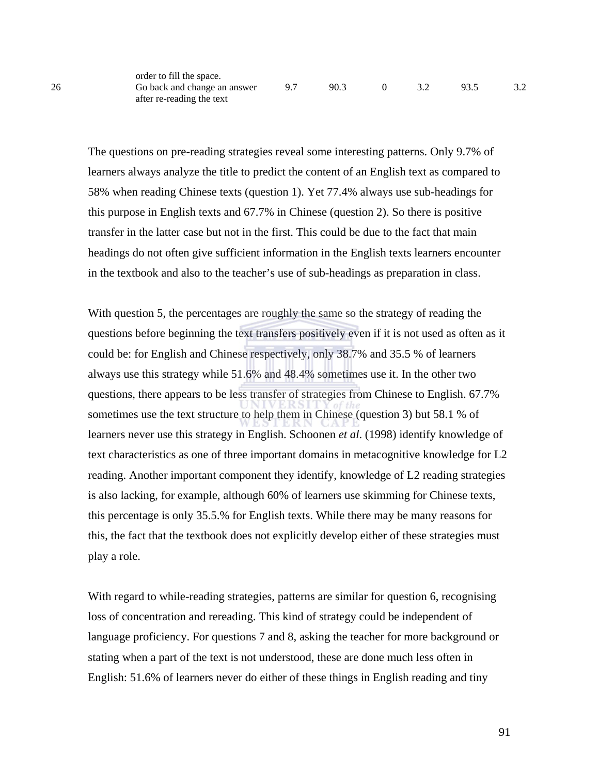The questions on pre-reading strategies reveal some interesting patterns. Only 9.7% of learners always analyze the title to predict the content of an English text as compared to 58% when reading Chinese texts (question 1). Yet 77.4% always use sub-headings for this purpose in English texts and 67.7% in Chinese (question 2). So there is positive transfer in the latter case but not in the first. This could be due to the fact that main headings do not often give sufficient information in the English texts learners encounter in the textbook and also to the teacher's use of sub-headings as preparation in class.

With question 5, the percentages are roughly the same so the strategy of reading the questions before beginning the text transfers positively even if it is not used as often as it could be: for English and Chinese respectively, only 38.7% and 35.5 % of learners always use this strategy while 51.6% and 48.4% sometimes use it. In the other two questions, there appears to be less transfer of strategies from Chinese to English. 67.7% sometimes use the text structure to help them in Chinese (question 3) but 58.1 % of learners never use this strategy in English. Schoonen *et al*. (1998) identify knowledge of text characteristics as one of three important domains in metacognitive knowledge for L2 reading. Another important component they identify, knowledge of L2 reading strategies is also lacking, for example, although 60% of learners use skimming for Chinese texts, this percentage is only 35.5.% for English texts. While there may be many reasons for this, the fact that the textbook does not explicitly develop either of these strategies must play a role.

With regard to while-reading strategies, patterns are similar for question 6, recognising loss of concentration and rereading. This kind of strategy could be independent of language proficiency. For questions 7 and 8, asking the teacher for more background or stating when a part of the text is not understood, these are done much less often in English: 51.6% of learners never do either of these things in English reading and tiny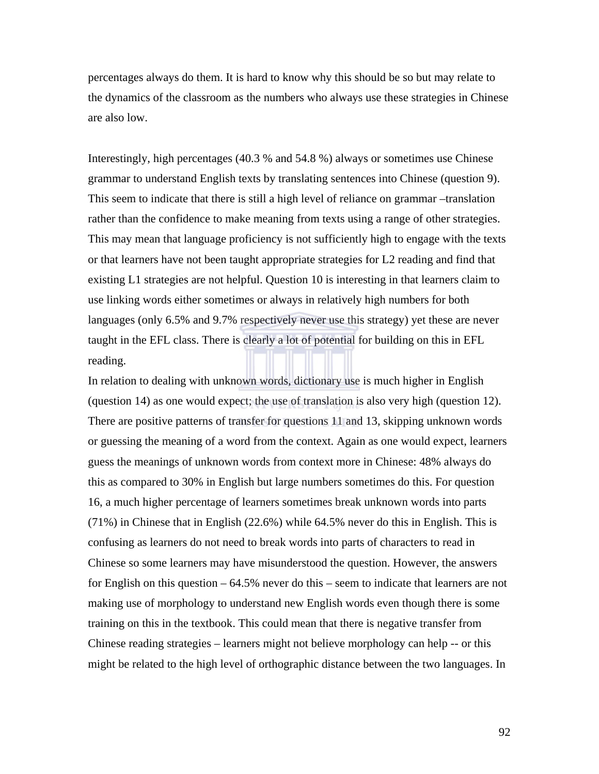percentages always do them. It is hard to know why this should be so but may relate to the dynamics of the classroom as the numbers who always use these strategies in Chinese are also low.

Interestingly, high percentages (40.3 % and 54.8 %) always or sometimes use Chinese grammar to understand English texts by translating sentences into Chinese (question 9). This seem to indicate that there is still a high level of reliance on grammar –translation rather than the confidence to make meaning from texts using a range of other strategies. This may mean that language proficiency is not sufficiently high to engage with the texts or that learners have not been taught appropriate strategies for L2 reading and find that existing L1 strategies are not helpful. Question 10 is interesting in that learners claim to use linking words either sometimes or always in relatively high numbers for both languages (only 6.5% and 9.7% respectively never use this strategy) yet these are never taught in the EFL class. There is clearly a lot of potential for building on this in EFL reading.

In relation to dealing with unknown words, dictionary use is much higher in English (question 14) as one would expect; the use of translation is also very high (question 12). There are positive patterns of transfer for questions 11 and 13, skipping unknown words or guessing the meaning of a word from the context. Again as one would expect, learners guess the meanings of unknown words from context more in Chinese: 48% always do this as compared to 30% in English but large numbers sometimes do this. For question 16, a much higher percentage of learners sometimes break unknown words into parts (71%) in Chinese that in English (22.6%) while 64.5% never do this in English. This is confusing as learners do not need to break words into parts of characters to read in Chinese so some learners may have misunderstood the question. However, the answers for English on this question – 64.5% never do this – seem to indicate that learners are not making use of morphology to understand new English words even though there is some training on this in the textbook. This could mean that there is negative transfer from Chinese reading strategies – learners might not believe morphology can help -- or this might be related to the high level of orthographic distance between the two languages. In

92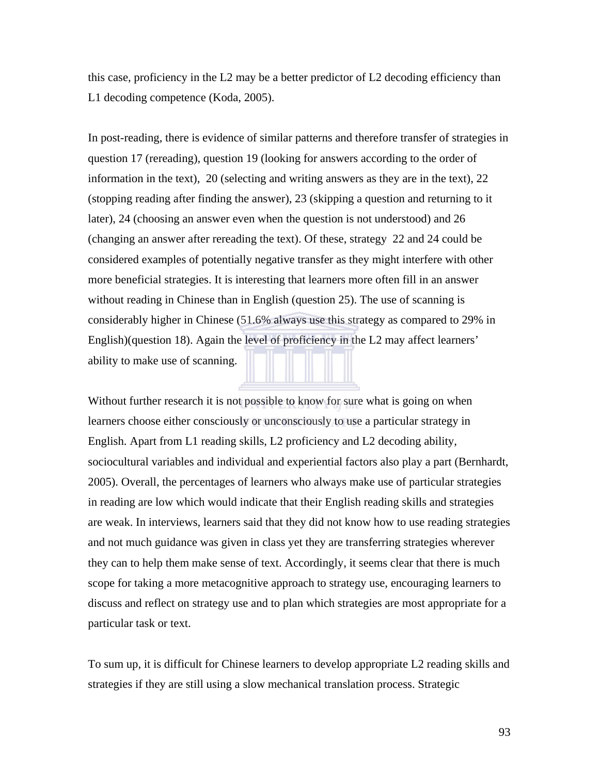this case, proficiency in the L2 may be a better predictor of L2 decoding efficiency than L1 decoding competence (Koda, 2005).

In post-reading, there is evidence of similar patterns and therefore transfer of strategies in question 17 (rereading), question 19 (looking for answers according to the order of information in the text), 20 (selecting and writing answers as they are in the text), 22 (stopping reading after finding the answer), 23 (skipping a question and returning to it later), 24 (choosing an answer even when the question is not understood) and 26 (changing an answer after rereading the text). Of these, strategy 22 and 24 could be considered examples of potentially negative transfer as they might interfere with other more beneficial strategies. It is interesting that learners more often fill in an answer without reading in Chinese than in English (question 25). The use of scanning is considerably higher in Chinese (51.6% always use this strategy as compared to 29% in English)(question 18). Again the level of proficiency in the L2 may affect learners' ability to make use of scanning.

Without further research it is not possible to know for sure what is going on when learners choose either consciously or unconsciously to use a particular strategy in English. Apart from L1 reading skills, L2 proficiency and L2 decoding ability, sociocultural variables and individual and experiential factors also play a part (Bernhardt, 2005). Overall, the percentages of learners who always make use of particular strategies in reading are low which would indicate that their English reading skills and strategies are weak. In interviews, learners said that they did not know how to use reading strategies and not much guidance was given in class yet they are transferring strategies wherever they can to help them make sense of text. Accordingly, it seems clear that there is much scope for taking a more metacognitive approach to strategy use, encouraging learners to discuss and reflect on strategy use and to plan which strategies are most appropriate for a particular task or text.

To sum up, it is difficult for Chinese learners to develop appropriate L2 reading skills and strategies if they are still using a slow mechanical translation process. Strategic

93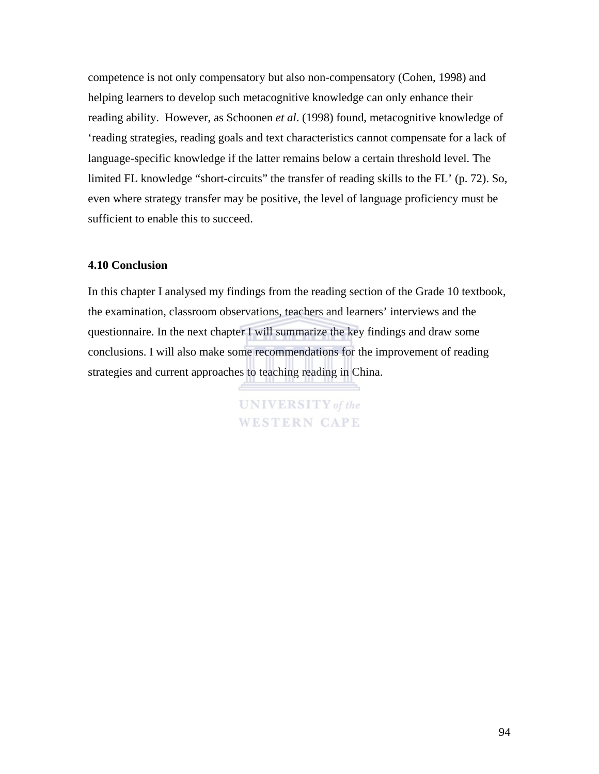competence is not only compensatory but also non-compensatory (Cohen, 1998) and helping learners to develop such metacognitive knowledge can only enhance their reading ability. However, as Schoonen *et al*. (1998) found, metacognitive knowledge of 'reading strategies, reading goals and text characteristics cannot compensate for a lack of language-specific knowledge if the latter remains below a certain threshold level. The limited FL knowledge "short-circuits" the transfer of reading skills to the FL' (p. 72). So, even where strategy transfer may be positive, the level of language proficiency must be sufficient to enable this to succeed.

#### **4.10 Conclusion**

In this chapter I analysed my findings from the reading section of the Grade 10 textbook, the examination, classroom observations, teachers and learners' interviews and the questionnaire. In the next chapter I will summarize the key findings and draw some conclusions. I will also make some recommendations for the improvement of reading strategies and current approaches to teaching reading in China.

> **UNIVERSITY** of the **WESTERN CAPE**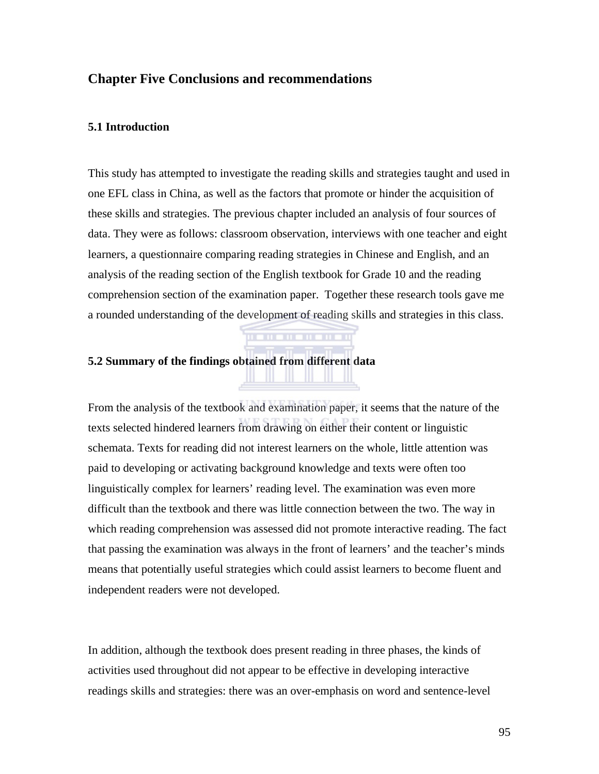### **Chapter Five Conclusions and recommendations**

#### **5.1 Introduction**

This study has attempted to investigate the reading skills and strategies taught and used in one EFL class in China, as well as the factors that promote or hinder the acquisition of these skills and strategies. The previous chapter included an analysis of four sources of data. They were as follows: classroom observation, interviews with one teacher and eight learners, a questionnaire comparing reading strategies in Chinese and English, and an analysis of the reading section of the English textbook for Grade 10 and the reading comprehension section of the examination paper. Together these research tools gave me a rounded understanding of the development of reading skills and strategies in this class.

 $\mathbf{m}$  and  $\mathbf{m}$ 

#### **5.2 Summary of the findings obtained from different data**

From the analysis of the textbook and examination paper, it seems that the nature of the texts selected hindered learners from drawing on either their content or linguistic schemata. Texts for reading did not interest learners on the whole, little attention was paid to developing or activating background knowledge and texts were often too linguistically complex for learners' reading level. The examination was even more difficult than the textbook and there was little connection between the two. The way in which reading comprehension was assessed did not promote interactive reading. The fact that passing the examination was always in the front of learners' and the teacher's minds means that potentially useful strategies which could assist learners to become fluent and independent readers were not developed.

In addition, although the textbook does present reading in three phases, the kinds of activities used throughout did not appear to be effective in developing interactive readings skills and strategies: there was an over-emphasis on word and sentence-level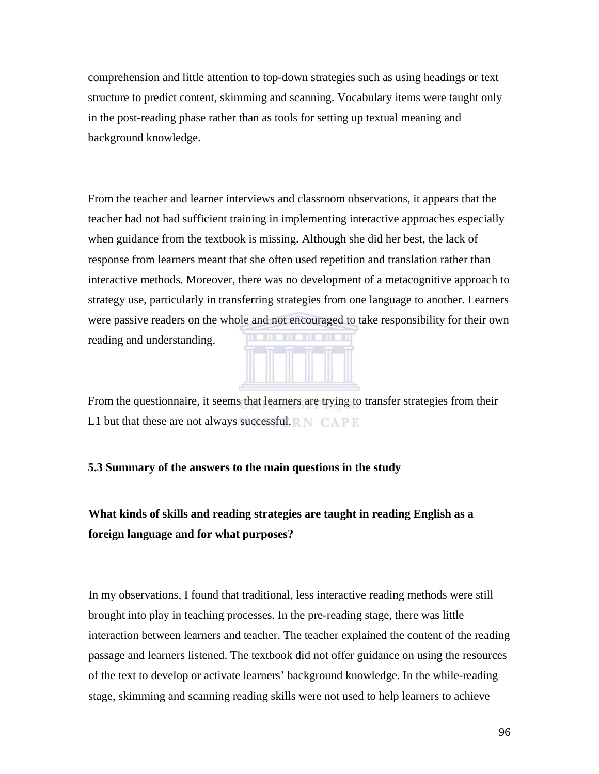comprehension and little attention to top-down strategies such as using headings or text structure to predict content, skimming and scanning. Vocabulary items were taught only in the post-reading phase rather than as tools for setting up textual meaning and background knowledge.

From the teacher and learner interviews and classroom observations, it appears that the teacher had not had sufficient training in implementing interactive approaches especially when guidance from the textbook is missing. Although she did her best, the lack of response from learners meant that she often used repetition and translation rather than interactive methods. Moreover, there was no development of a metacognitive approach to strategy use, particularly in transferring strategies from one language to another. Learners were passive readers on the whole and not encouraged to take responsibility for their own reading and understanding.



From the questionnaire, it seems that learners are trying to transfer strategies from their L1 but that these are not always successful.  $\mathbb{R} N \subset \mathbb{R} \mathbb{R}$ 

#### **5.3 Summary of the answers to the main questions in the study**

**What kinds of skills and reading strategies are taught in reading English as a foreign language and for what purposes?** 

In my observations, I found that traditional, less interactive reading methods were still brought into play in teaching processes. In the pre-reading stage, there was little interaction between learners and teacher. The teacher explained the content of the reading passage and learners listened. The textbook did not offer guidance on using the resources of the text to develop or activate learners' background knowledge. In the while-reading stage, skimming and scanning reading skills were not used to help learners to achieve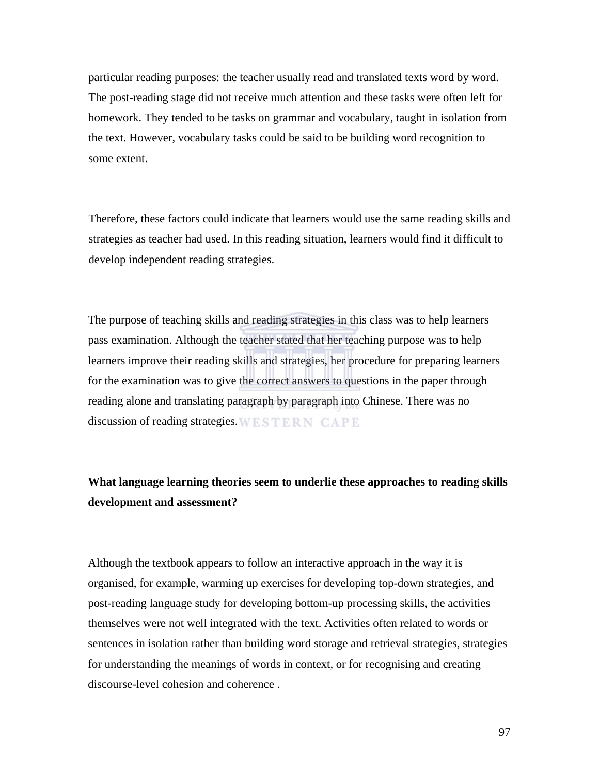particular reading purposes: the teacher usually read and translated texts word by word. The post-reading stage did not receive much attention and these tasks were often left for homework. They tended to be tasks on grammar and vocabulary, taught in isolation from the text. However, vocabulary tasks could be said to be building word recognition to some extent.

Therefore, these factors could indicate that learners would use the same reading skills and strategies as teacher had used. In this reading situation, learners would find it difficult to develop independent reading strategies.

The purpose of teaching skills and reading strategies in this class was to help learners pass examination. Although the teacher stated that her teaching purpose was to help learners improve their reading skills and strategies, her procedure for preparing learners for the examination was to give the correct answers to questions in the paper through reading alone and translating paragraph by paragraph into Chinese. There was no discussion of reading strategies. WESTERN CAPE

**What language learning theories seem to underlie these approaches to reading skills development and assessment?** 

Although the textbook appears to follow an interactive approach in the way it is organised, for example, warming up exercises for developing top-down strategies, and post-reading language study for developing bottom-up processing skills, the activities themselves were not well integrated with the text. Activities often related to words or sentences in isolation rather than building word storage and retrieval strategies, strategies for understanding the meanings of words in context, or for recognising and creating discourse-level cohesion and coherence .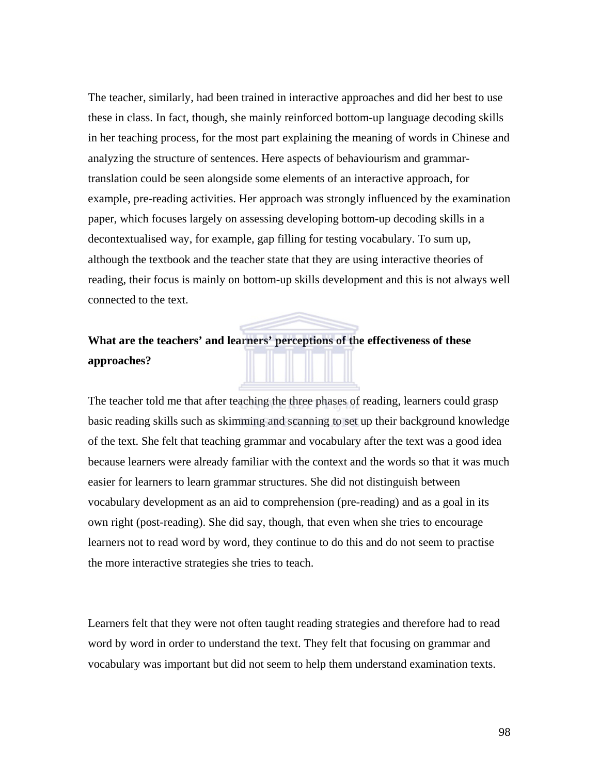The teacher, similarly, had been trained in interactive approaches and did her best to use these in class. In fact, though, she mainly reinforced bottom-up language decoding skills in her teaching process, for the most part explaining the meaning of words in Chinese and analyzing the structure of sentences. Here aspects of behaviourism and grammartranslation could be seen alongside some elements of an interactive approach, for example, pre-reading activities. Her approach was strongly influenced by the examination paper, which focuses largely on assessing developing bottom-up decoding skills in a decontextualised way, for example, gap filling for testing vocabulary. To sum up, although the textbook and the teacher state that they are using interactive theories of reading, their focus is mainly on bottom-up skills development and this is not always well connected to the text.

## **What are the teachers' and learners' perceptions of the effectiveness of these approaches?**

The teacher told me that after teaching the three phases of reading, learners could grasp basic reading skills such as skimming and scanning to set up their background knowledge of the text. She felt that teaching grammar and vocabulary after the text was a good idea because learners were already familiar with the context and the words so that it was much easier for learners to learn grammar structures. She did not distinguish between vocabulary development as an aid to comprehension (pre-reading) and as a goal in its own right (post-reading). She did say, though, that even when she tries to encourage learners not to read word by word, they continue to do this and do not seem to practise the more interactive strategies she tries to teach.

Learners felt that they were not often taught reading strategies and therefore had to read word by word in order to understand the text. They felt that focusing on grammar and vocabulary was important but did not seem to help them understand examination texts.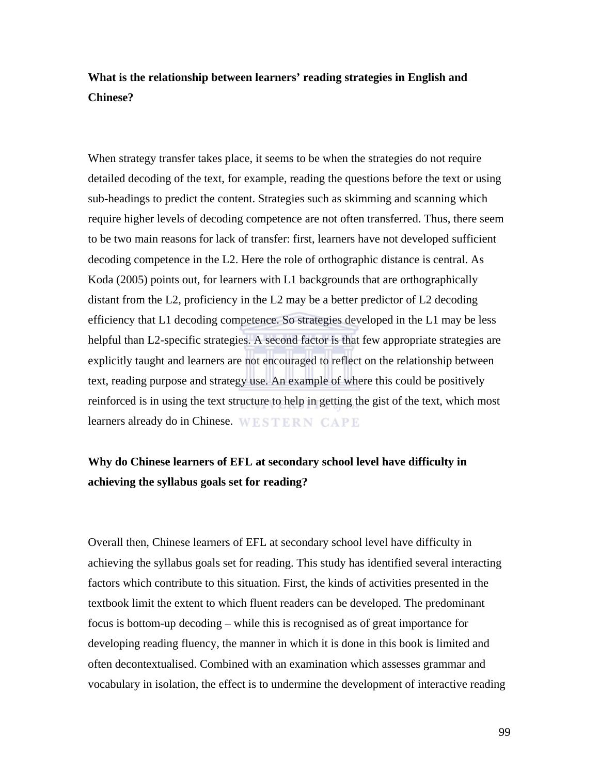## **What is the relationship between learners' reading strategies in English and Chinese?**

When strategy transfer takes place, it seems to be when the strategies do not require detailed decoding of the text, for example, reading the questions before the text or using sub-headings to predict the content. Strategies such as skimming and scanning which require higher levels of decoding competence are not often transferred. Thus, there seem to be two main reasons for lack of transfer: first, learners have not developed sufficient decoding competence in the L2. Here the role of orthographic distance is central. As Koda (2005) points out, for learners with L1 backgrounds that are orthographically distant from the L2, proficiency in the L2 may be a better predictor of L2 decoding efficiency that L1 decoding competence. So strategies developed in the L1 may be less helpful than L2-specific strategies. A second factor is that few appropriate strategies are explicitly taught and learners are not encouraged to reflect on the relationship between text, reading purpose and strategy use. An example of where this could be positively reinforced is in using the text structure to help in getting the gist of the text, which most learners already do in Chinese. WESTERN CAPE

## **Why do Chinese learners of EFL at secondary school level have difficulty in achieving the syllabus goals set for reading?**

Overall then, Chinese learners of EFL at secondary school level have difficulty in achieving the syllabus goals set for reading. This study has identified several interacting factors which contribute to this situation. First, the kinds of activities presented in the textbook limit the extent to which fluent readers can be developed. The predominant focus is bottom-up decoding – while this is recognised as of great importance for developing reading fluency, the manner in which it is done in this book is limited and often decontextualised. Combined with an examination which assesses grammar and vocabulary in isolation, the effect is to undermine the development of interactive reading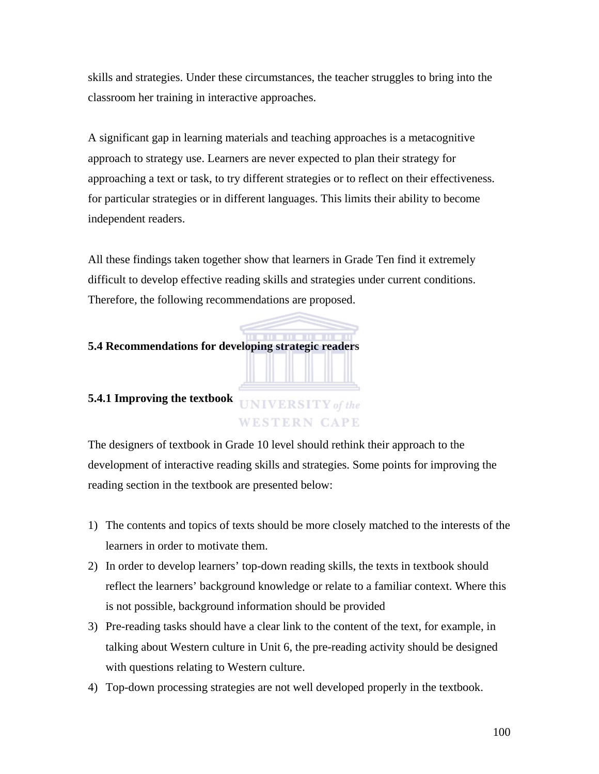skills and strategies. Under these circumstances, the teacher struggles to bring into the classroom her training in interactive approaches.

A significant gap in learning materials and teaching approaches is a metacognitive approach to strategy use. Learners are never expected to plan their strategy for approaching a text or task, to try different strategies or to reflect on their effectiveness. for particular strategies or in different languages. This limits their ability to become independent readers.

All these findings taken together show that learners in Grade Ten find it extremely difficult to develop effective reading skills and strategies under current conditions. Therefore, the following recommendations are proposed.

#### **5.4 Recommendations for developing strategic readers**

#### **5.4.1 Improving the textbook**

**WESTERN CAPE** 

**UNIVERSITY** of the

The designers of textbook in Grade 10 level should rethink their approach to the development of interactive reading skills and strategies. Some points for improving the reading section in the textbook are presented below:

- 1) The contents and topics of texts should be more closely matched to the interests of the learners in order to motivate them.
- 2) In order to develop learners' top-down reading skills, the texts in textbook should reflect the learners' background knowledge or relate to a familiar context. Where this is not possible, background information should be provided
- 3) Pre-reading tasks should have a clear link to the content of the text, for example, in talking about Western culture in Unit 6, the pre-reading activity should be designed with questions relating to Western culture.
- 4) Top-down processing strategies are not well developed properly in the textbook.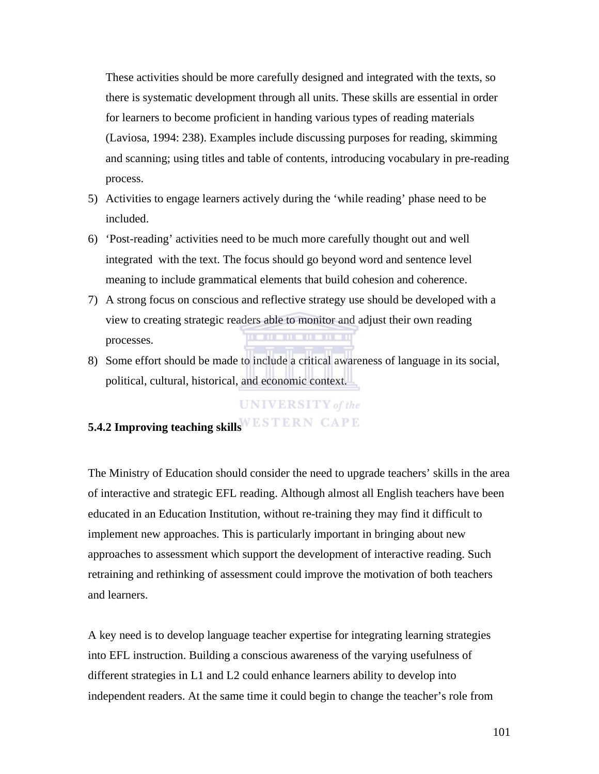These activities should be more carefully designed and integrated with the texts, so there is systematic development through all units. These skills are essential in order for learners to become proficient in handing various types of reading materials (Laviosa, 1994: 238). Examples include discussing purposes for reading, skimming and scanning; using titles and table of contents, introducing vocabulary in pre-reading process.

- 5) Activities to engage learners actively during the 'while reading' phase need to be included.
- 6) 'Post-reading' activities need to be much more carefully thought out and well integrated with the text. The focus should go beyond word and sentence level meaning to include grammatical elements that build cohesion and coherence.
- 7) A strong focus on conscious and reflective strategy use should be developed with a view to creating strategic readers able to monitor and adjust their own reading processes.
- 8) Some effort should be made to include a critical awareness of language in its social, political, cultural, historical, and economic context.

#### **UNIVERSITY** of the

## **5.4.2 Improving teaching skills**

The Ministry of Education should consider the need to upgrade teachers' skills in the area of interactive and strategic EFL reading. Although almost all English teachers have been educated in an Education Institution, without re-training they may find it difficult to implement new approaches. This is particularly important in bringing about new approaches to assessment which support the development of interactive reading. Such retraining and rethinking of assessment could improve the motivation of both teachers and learners.

A key need is to develop language teacher expertise for integrating learning strategies into EFL instruction. Building a conscious awareness of the varying usefulness of different strategies in L1 and L2 could enhance learners ability to develop into independent readers. At the same time it could begin to change the teacher's role from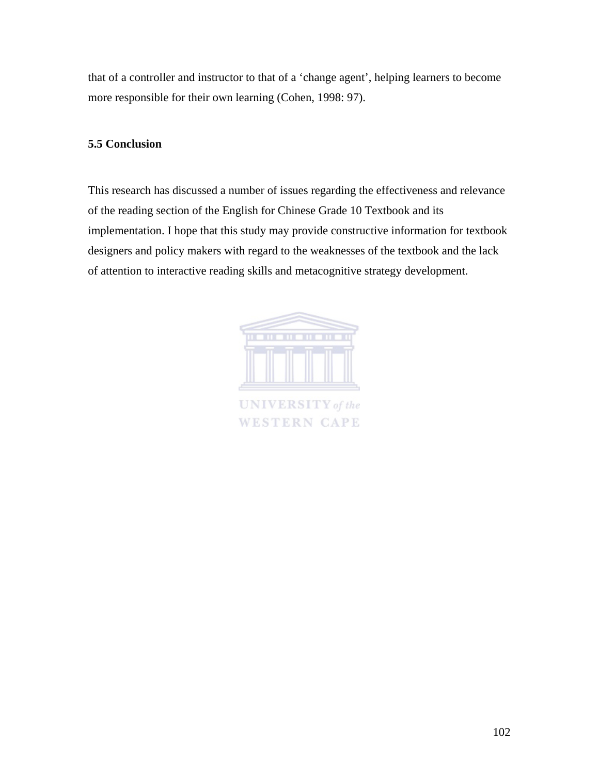that of a controller and instructor to that of a 'change agent', helping learners to become more responsible for their own learning (Cohen, 1998: 97).

#### **5.5 Conclusion**

This research has discussed a number of issues regarding the effectiveness and relevance of the reading section of the English for Chinese Grade 10 Textbook and its implementation. I hope that this study may provide constructive information for textbook designers and policy makers with regard to the weaknesses of the textbook and the lack of attention to interactive reading skills and metacognitive strategy development.



**WESTERN CAPE**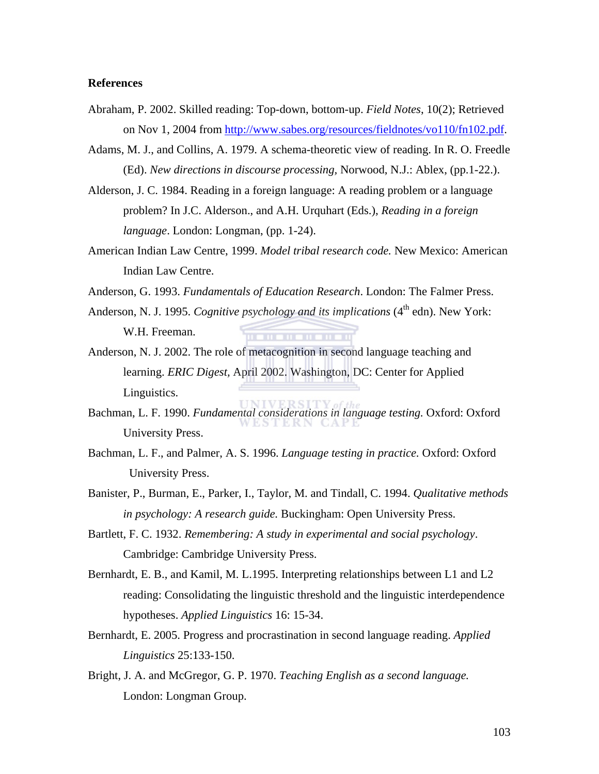#### **References**

- Abraham, P. 2002. Skilled reading: Top-down, bottom-up. *Field Notes*, 10(2); Retrieved on Nov 1, 2004 from http://www.sabes.org/resources/fieldnotes/vo110/fn102.pdf.
- Adams, M. J., and Collins, A. 1979. A schema-theoretic view of reading. In R. O. Freedle (Ed). *New directions in discourse processing,* Norwood, N.J.: Ablex, (pp.1-22.).
- Alderson, J. C. 1984. Reading in a foreign language: A reading problem or a language problem? In J.C. Alderson., and A.H. Urquhart (Eds.), *Reading in a foreign language*. London: Longman, (pp. 1-24).
- American Indian Law Centre, 1999. *Model tribal research code.* New Mexico: American Indian Law Centre.
- Anderson, G. 1993. *Fundamentals of Education Research*. London: The Falmer Press.
- Anderson, N. J. 1995. *Cognitive psychology and its implications* (4<sup>th</sup> edn). New York: W.H. Freeman.
- Anderson, N. J. 2002. The role of metacognition in second language teaching and learning. *ERIC Digest,* April 2002. Washington, DC: Center for Applied Linguistics.
- Bachman, L. F. 1990. *Fundamental considerations in language testing.* Oxford: Oxford University Press.
- Bachman, L. F., and Palmer, A. S. 1996. *Language testing in practice.* Oxford: Oxford University Press.
- Banister, P., Burman, E., Parker, I., Taylor, M. and Tindall, C. 1994. *Qualitative methods in psychology: A research guide.* Buckingham: Open University Press.
- Bartlett, F. C. 1932. *Remembering: A study in experimental and social psychology*. Cambridge: Cambridge University Press.
- Bernhardt, E. B., and Kamil, M. L.1995. Interpreting relationships between L1 and L2 reading: Consolidating the linguistic threshold and the linguistic interdependence hypotheses. *Applied Linguistics* 16: 15-34.
- Bernhardt, E. 2005. Progress and procrastination in second language reading. *Applied Linguistics* 25:133-150.
- Bright, J. A. and McGregor, G. P. 1970. *Teaching English as a second language.*  London: Longman Group.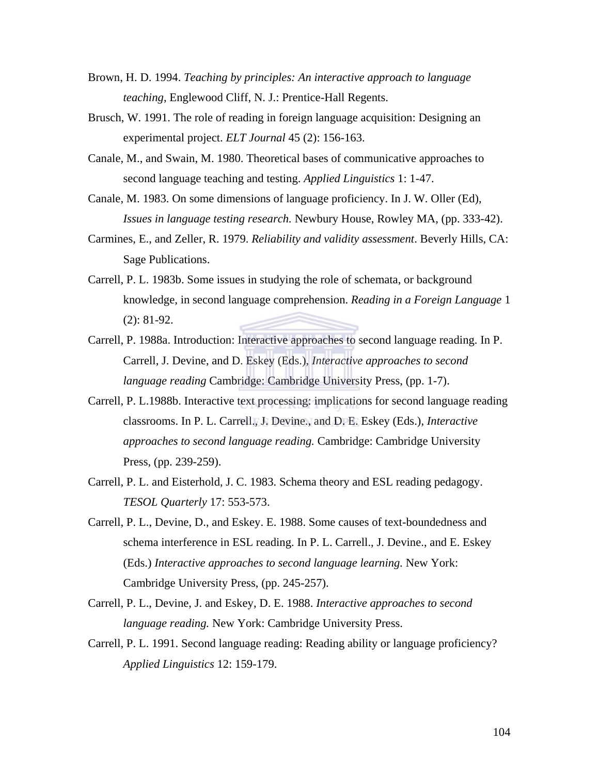- Brown, H. D. 1994. *Teaching by principles: An interactive approach to language teaching*, Englewood Cliff, N. J.: Prentice-Hall Regents.
- Brusch, W. 1991. The role of reading in foreign language acquisition: Designing an experimental project. *ELT Journal* 45 (2): 156-163.
- Canale, M., and Swain, M. 1980. Theoretical bases of communicative approaches to second language teaching and testing. *Applied Linguistics* 1: 1-47.
- Canale, M. 1983. On some dimensions of language proficiency. In J. W. Oller (Ed), *Issues in language testing research.* Newbury House, Rowley MA, (pp. 333-42).
- Carmines, E., and Zeller, R. 1979. *Reliability and validity assessment*. Beverly Hills, CA: Sage Publications.
- Carrell, P. L. 1983b. Some issues in studying the role of schemata, or background knowledge, in second language comprehension. *Reading in a Foreign Language* 1 (2): 81-92.
- Carrell, P. 1988a. Introduction: Interactive approaches to second language reading. In P. Carrell, J. Devine, and D. Eskey (Eds.), *Interactive approaches to second language reading* Cambridge: Cambridge University Press, (pp. 1-7).
- Carrell, P. L.1988b. Interactive text processing: implications for second language reading classrooms. In P. L. Carrell., J. Devine., and D. E. Eskey (Eds.), *Interactive approaches to second language reading.* Cambridge: Cambridge University Press, (pp. 239-259).
- Carrell, P. L. and Eisterhold, J. C. 1983. Schema theory and ESL reading pedagogy. *TESOL Quarterly* 17: 553-573.
- Carrell, P. L., Devine, D., and Eskey. E. 1988. Some causes of text-boundedness and schema interference in ESL reading. In P. L. Carrell., J. Devine., and E. Eskey (Eds.) *Interactive approaches to second language learning.* New York: Cambridge University Press, (pp. 245-257).
- Carrell, P. L., Devine, J. and Eskey, D. E. 1988. *Interactive approaches to second language reading.* New York: Cambridge University Press.
- Carrell, P. L. 1991. Second language reading: Reading ability or language proficiency? *Applied Linguistics* 12: 159-179.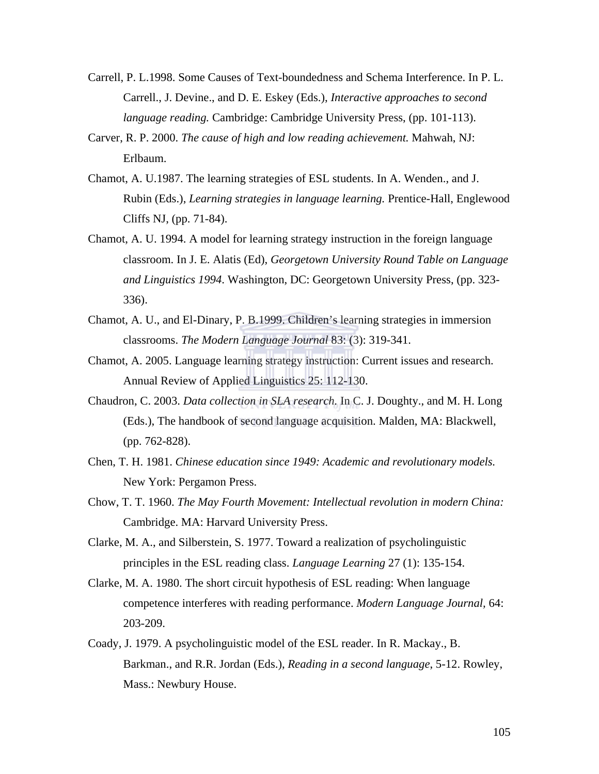- Carrell, P. L.1998. Some Causes of Text-boundedness and Schema Interference. In P. L. Carrell., J. Devine., and D. E. Eskey (Eds.), *Interactive approaches to second language reading.* Cambridge: Cambridge University Press, (pp. 101-113).
- Carver, R. P. 2000. *The cause of high and low reading achievement.* Mahwah, NJ: Erlbaum.
- Chamot, A. U.1987. The learning strategies of ESL students. In A. Wenden., and J. Rubin (Eds.), *Learning strategies in language learning.* Prentice-Hall, Englewood Cliffs NJ, (pp. 71-84).
- Chamot, A. U. 1994. A model for learning strategy instruction in the foreign language classroom. In J. E. Alatis (Ed), *Georgetown University Round Table on Language and Linguistics 1994*. Washington, DC: Georgetown University Press, (pp. 323- 336).
- Chamot, A. U., and El-Dinary, P. B.1999. Children's learning strategies in immersion classrooms. *The Modern Language Journal* 83: (3): 319-341.
- Chamot, A. 2005. Language learning strategy instruction: Current issues and research. Annual Review of Applied Linguistics 25: 112-130.
- Chaudron, C. 2003. *Data collection in SLA research.* In C. J. Doughty., and M. H. Long (Eds.), The handbook of second language acquisition. Malden, MA: Blackwell, (pp. 762-828).
- Chen, T. H. 1981. *Chinese education since 1949: Academic and revolutionary models.*  New York: Pergamon Press.
- Chow, T. T. 1960. *The May Fourth Movement: Intellectual revolution in modern China:* Cambridge. MA: Harvard University Press.
- Clarke, M. A., and Silberstein, S. 1977. Toward a realization of psycholinguistic principles in the ESL reading class. *Language Learning* 27 (1): 135-154.
- Clarke, M. A. 1980. The short circuit hypothesis of ESL reading: When language competence interferes with reading performance. *Modern Language Journal,* 64: 203-209.
- Coady, J. 1979. A psycholinguistic model of the ESL reader. In R. Mackay., B. Barkman., and R.R. Jordan (Eds.), *Reading in a second language*, 5-12. Rowley, Mass.: Newbury House.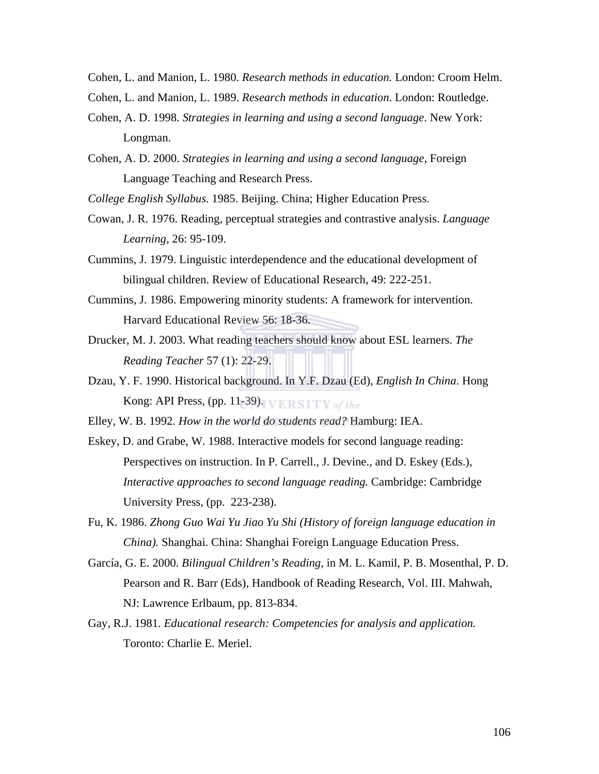Cohen, L. and Manion, L. 1980. *Research methods in education.* London: Croom Helm.

- Cohen, L. and Manion, L. 1989. *Research methods in education*. London: Routledge.
- Cohen, A. D. 1998. *Strategies in learning and using a second language*. New York: Longman.
- Cohen, A. D. 2000. *Strategies in learning and using a second language,* Foreign Language Teaching and Research Press.

*College English Syllabus*. 1985. Beijing. China; Higher Education Press.

- Cowan, J. R. 1976. Reading, perceptual strategies and contrastive analysis. *Language Learning*, 26: 95-109.
- Cummins, J. 1979. Linguistic interdependence and the educational development of bilingual children. Review of Educational Research, 49: 222-251.
- Cummins, J. 1986. Empowering minority students: A framework for intervention. Harvard Educational Review 56: 18-36.
- Drucker, M. J. 2003. What reading teachers should know about ESL learners. *The Reading Teacher* 57 (1): 22-29.
- Dzau, Y. F. 1990. Historical background. In Y.F. Dzau (Ed), *English In China*. Hong Kong: API Press, (pp. 11-39). VERSITY of the
- Elley, W. B. 1992*. How in the world do students read?* Hamburg: IEA.
- Eskey, D. and Grabe, W. 1988. Interactive models for second language reading: Perspectives on instruction. In P. Carrell., J. Devine., and D. Eskey (Eds.), *Interactive approaches to second language reading.* Cambridge: Cambridge University Press, (pp. 223-238).
- Fu, K. 1986. *Zhong Guo Wai Yu Jiao Yu Shi (History of foreign language education in China).* Shanghai. China: Shanghai Foreign Language Education Press.
- García, G. E. 2000. *Bilingual Children's Reading*, in M. L. Kamil, P. B. Mosenthal, P. D. Pearson and R. Barr (Eds), Handbook of Reading Research, Vol. III. Mahwah, NJ: Lawrence Erlbaum, pp. 813-834.
- Gay, R.J. 1981. *Educational research: Competencies for analysis and application.*  Toronto: Charlie E. Meriel.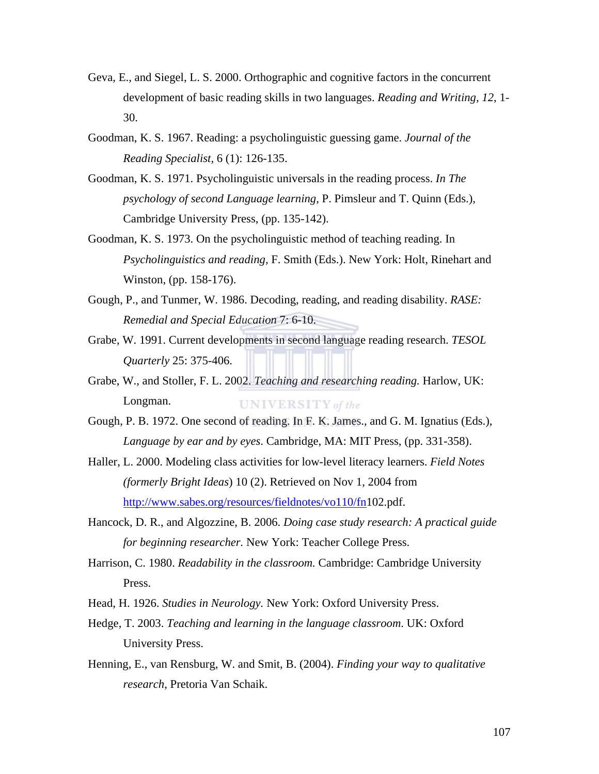- Geva, E., and Siegel, L. S. 2000. Orthographic and cognitive factors in the concurrent development of basic reading skills in two languages. *Reading and Writing, 12*, 1- 30.
- Goodman, K. S. 1967. Reading: a psycholinguistic guessing game. *Journal of the Reading Specialist,* 6 (1): 126-135.
- Goodman, K. S. 1971. Psycholinguistic universals in the reading process. *In The psychology of second Language learning,* P. Pimsleur and T. Quinn (Eds.), Cambridge University Press, (pp. 135-142).
- Goodman, K. S. 1973. On the psycholinguistic method of teaching reading. In *Psycholinguistics and reading,* F. Smith (Eds.). New York: Holt, Rinehart and Winston, (pp. 158-176).
- Gough, P., and Tunmer, W. 1986. Decoding, reading, and reading disability. *RASE: Remedial and Special Education* 7: 6-10.
- Grabe, W. 1991. Current developments in second language reading research. *TESOL Quarterly* 25: 375-406.
- Grabe, W., and Stoller, F. L. 2002. *Teaching and researching reading.* Harlow, UK: Longman. **UNIVERSITY** of the
- Gough, P. B. 1972. One second of reading. In F. K. James., and G. M. Ignatius (Eds.), *Language by ear and by eyes*. Cambridge, MA: MIT Press, (pp. 331-358).
- Haller, L. 2000. Modeling class activities for low-level literacy learners. *Field Notes (formerly Bright Ideas*) 10 (2). Retrieved on Nov 1, 2004 from http://www.sabes.org/resources/fieldnotes/vo110/fn102.pdf.
- Hancock, D. R., and Algozzine, B. 2006. *Doing case study research: A practical guide for beginning researcher.* New York: Teacher College Press.
- Harrison, C. 1980. *Readability in the classroom.* Cambridge: Cambridge University Press.
- Head, H. 1926. *Studies in Neurology.* New York: Oxford University Press.
- Hedge, T. 2003. *Teaching and learning in the language classroom*. UK: Oxford University Press.
- Henning, E., van Rensburg, W. and Smit, B. (2004). *Finding your way to qualitative research*, Pretoria Van Schaik.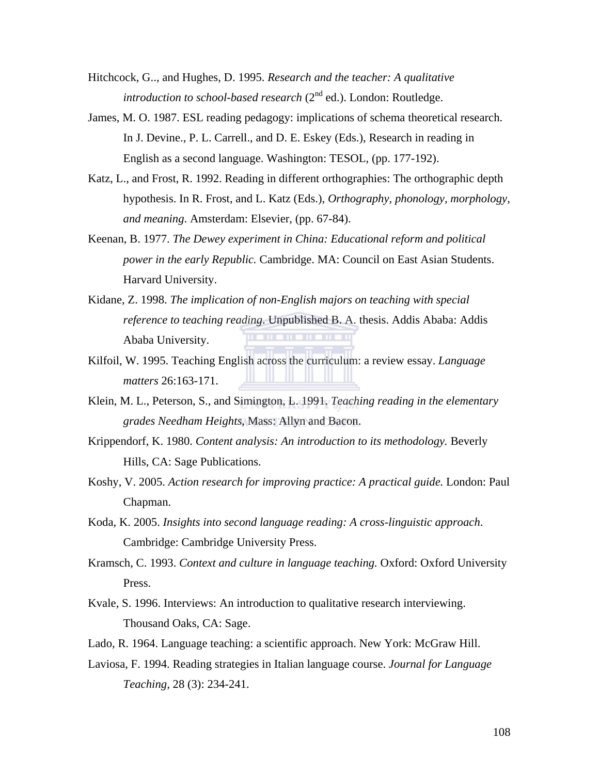- Hitchcock, G.., and Hughes, D. 1995. *Research and the teacher: A qualitative introduction to school-based research* (2<sup>nd</sup> ed.). London: Routledge.
- James, M. O. 1987. ESL reading pedagogy: implications of schema theoretical research. In J. Devine., P. L. Carrell., and D. E. Eskey (Eds.), Research in reading in English as a second language. Washington: TESOL, (pp. 177-192).
- Katz, L., and Frost, R. 1992. Reading in different orthographies: The orthographic depth hypothesis. In R. Frost, and L. Katz (Eds.), *Orthography, phonology, morphology, and meaning*. Amsterdam: Elsevier, (pp. 67-84).
- Keenan, B. 1977. *The Dewey experiment in China: Educational reform and political power in the early Republic.* Cambridge. MA: Council on East Asian Students. Harvard University.
- Kidane, Z. 1998. *The implication of non-English majors on teaching with special reference to teaching reading*. Unpublished B. A. thesis. Addis Ababa: Addis Ababa University.
- Kilfoil, W. 1995. Teaching English across the curriculum: a review essay. *Language matters* 26:163-171.
- Klein, M. L., Peterson, S., and Simington, L. 1991. *Teaching reading in the elementary grades Needham Heights*, Mass: Allyn and Bacon.
- Krippendorf, K. 1980. *Content analysis: An introduction to its methodology.* Beverly Hills, CA: Sage Publications.
- Koshy, V. 2005. *Action research for improving practice: A practical guide.* London: Paul Chapman.
- Koda, K. 2005. *Insights into second language reading: A cross-linguistic approach*. Cambridge: Cambridge University Press.
- Kramsch, C. 1993. *Context and culture in language teaching.* Oxford: Oxford University Press.
- Kvale, S. 1996. Interviews: An introduction to qualitative research interviewing. Thousand Oaks, CA: Sage.
- Lado, R. 1964. Language teaching: a scientific approach. New York: McGraw Hill.
- Laviosa, F. 1994. Reading strategies in Italian language course. *Journal for Language Teaching,* 28 (3): 234-241.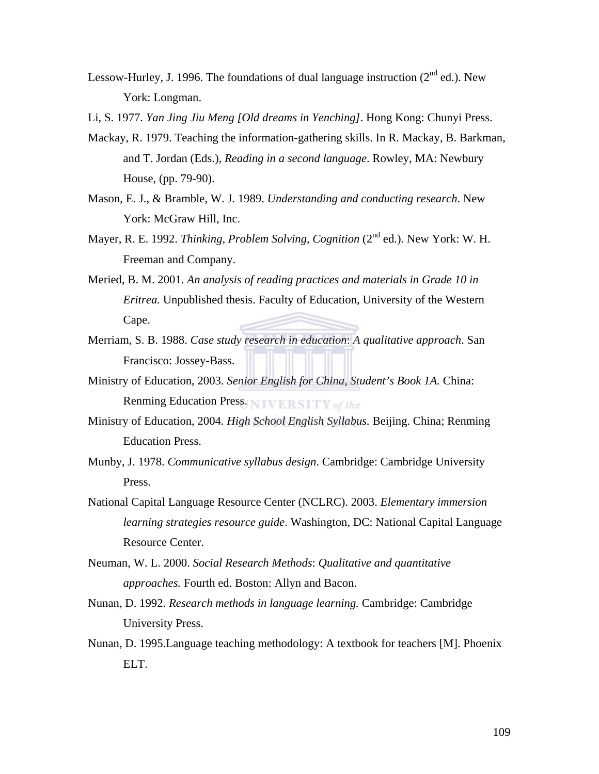- Lessow-Hurley, J. 1996. The foundations of dual language instruction  $(2^{nd}$  ed.). New York: Longman.
- Li, S. 1977. *Yan Jing Jiu Meng [Old dreams in Yenching]*. Hong Kong: Chunyi Press.
- Mackay, R. 1979. Teaching the information-gathering skills. In R. Mackay, B. Barkman, and T. Jordan (Eds.), *Reading in a second language*. Rowley, MA: Newbury House, (pp. 79-90).
- Mason, E. J., & Bramble, W. J. 1989. *Understanding and conducting research*. New York: McGraw Hill, Inc.
- Mayer, R. E. 1992. *Thinking, Problem Solving, Cognition* (2<sup>nd</sup> ed.). New York: W. H. Freeman and Company.
- Meried, B. M. 2001. *An analysis of reading practices and materials in Grade 10 in Eritrea.* Unpublished thesis. Faculty of Education, University of the Western Cape.
- Merriam, S. B. 1988. *Case study research in education*: *A qualitative approach*. San Francisco: Jossey-Bass.
- Ministry of Education, 2003. *Senior English for China, Student's Book 1A.* China: Renming Education Press. NIVERSITY of the
- Ministry of Education, 2004*. High School English Syllabus.* Beijing. China; Renming Education Press.
- Munby, J. 1978. *Communicative syllabus design*. Cambridge: Cambridge University Press.
- National Capital Language Resource Center (NCLRC). 2003. *Elementary immersion learning strategies resource guide*. Washington, DC: National Capital Language Resource Center.
- Neuman, W. L. 2000. *Social Research Methods*: *Qualitative and quantitative approaches.* Fourth ed. Boston: Allyn and Bacon.
- Nunan, D. 1992. *Research methods in language learning.* Cambridge: Cambridge University Press.
- Nunan, D. 1995.Language teaching methodology: A textbook for teachers [M]. Phoenix ELT.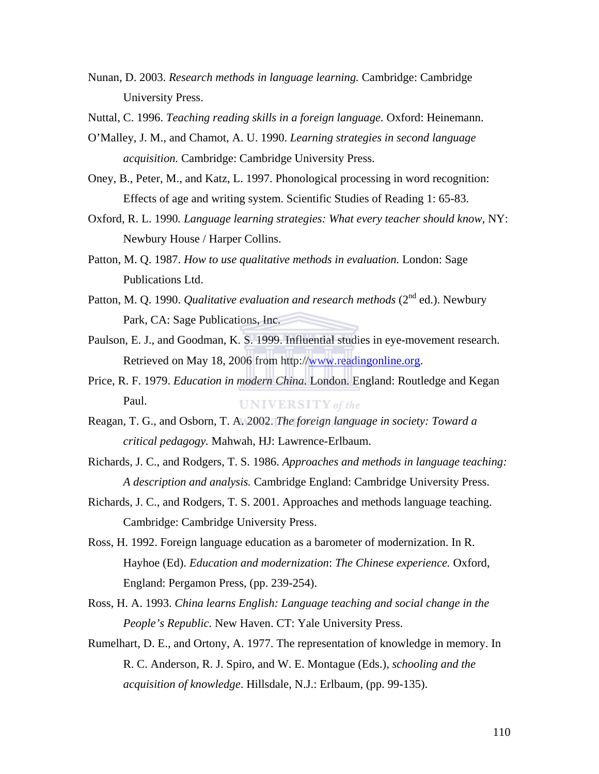- Nunan, D. 2003. *Research methods in language learning.* Cambridge: Cambridge University Press.
- Nuttal, C. 1996. *Teaching reading skills in a foreign language.* Oxford: Heinemann.
- O'Malley, J. M., and Chamot, A. U. 1990. *Learning strategies in second language acquisition.* Cambridge: Cambridge University Press.
- Oney, B., Peter, M., and Katz, L. 1997. Phonological processing in word recognition: Effects of age and writing system. Scientific Studies of Reading 1: 65-83.
- Oxford, R. L. 1990*. Language learning strategies: What every teacher should know,* NY: Newbury House / Harper Collins.
- Patton, M. Q. 1987. *How to use qualitative methods in evaluation.* London: Sage Publications Ltd.
- Patton, M. Q. 1990. *Qualitative evaluation and research methods* (2<sup>nd</sup> ed.). Newbury Park, CA: Sage Publications, Inc.
- Paulson, E. J., and Goodman, K. S. 1999. Influential studies in eye-movement research. Retrieved on May 18, 2006 from http://www.readingonline.org.
- Price, R. F. 1979. *Education in modern China.* London. England: Routledge and Kegan Paul. **UNIVERSITY** of the
- Reagan, T. G., and Osborn, T. A. 2002. *The foreign language in society: Toward a critical pedagogy.* Mahwah, HJ: Lawrence-Erlbaum.
- Richards, J. C., and Rodgers, T. S. 1986. *Approaches and methods in language teaching: A description and analysis.* Cambridge England: Cambridge University Press.
- Richards, J. C., and Rodgers, T. S. 2001. Approaches and methods language teaching. Cambridge: Cambridge University Press.
- Ross, H. 1992. Foreign language education as a barometer of modernization. In R. Hayhoe (Ed). *Education and modernization*: *The Chinese experience.* Oxford, England: Pergamon Press, (pp. 239-254).
- Ross, H. A. 1993. *China learns English: Language teaching and social change in the People's Republic.* New Haven. CT: Yale University Press.
- Rumelhart, D. E., and Ortony, A. 1977. The representation of knowledge in memory. In R. C. Anderson, R. J. Spiro, and W. E. Montague (Eds.), *schooling and the acquisition of knowledge*. Hillsdale, N.J.: Erlbaum, (pp. 99-135).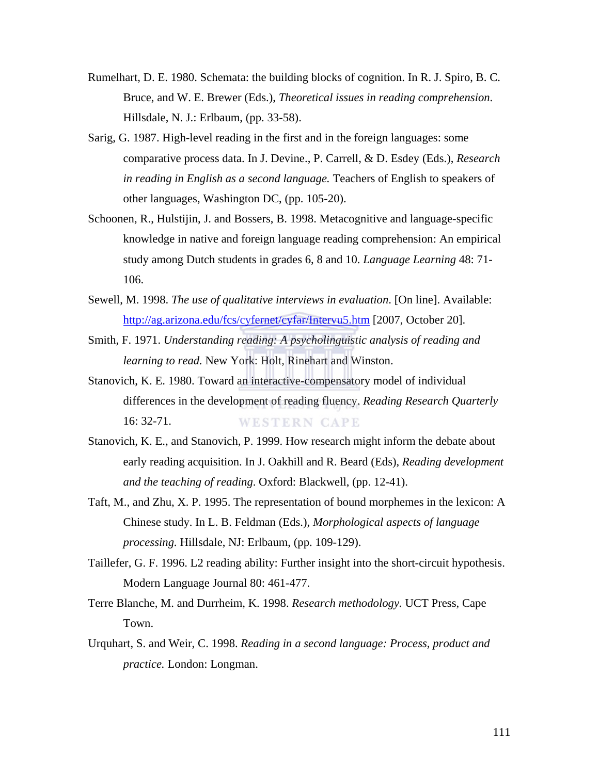- Rumelhart, D. E. 1980. Schemata: the building blocks of cognition. In R. J. Spiro, B. C. Bruce, and W. E. Brewer (Eds.), *Theoretical issues in reading comprehension*. Hillsdale, N. J.: Erlbaum, (pp. 33-58).
- Sarig, G. 1987. High-level reading in the first and in the foreign languages: some comparative process data. In J. Devine., P. Carrell, & D. Esdey (Eds.), *Research in reading in English as a second language.* Teachers of English to speakers of other languages, Washington DC, (pp. 105-20).
- Schoonen, R., Hulstijin, J. and Bossers, B. 1998. Metacognitive and language-specific knowledge in native and foreign language reading comprehension: An empirical study among Dutch students in grades 6, 8 and 10. *Language Learning* 48: 71- 106.
- Sewell, M. 1998. *The use of qualitative interviews in evaluation*. [On line]. Available: http://ag.arizona.edu/fcs/cyfernet/cyfar/Intervu5.htm [2007, October 20].
- Smith, F. 1971. *Understanding reading: A psycholinguistic analysis of reading and learning to read.* New York: Holt, Rinehart and Winston.
- Stanovich, K. E. 1980. Toward an interactive-compensatory model of individual differences in the development of reading fluency. *Reading Research Quarterly* 16: 32-71. **WESTERN CAPE**
- Stanovich, K. E., and Stanovich, P. 1999. How research might inform the debate about early reading acquisition. In J. Oakhill and R. Beard (Eds), *Reading development and the teaching of reading*. Oxford: Blackwell, (pp. 12-41).
- Taft, M., and Zhu, X. P. 1995. The representation of bound morphemes in the lexicon: A Chinese study. In L. B. Feldman (Eds.), *Morphological aspects of language processing.* Hillsdale, NJ: Erlbaum, (pp. 109-129).
- Taillefer, G. F. 1996. L2 reading ability: Further insight into the short-circuit hypothesis. Modern Language Journal 80: 461-477.
- Terre Blanche, M. and Durrheim, K. 1998. *Research methodology.* UCT Press, Cape Town.
- Urquhart, S. and Weir, C. 1998. *Reading in a second language: Process, product and practice.* London: Longman.